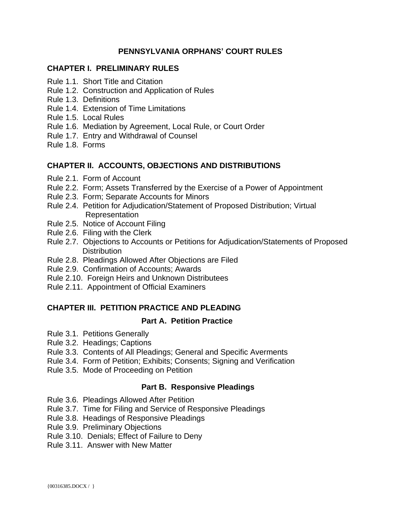## **PENNSYLVANIA ORPHANS' COURT RULES**

## **CHAPTER I. PRELIMINARY RULES**

- Rule 1.1. Short Title and Citation
- Rule 1.2. Construction and Application of Rules
- Rule 1.3. Definitions
- Rule 1.4. Extension of Time Limitations
- Rule 1.5. Local Rules
- Rule 1.6. Mediation by Agreement, Local Rule, or Court Order
- Rule 1.7. Entry and Withdrawal of Counsel
- Rule 1.8. Forms

## **CHAPTER II. ACCOUNTS, OBJECTIONS AND DISTRIBUTIONS**

- Rule 2.1. Form of Account
- Rule 2.2. Form; Assets Transferred by the Exercise of a Power of Appointment
- Rule 2.3. Form; Separate Accounts for Minors
- Rule 2.4. Petition for Adjudication/Statement of Proposed Distribution; Virtual Representation
- Rule 2.5. Notice of Account Filing
- Rule 2.6. Filing with the Clerk
- Rule 2.7. Objections to Accounts or Petitions for Adjudication/Statements of Proposed **Distribution**
- Rule 2.8. Pleadings Allowed After Objections are Filed
- Rule 2.9. Confirmation of Accounts; Awards
- Rule 2.10. Foreign Heirs and Unknown Distributees
- Rule 2.11. Appointment of Official Examiners

## **CHAPTER III. PETITION PRACTICE AND PLEADING**

## **Part A. Petition Practice**

- Rule 3.1. Petitions Generally
- Rule 3.2. Headings; Captions
- Rule 3.3. Contents of All Pleadings; General and Specific Averments
- Rule 3.4. Form of Petition; Exhibits; Consents; Signing and Verification
- Rule 3.5. Mode of Proceeding on Petition

## **Part B. Responsive Pleadings**

- Rule 3.6. Pleadings Allowed After Petition
- Rule 3.7. Time for Filing and Service of Responsive Pleadings
- Rule 3.8. Headings of Responsive Pleadings
- Rule 3.9. Preliminary Objections
- Rule 3.10. Denials; Effect of Failure to Deny
- Rule 3.11. Answer with New Matter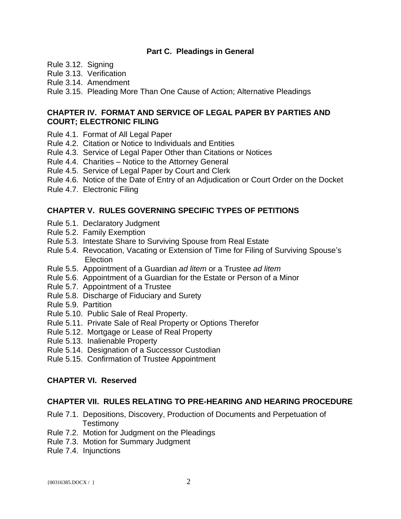#### **Part C. Pleadings in General**

Rule 3.12. Signing

Rule 3.13. Verification

Rule 3.14. Amendment

Rule 3.15. Pleading More Than One Cause of Action; Alternative Pleadings

## **CHAPTER IV. FORMAT AND SERVICE OF LEGAL PAPER BY PARTIES AND COURT; ELECTRONIC FILING**

- Rule 4.1. Format of All Legal Paper
- Rule 4.2. Citation or Notice to Individuals and Entities
- Rule 4.3. Service of Legal Paper Other than Citations or Notices
- Rule 4.4. Charities Notice to the Attorney General
- Rule 4.5. Service of Legal Paper by Court and Clerk
- Rule 4.6. Notice of the Date of Entry of an Adjudication or Court Order on the Docket
- Rule 4.7. Electronic Filing

## **CHAPTER V. RULES GOVERNING SPECIFIC TYPES OF PETITIONS**

- Rule 5.1. Declaratory Judgment
- Rule 5.2. Family Exemption
- Rule 5.3. Intestate Share to Surviving Spouse from Real Estate
- Rule 5.4. Revocation, Vacating or Extension of Time for Filing of Surviving Spouse's Election
- Rule 5.5. Appointment of a Guardian *ad litem* or a Trustee *ad litem*
- Rule 5.6. Appointment of a Guardian for the Estate or Person of a Minor
- Rule 5.7. Appointment of a Trustee
- Rule 5.8. Discharge of Fiduciary and Surety
- Rule 5.9. Partition
- Rule 5.10. Public Sale of Real Property.
- Rule 5.11. Private Sale of Real Property or Options Therefor
- Rule 5.12. Mortgage or Lease of Real Property
- Rule 5.13. Inalienable Property
- Rule 5.14. Designation of a Successor Custodian
- Rule 5.15. Confirmation of Trustee Appointment

## **CHAPTER VI. Reserved**

## **CHAPTER VII. RULES RELATING TO PRE-HEARING AND HEARING PROCEDURE**

- Rule 7.1. Depositions, Discovery, Production of Documents and Perpetuation of **Testimony**
- Rule 7.2. Motion for Judgment on the Pleadings
- Rule 7.3. Motion for Summary Judgment
- Rule 7.4. Injunctions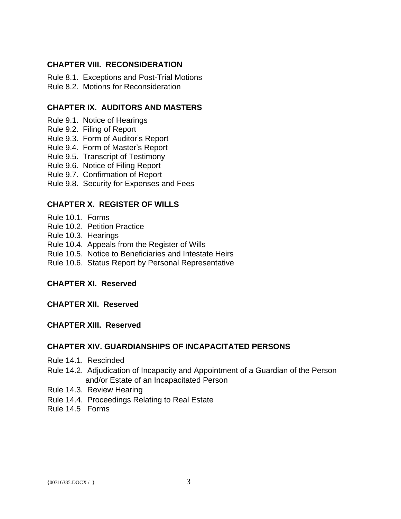## **CHAPTER VIII. RECONSIDERATION**

Rule 8.1. Exceptions and Post-Trial Motions Rule 8.2. Motions for Reconsideration

## **CHAPTER IX. AUDITORS AND MASTERS**

- Rule 9.1. Notice of Hearings
- Rule 9.2. Filing of Report
- Rule 9.3. Form of Auditor's Report
- Rule 9.4. Form of Master's Report
- Rule 9.5. Transcript of Testimony
- Rule 9.6. Notice of Filing Report
- Rule 9.7. Confirmation of Report
- Rule 9.8. Security for Expenses and Fees

## **CHAPTER X. REGISTER OF WILLS**

- Rule 10.1. Forms
- Rule 10.2. Petition Practice
- Rule 10.3. Hearings
- Rule 10.4. Appeals from the Register of Wills
- Rule 10.5. Notice to Beneficiaries and Intestate Heirs
- Rule 10.6. Status Report by Personal Representative

## **CHAPTER XI. Reserved**

**CHAPTER XII. Reserved**

**CHAPTER XIII. Reserved**

#### **CHAPTER XIV. GUARDIANSHIPS OF INCAPACITATED PERSONS**

- Rule 14.1. Rescinded
- Rule 14.2. Adjudication of Incapacity and Appointment of a Guardian of the Person and/or Estate of an Incapacitated Person
- Rule 14.3. Review Hearing
- Rule 14.4. Proceedings Relating to Real Estate
- Rule 14.5 Forms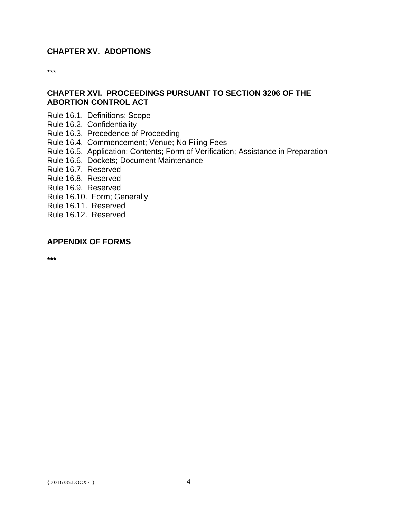## **CHAPTER XV. ADOPTIONS**

\*\*\*

## **CHAPTER XVI. PROCEEDINGS PURSUANT TO SECTION 3206 OF THE ABORTION CONTROL ACT**

- Rule 16.1. Definitions; Scope
- Rule 16.2. Confidentiality
- Rule 16.3. Precedence of Proceeding
- Rule 16.4. Commencement; Venue; No Filing Fees
- Rule 16.5. Application; Contents; Form of Verification; Assistance in Preparation
- Rule 16.6. Dockets; Document Maintenance
- Rule 16.7. Reserved
- Rule 16.8. Reserved
- Rule 16.9. Reserved
- Rule 16.10. Form; Generally
- Rule 16.11. Reserved
- Rule 16.12. Reserved

## **APPENDIX OF FORMS**

**\*\*\***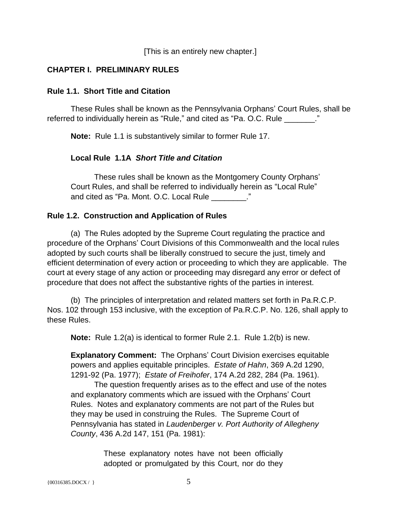[This is an entirely new chapter.]

## **CHAPTER I. PRELIMINARY RULES**

#### **Rule 1.1. Short Title and Citation**

These Rules shall be known as the Pennsylvania Orphans' Court Rules, shall be referred to individually herein as "Rule," and cited as "Pa. O.C. Rule \_\_\_\_\_\_\_."

**Note:** Rule 1.1 is substantively similar to former Rule 17.

## **Local Rule 1.1A** *Short Title and Citation*

These rules shall be known as the Montgomery County Orphans' Court Rules, and shall be referred to individually herein as "Local Rule" and cited as "Pa. Mont. O.C. Local Rule \_\_\_\_\_\_\_\_."

## **Rule 1.2. Construction and Application of Rules**

(a) The Rules adopted by the Supreme Court regulating the practice and procedure of the Orphans' Court Divisions of this Commonwealth and the local rules adopted by such courts shall be liberally construed to secure the just, timely and efficient determination of every action or proceeding to which they are applicable. The court at every stage of any action or proceeding may disregard any error or defect of procedure that does not affect the substantive rights of the parties in interest.

 (b) The principles of interpretation and related matters set forth in Pa.R.C.P. Nos. 102 through 153 inclusive, with the exception of Pa.R.C.P. No. 126, shall apply to these Rules.

**Note:** Rule 1.2(a) is identical to former Rule 2.1. Rule 1.2(b) is new.

**Explanatory Comment:** The Orphans' Court Division exercises equitable powers and applies equitable principles. *Estate of Hahn*, 369 A.2d 1290, 1291-92 (Pa. 1977); *Estate of Freihofer*, 174 A.2d 282, 284 (Pa. 1961).

The question frequently arises as to the effect and use of the notes and explanatory comments which are issued with the Orphans' Court Rules. Notes and explanatory comments are not part of the Rules but they may be used in construing the Rules. The Supreme Court of Pennsylvania has stated in *Laudenberger v. Port Authority of Allegheny County*, 436 A.2d 147, 151 (Pa. 1981):

> These explanatory notes have not been officially adopted or promulgated by this Court, nor do they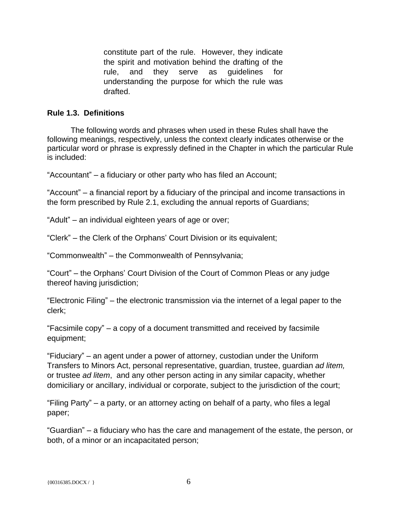constitute part of the rule. However, they indicate the spirit and motivation behind the drafting of the rule, and they serve as guidelines for understanding the purpose for which the rule was drafted.

## **Rule 1.3. Definitions**

The following words and phrases when used in these Rules shall have the following meanings, respectively, unless the context clearly indicates otherwise or the particular word or phrase is expressly defined in the Chapter in which the particular Rule is included:

"Accountant" – a fiduciary or other party who has filed an Account;

"Account" – a financial report by a fiduciary of the principal and income transactions in the form prescribed by Rule 2.1, excluding the annual reports of Guardians;

"Adult" – an individual eighteen years of age or over;

"Clerk" – the Clerk of the Orphans' Court Division or its equivalent;

"Commonwealth" – the Commonwealth of Pennsylvania;

"Court" – the Orphans' Court Division of the Court of Common Pleas or any judge thereof having jurisdiction;

"Electronic Filing" – the electronic transmission via the internet of a legal paper to the clerk;

"Facsimile copy" – a copy of a document transmitted and received by facsimile equipment;

"Fiduciary" – an agent under a power of attorney, custodian under the Uniform Transfers to Minors Act, personal representative, guardian, trustee, guardian *ad litem,*  or trustee *ad litem*, and any other person acting in any similar capacity, whether domiciliary or ancillary, individual or corporate, subject to the jurisdiction of the court;

"Filing Party" – a party, or an attorney acting on behalf of a party, who files a legal paper;

"Guardian" – a fiduciary who has the care and management of the estate, the person, or both, of a minor or an incapacitated person;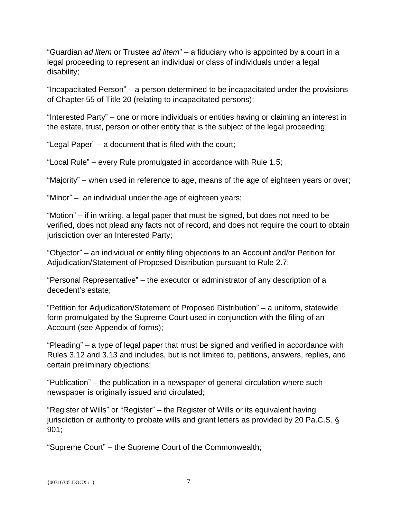"Guardian *ad litem* or Trustee *ad litem*" – a fiduciary who is appointed by a court in a legal proceeding to represent an individual or class of individuals under a legal disability;

"Incapacitated Person" – a person determined to be incapacitated under the provisions of Chapter 55 of Title 20 (relating to incapacitated persons);

"Interested Party" – one or more individuals or entities having or claiming an interest in the estate, trust, person or other entity that is the subject of the legal proceeding;

"Legal Paper" – a document that is filed with the court;

"Local Rule" – every Rule promulgated in accordance with Rule 1.5;

"Majority" – when used in reference to age, means of the age of eighteen years or over;

"Minor" – an individual under the age of eighteen years;

"Motion" – if in writing, a legal paper that must be signed, but does not need to be verified, does not plead any facts not of record, and does not require the court to obtain jurisdiction over an Interested Party;

"Objector" – an individual or entity filing objections to an Account and/or Petition for Adjudication/Statement of Proposed Distribution pursuant to Rule 2.7;

"Personal Representative" – the executor or administrator of any description of a decedent's estate;

"Petition for Adjudication/Statement of Proposed Distribution" – a uniform, statewide form promulgated by the Supreme Court used in conjunction with the filing of an Account (see Appendix of forms);

"Pleading" – a type of legal paper that must be signed and verified in accordance with Rules 3.12 and 3.13 and includes, but is not limited to, petitions, answers, replies, and certain preliminary objections;

"Publication" – the publication in a newspaper of general circulation where such newspaper is originally issued and circulated;

"Register of Wills" or "Register" – the Register of Wills or its equivalent having jurisdiction or authority to probate wills and grant letters as provided by 20 Pa.C.S. § 901;

"Supreme Court" – the Supreme Court of the Commonwealth;

 ${00316385. \text{DOCX} / }$  7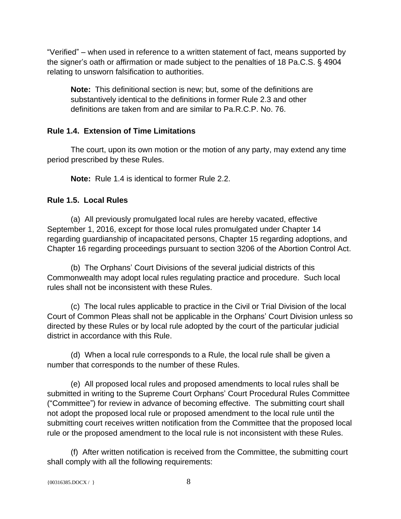"Verified" – when used in reference to a written statement of fact, means supported by the signer's oath or affirmation or made subject to the penalties of 18 Pa.C.S. § 4904 relating to unsworn falsification to authorities.

**Note:** This definitional section is new; but, some of the definitions are substantively identical to the definitions in former Rule 2.3 and other definitions are taken from and are similar to Pa.R.C.P. No. 76.

## **Rule 1.4. Extension of Time Limitations**

The court, upon its own motion or the motion of any party, may extend any time period prescribed by these Rules.

**Note:** Rule 1.4 is identical to former Rule 2.2.

## **Rule 1.5. Local Rules**

(a) All previously promulgated local rules are hereby vacated, effective September 1, 2016, except for those local rules promulgated under Chapter 14 regarding guardianship of incapacitated persons, Chapter 15 regarding adoptions, and Chapter 16 regarding proceedings pursuant to section 3206 of the Abortion Control Act.

(b) The Orphans' Court Divisions of the several judicial districts of this Commonwealth may adopt local rules regulating practice and procedure. Such local rules shall not be inconsistent with these Rules.

(c) The local rules applicable to practice in the Civil or Trial Division of the local Court of Common Pleas shall not be applicable in the Orphans' Court Division unless so directed by these Rules or by local rule adopted by the court of the particular judicial district in accordance with this Rule.

(d) When a local rule corresponds to a Rule, the local rule shall be given a number that corresponds to the number of these Rules.

(e) All proposed local rules and proposed amendments to local rules shall be submitted in writing to the Supreme Court Orphans' Court Procedural Rules Committee ("Committee") for review in advance of becoming effective. The submitting court shall not adopt the proposed local rule or proposed amendment to the local rule until the submitting court receives written notification from the Committee that the proposed local rule or the proposed amendment to the local rule is not inconsistent with these Rules.

(f) After written notification is received from the Committee, the submitting court shall comply with all the following requirements: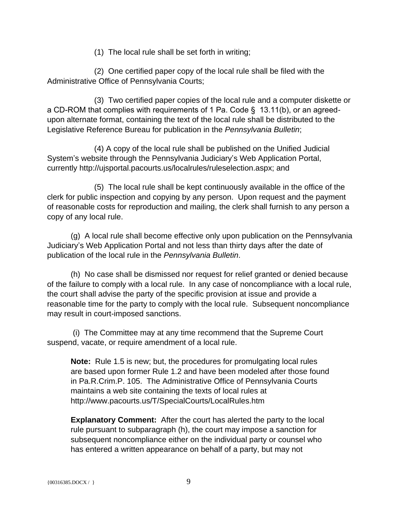(1) The local rule shall be set forth in writing;

(2) One certified paper copy of the local rule shall be filed with the Administrative Office of Pennsylvania Courts;

(3) Two certified paper copies of the local rule and a computer diskette or a CD-ROM that complies with requirements of 1 Pa. Code § 13.11(b), or an agreedupon alternate format, containing the text of the local rule shall be distributed to the Legislative Reference Bureau for publication in the *Pennsylvania Bulletin*;

(4) A copy of the local rule shall be published on the Unified Judicial System's website through the Pennsylvania Judiciary's Web Application Portal, currently http://ujsportal.pacourts.us/localrules/ruleselection.aspx; and

(5) The local rule shall be kept continuously available in the office of the clerk for public inspection and copying by any person. Upon request and the payment of reasonable costs for reproduction and mailing, the clerk shall furnish to any person a copy of any local rule.

(g) A local rule shall become effective only upon publication on the Pennsylvania Judiciary's Web Application Portal and not less than thirty days after the date of publication of the local rule in the *Pennsylvania Bulletin*.

(h) No case shall be dismissed nor request for relief granted or denied because of the failure to comply with a local rule. In any case of noncompliance with a local rule, the court shall advise the party of the specific provision at issue and provide a reasonable time for the party to comply with the local rule. Subsequent noncompliance may result in court-imposed sanctions.

 (i) The Committee may at any time recommend that the Supreme Court suspend, vacate, or require amendment of a local rule.

**Note:** Rule 1.5 is new; but, the procedures for promulgating local rules are based upon former Rule 1.2 and have been modeled after those found in Pa.R.Crim.P. 105. The Administrative Office of Pennsylvania Courts maintains a web site containing the texts of local rules at http://www.pacourts.us/T/SpecialCourts/LocalRules.htm

**Explanatory Comment:** After the court has alerted the party to the local rule pursuant to subparagraph (h), the court may impose a sanction for subsequent noncompliance either on the individual party or counsel who has entered a written appearance on behalf of a party, but may not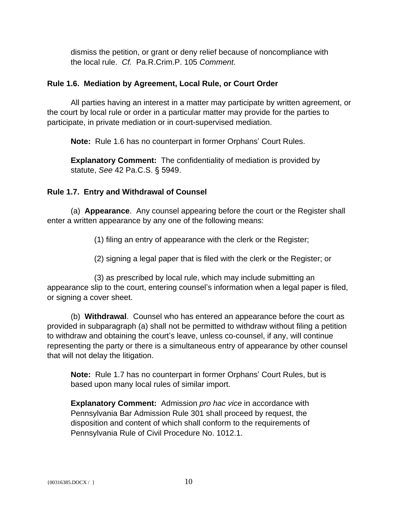dismiss the petition, or grant or deny relief because of noncompliance with the local rule. *Cf.* Pa.R.Crim.P. 105 *Comment*.

## **Rule 1.6. Mediation by Agreement, Local Rule, or Court Order**

All parties having an interest in a matter may participate by written agreement, or the court by local rule or order in a particular matter may provide for the parties to participate, in private mediation or in court-supervised mediation.

**Note:** Rule 1.6 has no counterpart in former Orphans' Court Rules.

**Explanatory Comment:** The confidentiality of mediation is provided by statute, *See* 42 Pa.C.S. § 5949.

## **Rule 1.7. Entry and Withdrawal of Counsel**

(a) **Appearance**. Any counsel appearing before the court or the Register shall enter a written appearance by any one of the following means:

(1) filing an entry of appearance with the clerk or the Register;

(2) signing a legal paper that is filed with the clerk or the Register; or

(3) as prescribed by local rule, which may include submitting an appearance slip to the court, entering counsel's information when a legal paper is filed, or signing a cover sheet.

(b) **Withdrawal**. Counsel who has entered an appearance before the court as provided in subparagraph (a) shall not be permitted to withdraw without filing a petition to withdraw and obtaining the court's leave, unless co-counsel, if any, will continue representing the party or there is a simultaneous entry of appearance by other counsel that will not delay the litigation.

**Note:** Rule 1.7 has no counterpart in former Orphans' Court Rules, but is based upon many local rules of similar import.

**Explanatory Comment:** Admission *pro hac vice* in accordance with Pennsylvania Bar Admission Rule 301 shall proceed by request, the disposition and content of which shall conform to the requirements of Pennsylvania Rule of Civil Procedure No. 1012.1.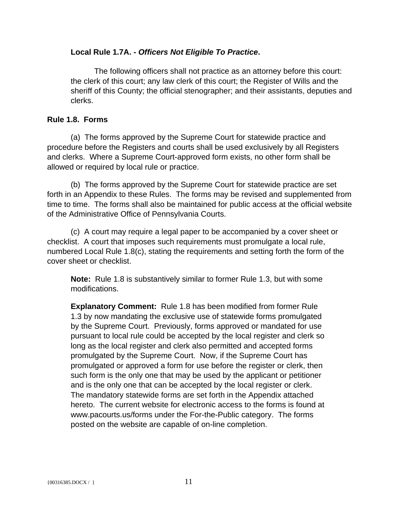## **Local Rule 1.7A. -** *Officers Not Eligible To Practice***.**

The following officers shall not practice as an attorney before this court: the clerk of this court; any law clerk of this court; the Register of Wills and the sheriff of this County; the official stenographer; and their assistants, deputies and clerks.

## **Rule 1.8. Forms**

(a) The forms approved by the Supreme Court for statewide practice and procedure before the Registers and courts shall be used exclusively by all Registers and clerks. Where a Supreme Court-approved form exists, no other form shall be allowed or required by local rule or practice.

(b) The forms approved by the Supreme Court for statewide practice are set forth in an Appendix to these Rules. The forms may be revised and supplemented from time to time. The forms shall also be maintained for public access at the official website of the Administrative Office of Pennsylvania Courts.

(c) A court may require a legal paper to be accompanied by a cover sheet or checklist. A court that imposes such requirements must promulgate a local rule, numbered Local Rule 1.8(c), stating the requirements and setting forth the form of the cover sheet or checklist.

**Note:** Rule 1.8 is substantively similar to former Rule 1.3, but with some modifications.

**Explanatory Comment:** Rule 1.8 has been modified from former Rule 1.3 by now mandating the exclusive use of statewide forms promulgated by the Supreme Court. Previously, forms approved or mandated for use pursuant to local rule could be accepted by the local register and clerk so long as the local register and clerk also permitted and accepted forms promulgated by the Supreme Court. Now, if the Supreme Court has promulgated or approved a form for use before the register or clerk, then such form is the only one that may be used by the applicant or petitioner and is the only one that can be accepted by the local register or clerk. The mandatory statewide forms are set forth in the Appendix attached hereto. The current website for electronic access to the forms is found at www.pacourts.us/forms under the For-the-Public category. The forms posted on the website are capable of on-line completion.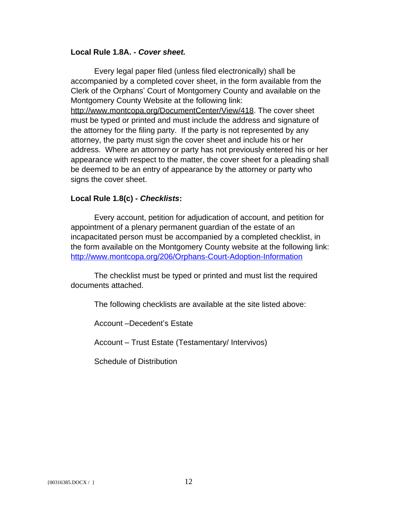#### **Local Rule 1.8A. -** *Cover sheet.*

Every legal paper filed (unless filed electronically) shall be accompanied by a completed cover sheet, in the form available from the Clerk of the Orphans' Court of Montgomery County and available on the Montgomery County Website at the following link: http://www.montcopa.org/DocumentCenter/View/418. The cover sheet must be typed or printed and must include the address and signature of the attorney for the filing party. If the party is not represented by any attorney, the party must sign the cover sheet and include his or her address. Where an attorney or party has not previously entered his or her appearance with respect to the matter, the cover sheet for a pleading shall be deemed to be an entry of appearance by the attorney or party who signs the cover sheet.

#### **Local Rule 1.8(c) -** *Checklists***:**

Every account, petition for adjudication of account, and petition for appointment of a plenary permanent guardian of the estate of an incapacitated person must be accompanied by a completed checklist, in the form available on the Montgomery County website at the following link: <http://www.montcopa.org/206/Orphans-Court-Adoption-Information>

The checklist must be typed or printed and must list the required documents attached.

The following checklists are available at the site listed above:

Account –Decedent's Estate

Account – Trust Estate (Testamentary/ Intervivos)

Schedule of Distribution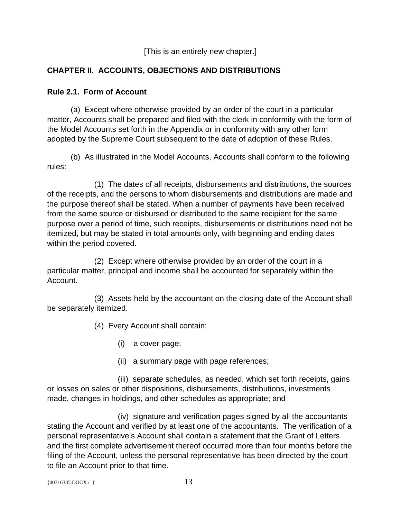[This is an entirely new chapter.]

# **CHAPTER II. ACCOUNTS, OBJECTIONS AND DISTRIBUTIONS**

## **Rule 2.1. Form of Account**

(a) Except where otherwise provided by an order of the court in a particular matter, Accounts shall be prepared and filed with the clerk in conformity with the form of the Model Accounts set forth in the Appendix or in conformity with any other form adopted by the Supreme Court subsequent to the date of adoption of these Rules.

(b) As illustrated in the Model Accounts, Accounts shall conform to the following rules:

(1) The dates of all receipts, disbursements and distributions, the sources of the receipts, and the persons to whom disbursements and distributions are made and the purpose thereof shall be stated. When a number of payments have been received from the same source or disbursed or distributed to the same recipient for the same purpose over a period of time, such receipts, disbursements or distributions need not be itemized, but may be stated in total amounts only, with beginning and ending dates within the period covered.

(2) Except where otherwise provided by an order of the court in a particular matter, principal and income shall be accounted for separately within the Account.

(3) Assets held by the accountant on the closing date of the Account shall be separately itemized.

(4) Every Account shall contain:

(i) a cover page;

(ii) a summary page with page references;

(iii) separate schedules, as needed, which set forth receipts, gains or losses on sales or other dispositions, disbursements, distributions, investments made, changes in holdings, and other schedules as appropriate; and

(iv) signature and verification pages signed by all the accountants stating the Account and verified by at least one of the accountants. The verification of a personal representative's Account shall contain a statement that the Grant of Letters and the first complete advertisement thereof occurred more than four months before the filing of the Account, unless the personal representative has been directed by the court to file an Account prior to that time.

 $\{00316385.DOCX / \}$  13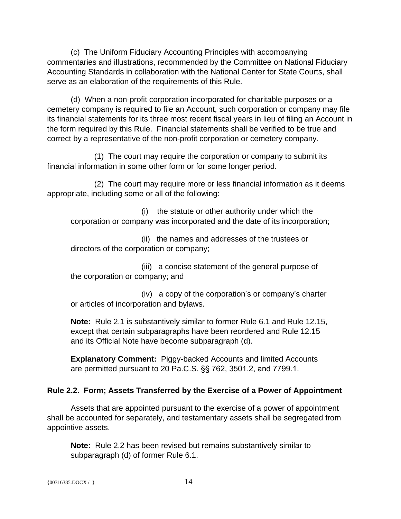(c) The Uniform Fiduciary Accounting Principles with accompanying commentaries and illustrations, recommended by the Committee on National Fiduciary Accounting Standards in collaboration with the National Center for State Courts, shall serve as an elaboration of the requirements of this Rule.

(d) When a non-profit corporation incorporated for charitable purposes or a cemetery company is required to file an Account, such corporation or company may file its financial statements for its three most recent fiscal years in lieu of filing an Account in the form required by this Rule. Financial statements shall be verified to be true and correct by a representative of the non-profit corporation or cemetery company.

(1) The court may require the corporation or company to submit its financial information in some other form or for some longer period.

(2) The court may require more or less financial information as it deems appropriate, including some or all of the following:

(i) the statute or other authority under which the corporation or company was incorporated and the date of its incorporation;

(ii) the names and addresses of the trustees or directors of the corporation or company;

(iii) a concise statement of the general purpose of the corporation or company; and

(iv) a copy of the corporation's or company's charter or articles of incorporation and bylaws.

**Note:** Rule 2.1 is substantively similar to former Rule 6.1 and Rule 12.15, except that certain subparagraphs have been reordered and Rule 12.15 and its Official Note have become subparagraph (d).

**Explanatory Comment:** Piggy-backed Accounts and limited Accounts are permitted pursuant to 20 Pa.C.S. §§ 762, 3501.2, and 7799.1.

## **Rule 2.2. Form; Assets Transferred by the Exercise of a Power of Appointment**

Assets that are appointed pursuant to the exercise of a power of appointment shall be accounted for separately, and testamentary assets shall be segregated from appointive assets.

**Note:** Rule 2.2 has been revised but remains substantively similar to subparagraph (d) of former Rule 6.1.

```
{14}
```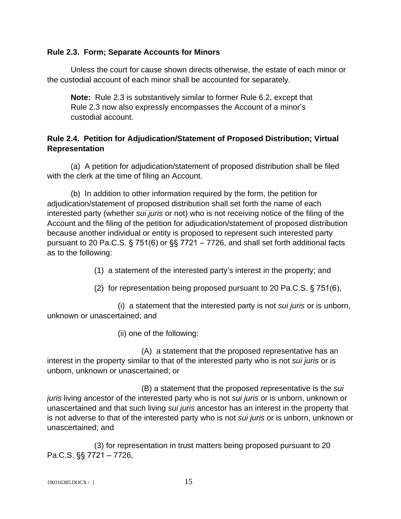## **Rule 2.3. Form; Separate Accounts for Minors**

Unless the court for cause shown directs otherwise, the estate of each minor or the custodial account of each minor shall be accounted for separately.

**Note:** Rule 2.3 is substantively similar to former Rule 6.2, except that Rule 2.3 now also expressly encompasses the Account of a minor's custodial account.

## **Rule 2.4. Petition for Adjudication/Statement of Proposed Distribution; Virtual Representation**

(a) A petition for adjudication/statement of proposed distribution shall be filed with the clerk at the time of filing an Account.

(b) In addition to other information required by the form, the petition for adjudication/statement of proposed distribution shall set forth the name of each interested party (whether *sui juris* or not) who is not receiving notice of the filing of the Account and the filing of the petition for adjudication/statement of proposed distribution because another individual or entity is proposed to represent such interested party pursuant to 20 Pa.C.S. § 751(6) or §§ 7721 – 7726, and shall set forth additional facts as to the following:

(1) a statement of the interested party's interest in the property; and

(2) for representation being proposed pursuant to 20 Pa.C.S. § 751(6),

(i) a statement that the interested party is not *sui juris* or is unborn, unknown or unascertained; and

(ii) one of the following:

(A) a statement that the proposed representative has an interest in the property similar to that of the interested party who is not *sui juris* or is unborn, unknown or unascertained; or

(B) a statement that the proposed representative is the *sui juris* living ancestor of the interested party who is not *sui juris* or is unborn, unknown or unascertained and that such living *sui juris* ancestor has an interest in the property that is not adverse to that of the interested party who is not *sui juris* or is unborn, unknown or unascertained; and

(3) for representation in trust matters being proposed pursuant to 20 Pa.C.S. §§ 7721 – 7726,

```
\{00316385.DOCX / \} 15
```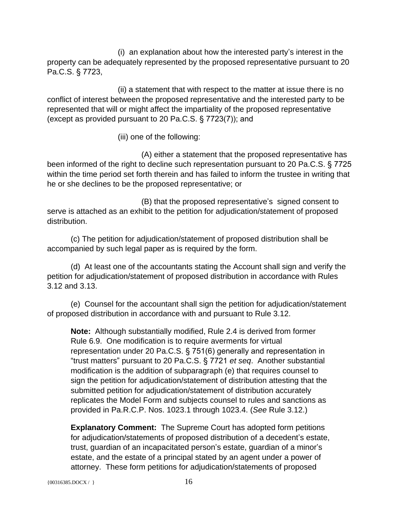(i) an explanation about how the interested party's interest in the property can be adequately represented by the proposed representative pursuant to 20 Pa.C.S. § 7723,

(ii) a statement that with respect to the matter at issue there is no conflict of interest between the proposed representative and the interested party to be represented that will or might affect the impartiality of the proposed representative (except as provided pursuant to 20 Pa.C.S. § 7723(7)); and

(iii) one of the following:

(A) either a statement that the proposed representative has been informed of the right to decline such representation pursuant to 20 Pa.C.S. § 7725 within the time period set forth therein and has failed to inform the trustee in writing that he or she declines to be the proposed representative; or

(B) that the proposed representative's signed consent to serve is attached as an exhibit to the petition for adjudication/statement of proposed distribution.

(c) The petition for adjudication/statement of proposed distribution shall be accompanied by such legal paper as is required by the form.

(d) At least one of the accountants stating the Account shall sign and verify the petition for adjudication/statement of proposed distribution in accordance with Rules 3.12 and 3.13.

(e) Counsel for the accountant shall sign the petition for adjudication/statement of proposed distribution in accordance with and pursuant to Rule 3.12.

**Note:** Although substantially modified, Rule 2.4 is derived from former Rule 6.9. One modification is to require averments for virtual representation under 20 Pa.C.S. § 751(6) generally and representation in "trust matters" pursuant to 20 Pa.C.S. § 7721 *et seq*. Another substantial modification is the addition of subparagraph (e) that requires counsel to sign the petition for adjudication/statement of distribution attesting that the submitted petition for adjudication/statement of distribution accurately replicates the Model Form and subjects counsel to rules and sanctions as provided in Pa.R.C.P. Nos. 1023.1 through 1023.4. (*See* Rule 3.12.)

**Explanatory Comment:** The Supreme Court has adopted form petitions for adjudication/statements of proposed distribution of a decedent's estate, trust, guardian of an incapacitated person's estate, guardian of a minor's estate, and the estate of a principal stated by an agent under a power of attorney. These form petitions for adjudication/statements of proposed

{ $00316385.DOCX / }$ } 16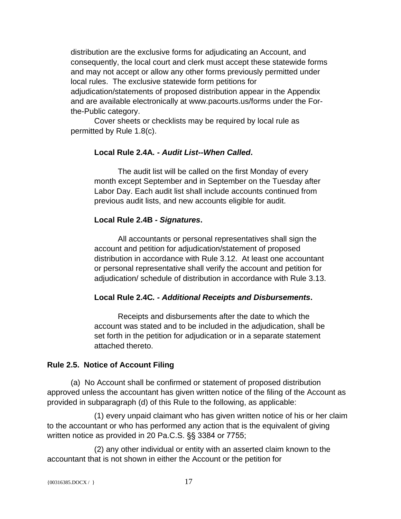distribution are the exclusive forms for adjudicating an Account, and consequently, the local court and clerk must accept these statewide forms and may not accept or allow any other forms previously permitted under local rules. The exclusive statewide form petitions for adjudication/statements of proposed distribution appear in the Appendix and are available electronically at www.pacourts.us/forms under the Forthe-Public category.

Cover sheets or checklists may be required by local rule as permitted by Rule 1.8(c).

## **Local Rule 2.4A***. - Audit List--When Called***.**

The audit list will be called on the first Monday of every month except September and in September on the Tuesday after Labor Day. Each audit list shall include accounts continued from previous audit lists, and new accounts eligible for audit.

## **Local Rule 2.4B** *- Signatures***.**

All accountants or personal representatives shall sign the account and petition for adjudication/statement of proposed distribution in accordance with Rule 3.12. At least one accountant or personal representative shall verify the account and petition for adjudication/ schedule of distribution in accordance with Rule 3.13.

## **Local Rule 2.4C***. - Additional Receipts and Disbursements***.**

Receipts and disbursements after the date to which the account was stated and to be included in the adjudication, shall be set forth in the petition for adjudication or in a separate statement attached thereto.

## **Rule 2.5. Notice of Account Filing**

(a) No Account shall be confirmed or statement of proposed distribution approved unless the accountant has given written notice of the filing of the Account as provided in subparagraph (d) of this Rule to the following, as applicable:

(1) every unpaid claimant who has given written notice of his or her claim to the accountant or who has performed any action that is the equivalent of giving written notice as provided in 20 Pa.C.S. §§ 3384 or 7755;

(2) any other individual or entity with an asserted claim known to the accountant that is not shown in either the Account or the petition for

```
{00316385.DOCX / } 17
```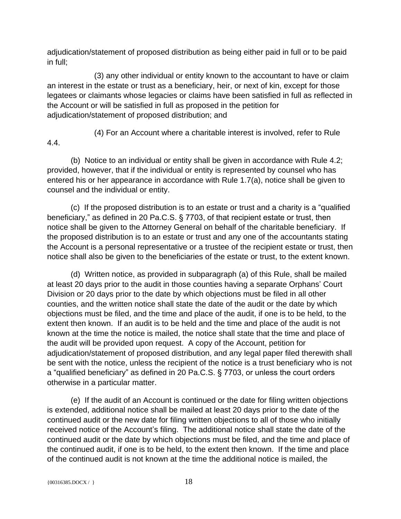adjudication/statement of proposed distribution as being either paid in full or to be paid in full;

(3) any other individual or entity known to the accountant to have or claim an interest in the estate or trust as a beneficiary, heir, or next of kin, except for those legatees or claimants whose legacies or claims have been satisfied in full as reflected in the Account or will be satisfied in full as proposed in the petition for adjudication/statement of proposed distribution; and

4.4.

(4) For an Account where a charitable interest is involved, refer to Rule

(b) Notice to an individual or entity shall be given in accordance with Rule 4.2; provided, however, that if the individual or entity is represented by counsel who has entered his or her appearance in accordance with Rule 1.7(a), notice shall be given to counsel and the individual or entity.

(c) If the proposed distribution is to an estate or trust and a charity is a "qualified beneficiary," as defined in 20 Pa.C.S. § 7703, of that recipient estate or trust, then notice shall be given to the Attorney General on behalf of the charitable beneficiary. If the proposed distribution is to an estate or trust and any one of the accountants stating the Account is a personal representative or a trustee of the recipient estate or trust, then notice shall also be given to the beneficiaries of the estate or trust, to the extent known.

(d) Written notice, as provided in subparagraph (a) of this Rule, shall be mailed at least 20 days prior to the audit in those counties having a separate Orphans' Court Division or 20 days prior to the date by which objections must be filed in all other counties, and the written notice shall state the date of the audit or the date by which objections must be filed, and the time and place of the audit, if one is to be held, to the extent then known. If an audit is to be held and the time and place of the audit is not known at the time the notice is mailed, the notice shall state that the time and place of the audit will be provided upon request. A copy of the Account, petition for adjudication/statement of proposed distribution, and any legal paper filed therewith shall be sent with the notice, unless the recipient of the notice is a trust beneficiary who is not a "qualified beneficiary" as defined in 20 Pa.C.S. § 7703, or unless the court orders otherwise in a particular matter.

(e) If the audit of an Account is continued or the date for filing written objections is extended, additional notice shall be mailed at least 20 days prior to the date of the continued audit or the new date for filing written objections to all of those who initially received notice of the Account's filing. The additional notice shall state the date of the continued audit or the date by which objections must be filed, and the time and place of the continued audit, if one is to be held, to the extent then known. If the time and place of the continued audit is not known at the time the additional notice is mailed, the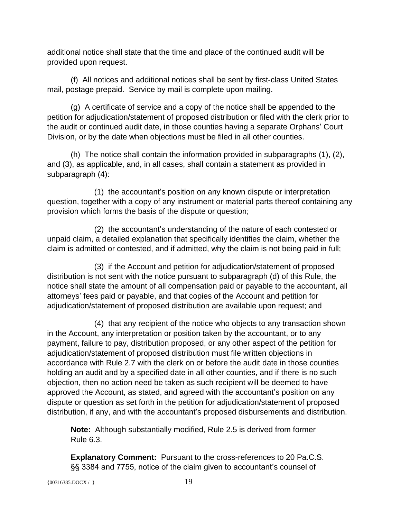additional notice shall state that the time and place of the continued audit will be provided upon request.

(f) All notices and additional notices shall be sent by first-class United States mail, postage prepaid. Service by mail is complete upon mailing.

(g) A certificate of service and a copy of the notice shall be appended to the petition for adjudication/statement of proposed distribution or filed with the clerk prior to the audit or continued audit date, in those counties having a separate Orphans' Court Division, or by the date when objections must be filed in all other counties.

(h) The notice shall contain the information provided in subparagraphs (1), (2), and (3), as applicable, and, in all cases, shall contain a statement as provided in subparagraph (4):

(1) the accountant's position on any known dispute or interpretation question, together with a copy of any instrument or material parts thereof containing any provision which forms the basis of the dispute or question;

(2) the accountant's understanding of the nature of each contested or unpaid claim, a detailed explanation that specifically identifies the claim, whether the claim is admitted or contested, and if admitted, why the claim is not being paid in full;

(3) if the Account and petition for adjudication/statement of proposed distribution is not sent with the notice pursuant to subparagraph (d) of this Rule, the notice shall state the amount of all compensation paid or payable to the accountant, all attorneys' fees paid or payable, and that copies of the Account and petition for adjudication/statement of proposed distribution are available upon request; and

(4) that any recipient of the notice who objects to any transaction shown in the Account, any interpretation or position taken by the accountant, or to any payment, failure to pay, distribution proposed, or any other aspect of the petition for adjudication/statement of proposed distribution must file written objections in accordance with Rule 2.7 with the clerk on or before the audit date in those counties holding an audit and by a specified date in all other counties, and if there is no such objection, then no action need be taken as such recipient will be deemed to have approved the Account, as stated, and agreed with the accountant's position on any dispute or question as set forth in the petition for adjudication/statement of proposed distribution, if any, and with the accountant's proposed disbursements and distribution.

**Note:** Although substantially modified, Rule 2.5 is derived from former Rule 6.3.

**Explanatory Comment:** Pursuant to the cross-references to 20 Pa.C.S. §§ 3384 and 7755, notice of the claim given to accountant's counsel of

{00316385.DOCX / } 19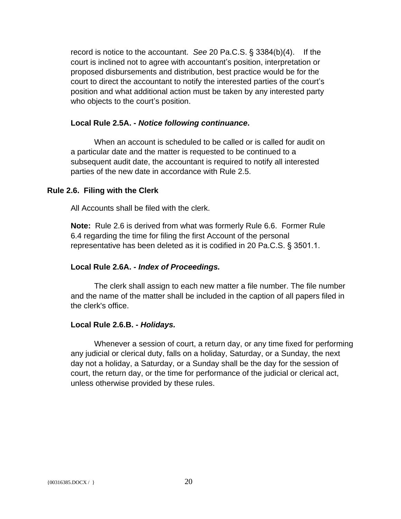record is notice to the accountant. *See* 20 Pa.C.S. § 3384(b)(4). If the court is inclined not to agree with accountant's position, interpretation or proposed disbursements and distribution, best practice would be for the court to direct the accountant to notify the interested parties of the court's position and what additional action must be taken by any interested party who objects to the court's position.

#### **Local Rule 2.5A. -** *Notice following continuance***.**

When an account is scheduled to be called or is called for audit on a particular date and the matter is requested to be continued to a subsequent audit date, the accountant is required to notify all interested parties of the new date in accordance with Rule 2.5.

#### **Rule 2.6. Filing with the Clerk**

All Accounts shall be filed with the clerk.

**Note:** Rule 2.6 is derived from what was formerly Rule 6.6. Former Rule 6.4 regarding the time for filing the first Account of the personal representative has been deleted as it is codified in 20 Pa.C.S. § 3501.1.

#### **Local Rule 2.6A. -** *Index of Proceedings.*

The clerk shall assign to each new matter a file number. The file number and the name of the matter shall be included in the caption of all papers filed in the clerk's office.

#### **Local Rule 2.6.B. -** *Holidays.*

Whenever a session of court, a return day, or any time fixed for performing any judicial or clerical duty, falls on a holiday, Saturday, or a Sunday, the next day not a holiday, a Saturday, or a Sunday shall be the day for the session of court, the return day, or the time for performance of the judicial or clerical act, unless otherwise provided by these rules.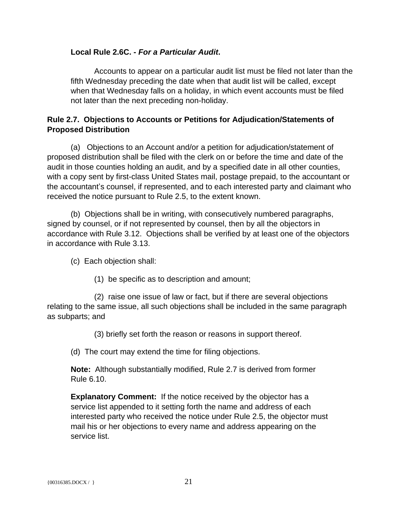## **Local Rule 2.6C. -** *For a Particular Audit***.**

Accounts to appear on a particular audit list must be filed not later than the fifth Wednesday preceding the date when that audit list will be called, except when that Wednesday falls on a holiday, in which event accounts must be filed not later than the next preceding non-holiday.

## **Rule 2.7. Objections to Accounts or Petitions for Adjudication/Statements of Proposed Distribution**

(a) Objections to an Account and/or a petition for adjudication/statement of proposed distribution shall be filed with the clerk on or before the time and date of the audit in those counties holding an audit, and by a specified date in all other counties, with a copy sent by first-class United States mail, postage prepaid, to the accountant or the accountant's counsel, if represented, and to each interested party and claimant who received the notice pursuant to Rule 2.5, to the extent known.

(b) Objections shall be in writing, with consecutively numbered paragraphs, signed by counsel, or if not represented by counsel, then by all the objectors in accordance with Rule 3.12. Objections shall be verified by at least one of the objectors in accordance with Rule 3.13.

- (c) Each objection shall:
	- (1) be specific as to description and amount;

(2) raise one issue of law or fact, but if there are several objections relating to the same issue, all such objections shall be included in the same paragraph as subparts; and

(3) briefly set forth the reason or reasons in support thereof.

(d) The court may extend the time for filing objections.

**Note:** Although substantially modified, Rule 2.7 is derived from former Rule 6.10.

**Explanatory Comment:** If the notice received by the objector has a service list appended to it setting forth the name and address of each interested party who received the notice under Rule 2.5, the objector must mail his or her objections to every name and address appearing on the service list.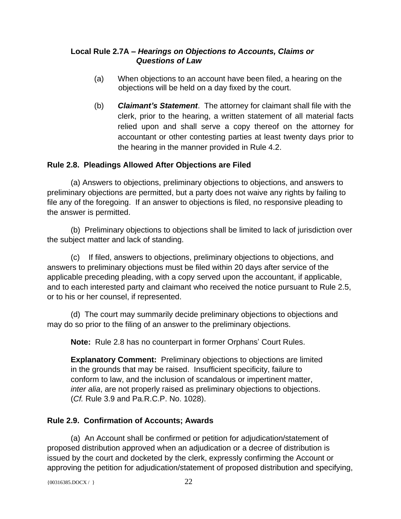## **Local Rule 2.7A –** *Hearings on Objections to Accounts, Claims or*  *Questions of Law*

- (a) When objections to an account have been filed, a hearing on the objections will be held on a day fixed by the court.
- (b) *Claimant's Statement*. The attorney for claimant shall file with the clerk, prior to the hearing, a written statement of all material facts relied upon and shall serve a copy thereof on the attorney for accountant or other contesting parties at least twenty days prior to the hearing in the manner provided in Rule 4.2.

## **Rule 2.8. Pleadings Allowed After Objections are Filed**

(a) Answers to objections, preliminary objections to objections, and answers to preliminary objections are permitted, but a party does not waive any rights by failing to file any of the foregoing. If an answer to objections is filed, no responsive pleading to the answer is permitted.

(b) Preliminary objections to objections shall be limited to lack of jurisdiction over the subject matter and lack of standing.

(c) If filed, answers to objections, preliminary objections to objections, and answers to preliminary objections must be filed within 20 days after service of the applicable preceding pleading, with a copy served upon the accountant, if applicable, and to each interested party and claimant who received the notice pursuant to Rule 2.5, or to his or her counsel, if represented.

(d) The court may summarily decide preliminary objections to objections and may do so prior to the filing of an answer to the preliminary objections.

**Note:** Rule 2.8 has no counterpart in former Orphans' Court Rules.

**Explanatory Comment:** Preliminary objections to objections are limited in the grounds that may be raised. Insufficient specificity, failure to conform to law, and the inclusion of scandalous or impertinent matter, *inter alia*, are not properly raised as preliminary objections to objections. (*Cf.* Rule 3.9 and Pa.R.C.P. No. 1028).

# **Rule 2.9. Confirmation of Accounts; Awards**

(a) An Account shall be confirmed or petition for adjudication/statement of proposed distribution approved when an adjudication or a decree of distribution is issued by the court and docketed by the clerk, expressly confirming the Account or approving the petition for adjudication/statement of proposed distribution and specifying,

```
{00316385.DOCX / } 22
```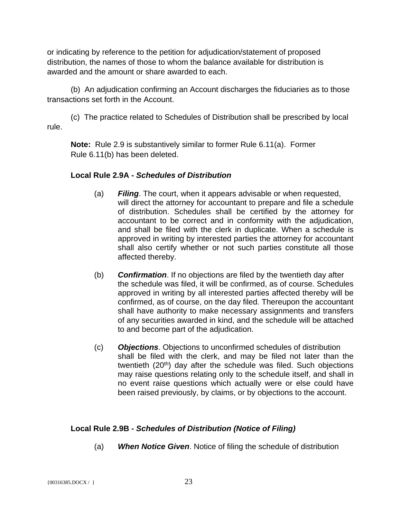or indicating by reference to the petition for adjudication/statement of proposed distribution, the names of those to whom the balance available for distribution is awarded and the amount or share awarded to each.

(b) An adjudication confirming an Account discharges the fiduciaries as to those transactions set forth in the Account.

(c) The practice related to Schedules of Distribution shall be prescribed by local rule.

**Note:** Rule 2.9 is substantively similar to former Rule 6.11(a). Former Rule 6.11(b) has been deleted.

## **Local Rule 2.9A -** *Schedules of Distribution*

- (a) *Filing*. The court, when it appears advisable or when requested, will direct the attorney for accountant to prepare and file a schedule of distribution. Schedules shall be certified by the attorney for accountant to be correct and in conformity with the adjudication, and shall be filed with the clerk in duplicate. When a schedule is approved in writing by interested parties the attorney for accountant shall also certify whether or not such parties constitute all those affected thereby.
- (b) *Confirmation*. If no objections are filed by the twentieth day after the schedule was filed, it will be confirmed, as of course. Schedules approved in writing by all interested parties affected thereby will be confirmed, as of course, on the day filed. Thereupon the accountant shall have authority to make necessary assignments and transfers of any securities awarded in kind, and the schedule will be attached to and become part of the adjudication.
- (c) *Objections*. Objections to unconfirmed schedules of distribution shall be filed with the clerk, and may be filed not later than the twentieth (20<sup>th</sup>) day after the schedule was filed. Such objections may raise questions relating only to the schedule itself, and shall in no event raise questions which actually were or else could have been raised previously, by claims, or by objections to the account.

## **Local Rule 2.9B -** *Schedules of Distribution (Notice of Filing)*

(a) *When Notice Given*. Notice of filing the schedule of distribution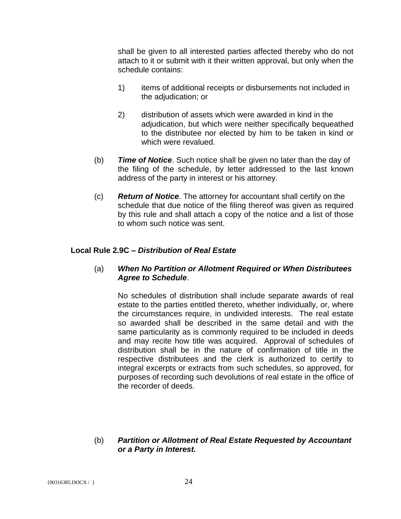shall be given to all interested parties affected thereby who do not attach to it or submit with it their written approval, but only when the schedule contains:

- 1) items of additional receipts or disbursements not included in the adjudication; or
- 2) distribution of assets which were awarded in kind in the adjudication, but which were neither specifically bequeathed to the distributee nor elected by him to be taken in kind or which were revalued.
- (b) *Time of Notice*. Such notice shall be given no later than the day of the filing of the schedule, by letter addressed to the last known address of the party in interest or his attorney.
- (c) *Return of Notice*. The attorney for accountant shall certify on the schedule that due notice of the filing thereof was given as required by this rule and shall attach a copy of the notice and a list of those to whom such notice was sent.

## **Local Rule 2.9C –** *Distribution of Real Estate*

## (a) *When No Partition or Allotment Required or When Distributees Agree to Schedule*.

No schedules of distribution shall include separate awards of real estate to the parties entitled thereto, whether individually, or, where the circumstances require, in undivided interests. The real estate so awarded shall be described in the same detail and with the same particularity as is commonly required to be included in deeds and may recite how title was acquired. Approval of schedules of distribution shall be in the nature of confirmation of title in the respective distributees and the clerk is authorized to certify to integral excerpts or extracts from such schedules, so approved, for purposes of recording such devolutions of real estate in the office of the recorder of deeds.

#### (b) *Partition or Allotment of Real Estate Requested by Accountant or a Party in Interest.*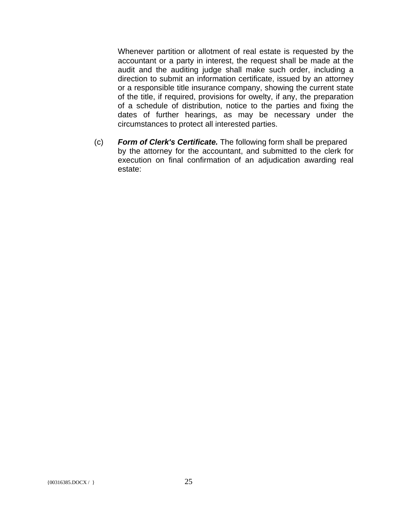Whenever partition or allotment of real estate is requested by the accountant or a party in interest, the request shall be made at the audit and the auditing judge shall make such order, including a direction to submit an information certificate, issued by an attorney or a responsible title insurance company, showing the current state of the title, if required, provisions for owelty, if any, the preparation of a schedule of distribution, notice to the parties and fixing the dates of further hearings, as may be necessary under the circumstances to protect all interested parties.

(c) *Form of Clerk's Certificate.* The following form shall be prepared by the attorney for the accountant, and submitted to the clerk for execution on final confirmation of an adjudication awarding real estate: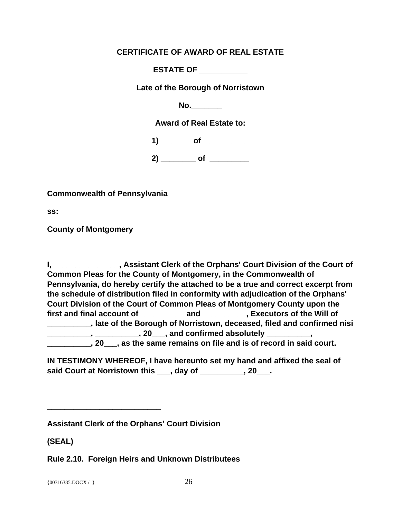## **CERTIFICATE OF AWARD OF REAL ESTATE**

**ESTATE OF \_\_\_\_\_\_\_\_\_\_\_**

**Late of the Borough of Norristown**

**No.\_\_\_\_\_\_\_**

**Award of Real Estate to:**

1) of **of** 

**2) \_\_\_\_\_\_\_\_ of \_\_\_\_\_\_\_\_\_**

**Commonwealth of Pennsylvania**

**ss:**

**County of Montgomery**

**I, \_\_\_\_\_\_\_\_\_\_\_\_\_\_\_, Assistant Clerk of the Orphans' Court Division of the Court of Common Pleas for the County of Montgomery, in the Commonwealth of Pennsylvania, do hereby certify the attached to be a true and correct excerpt from the schedule of distribution filed in conformity with adjudication of the Orphans' Court Division of the Court of Common Pleas of Montgomery County upon the**  first and final account of **and times and the Will of and State and State County in the Will of \_\_\_\_\_\_\_\_\_\_, late of the Borough of Norristown, deceased, filed and confirmed nisi \_\_\_\_\_\_\_\_\_\_, \_\_\_\_\_\_\_\_\_\_, 20\_\_\_, and confirmed absolutely \_\_\_\_\_\_\_\_\_\_, \_\_\_\_\_\_\_\_\_\_, 20\_\_\_, as the same remains on file and is of record in said court.**

**IN TESTIMONY WHEREOF, I have hereunto set my hand and affixed the seal of said Court at Norristown this \_\_\_, day of \_\_\_\_\_\_\_\_\_\_, 20\_\_\_.**

**Assistant Clerk of the Orphans' Court Division**

**\_\_\_\_\_\_\_\_\_\_\_\_\_\_\_\_\_\_\_\_\_\_\_\_\_\_**

**(SEAL)**

**Rule 2.10. Foreign Heirs and Unknown Distributees**

{ $00316385.DOCX / }$ } 26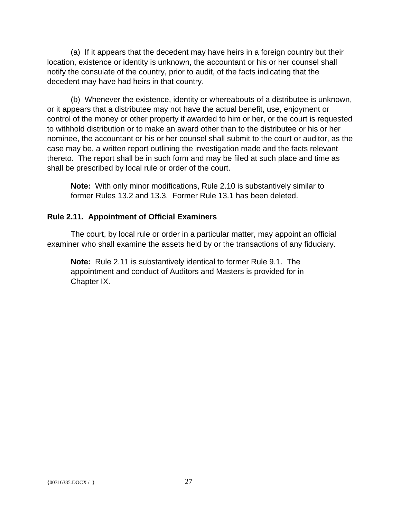(a) If it appears that the decedent may have heirs in a foreign country but their location, existence or identity is unknown, the accountant or his or her counsel shall notify the consulate of the country, prior to audit, of the facts indicating that the decedent may have had heirs in that country.

(b) Whenever the existence, identity or whereabouts of a distributee is unknown, or it appears that a distributee may not have the actual benefit, use, enjoyment or control of the money or other property if awarded to him or her, or the court is requested to withhold distribution or to make an award other than to the distributee or his or her nominee, the accountant or his or her counsel shall submit to the court or auditor, as the case may be, a written report outlining the investigation made and the facts relevant thereto. The report shall be in such form and may be filed at such place and time as shall be prescribed by local rule or order of the court.

**Note:** With only minor modifications, Rule 2.10 is substantively similar to former Rules 13.2 and 13.3. Former Rule 13.1 has been deleted.

## **Rule 2.11. Appointment of Official Examiners**

The court, by local rule or order in a particular matter, may appoint an official examiner who shall examine the assets held by or the transactions of any fiduciary.

**Note:** Rule 2.11 is substantively identical to former Rule 9.1. The appointment and conduct of Auditors and Masters is provided for in Chapter IX.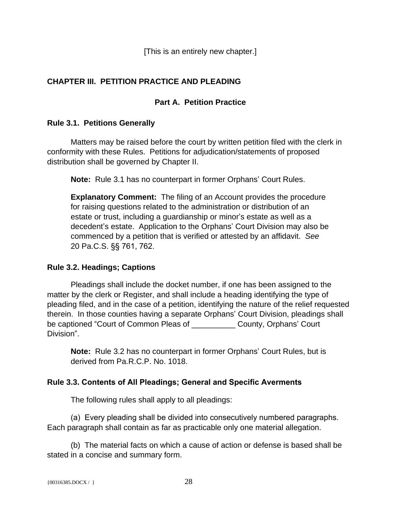[This is an entirely new chapter.]

## **CHAPTER III. PETITION PRACTICE AND PLEADING**

## **Part A. Petition Practice**

## **Rule 3.1. Petitions Generally**

Matters may be raised before the court by written petition filed with the clerk in conformity with these Rules. Petitions for adjudication/statements of proposed distribution shall be governed by Chapter II.

**Note:** Rule 3.1 has no counterpart in former Orphans' Court Rules.

**Explanatory Comment:** The filing of an Account provides the procedure for raising questions related to the administration or distribution of an estate or trust, including a guardianship or minor's estate as well as a decedent's estate. Application to the Orphans' Court Division may also be commenced by a petition that is verified or attested by an affidavit. *See*  20 Pa.C.S. §§ 761, 762.

## **Rule 3.2. Headings; Captions**

Pleadings shall include the docket number, if one has been assigned to the matter by the clerk or Register, and shall include a heading identifying the type of pleading filed, and in the case of a petition, identifying the nature of the relief requested therein. In those counties having a separate Orphans' Court Division, pleadings shall be captioned "Court of Common Pleas of \_\_\_\_\_\_\_\_\_\_ County, Orphans' Court Division".

**Note:** Rule 3.2 has no counterpart in former Orphans' Court Rules, but is derived from Pa.R.C.P. No. 1018.

## **Rule 3.3. Contents of All Pleadings; General and Specific Averments**

The following rules shall apply to all pleadings:

(a) Every pleading shall be divided into consecutively numbered paragraphs. Each paragraph shall contain as far as practicable only one material allegation.

(b) The material facts on which a cause of action or defense is based shall be stated in a concise and summary form.

```
{00316385.DOCX / } 28
```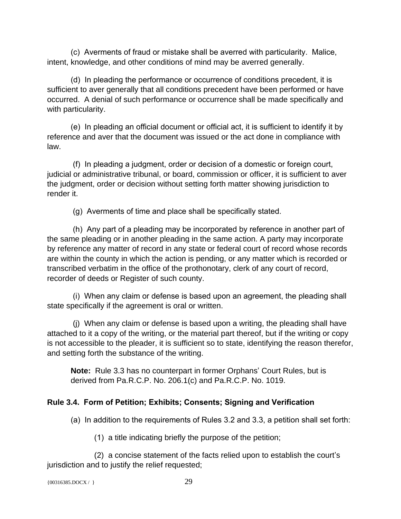(c) Averments of fraud or mistake shall be averred with particularity. Malice, intent, knowledge, and other conditions of mind may be averred generally.

(d) In pleading the performance or occurrence of conditions precedent, it is sufficient to aver generally that all conditions precedent have been performed or have occurred. A denial of such performance or occurrence shall be made specifically and with particularity.

(e) In pleading an official document or official act, it is sufficient to identify it by reference and aver that the document was issued or the act done in compliance with law.

 (f) In pleading a judgment, order or decision of a domestic or foreign court, judicial or administrative tribunal, or board, commission or officer, it is sufficient to aver the judgment, order or decision without setting forth matter showing jurisdiction to render it.

(g) Averments of time and place shall be specifically stated.

 (h) Any part of a pleading may be incorporated by reference in another part of the same pleading or in another pleading in the same action. A party may incorporate by reference any matter of record in any state or federal court of record whose records are within the county in which the action is pending, or any matter which is recorded or transcribed verbatim in the office of the prothonotary, clerk of any court of record, recorder of deeds or Register of such county.

 (i) When any claim or defense is based upon an agreement, the pleading shall state specifically if the agreement is oral or written.

 (j) When any claim or defense is based upon a writing, the pleading shall have attached to it a copy of the writing, or the material part thereof, but if the writing or copy is not accessible to the pleader, it is sufficient so to state, identifying the reason therefor, and setting forth the substance of the writing.

**Note:** Rule 3.3 has no counterpart in former Orphans' Court Rules, but is derived from Pa.R.C.P. No. 206.1(c) and Pa.R.C.P. No. 1019.

# **Rule 3.4. Form of Petition; Exhibits; Consents; Signing and Verification**

(a) In addition to the requirements of Rules 3.2 and 3.3, a petition shall set forth:

(1) a title indicating briefly the purpose of the petition;

(2) a concise statement of the facts relied upon to establish the court's jurisdiction and to justify the relief requested;

```
{00316385.DOCX / } 29
```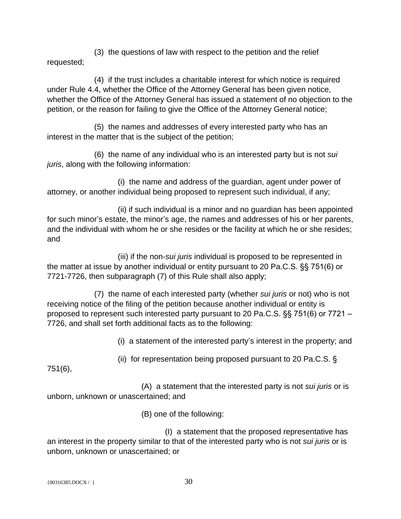(3) the questions of law with respect to the petition and the relief requested;

(4) if the trust includes a charitable interest for which notice is required under Rule 4.4, whether the Office of the Attorney General has been given notice, whether the Office of the Attorney General has issued a statement of no objection to the petition, or the reason for failing to give the Office of the Attorney General notice;

(5) the names and addresses of every interested party who has an interest in the matter that is the subject of the petition;

(6) the name of any individual who is an interested party but is not *sui juris*, along with the following information:

(i) the name and address of the guardian, agent under power of attorney, or another individual being proposed to represent such individual, if any;

(ii) if such individual is a minor and no guardian has been appointed for such minor's estate, the minor's age, the names and addresses of his or her parents, and the individual with whom he or she resides or the facility at which he or she resides; and

(iii) if the non-*sui juris* individual is proposed to be represented in the matter at issue by another individual or entity pursuant to 20 Pa.C.S. §§ 751(6) or 7721-7726, then subparagraph (7) of this Rule shall also apply;

(7) the name of each interested party (whether *sui juris* or not) who is not receiving notice of the filing of the petition because another individual or entity is proposed to represent such interested party pursuant to 20 Pa.C.S. §§ 751(6) or 7721 – 7726, and shall set forth additional facts as to the following:

(i) a statement of the interested party's interest in the property; and

(ii) for representation being proposed pursuant to 20 Pa.C.S. §

751(6),

(A) a statement that the interested party is not *sui juris* or is unborn, unknown or unascertained; and

(B) one of the following:

(I) a statement that the proposed representative has an interest in the property similar to that of the interested party who is not *sui juris* or is unborn, unknown or unascertained; or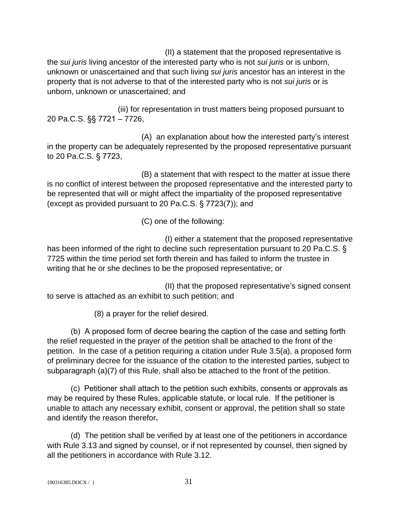(II) a statement that the proposed representative is the *sui juris* living ancestor of the interested party who is not *sui juris* or is unborn, unknown or unascertained and that such living *sui juris* ancestor has an interest in the property that is not adverse to that of the interested party who is not *sui juris* or is unborn, unknown or unascertained; and

(iii) for representation in trust matters being proposed pursuant to 20 Pa.C.S. §§ 7721 – 7726,

(A) an explanation about how the interested party's interest in the property can be adequately represented by the proposed representative pursuant to 20 Pa.C.S. § 7723,

(B) a statement that with respect to the matter at issue there is no conflict of interest between the proposed representative and the interested party to be represented that will or might affect the impartiality of the proposed representative (except as provided pursuant to 20 Pa.C.S. § 7723(7)); and

(C) one of the following:

(I) either a statement that the proposed representative has been informed of the right to decline such representation pursuant to 20 Pa.C.S. § 7725 within the time period set forth therein and has failed to inform the trustee in writing that he or she declines to be the proposed representative; or

(II) that the proposed representative's signed consent to serve is attached as an exhibit to such petition; and

(8) a prayer for the relief desired.

(b) A proposed form of decree bearing the caption of the case and setting forth the relief requested in the prayer of the petition shall be attached to the front of the petition. In the case of a petition requiring a citation under Rule 3.5(a), a proposed form of preliminary decree for the issuance of the citation to the interested parties, subject to subparagraph (a)(7) of this Rule, shall also be attached to the front of the petition.

(c) Petitioner shall attach to the petition such exhibits, consents or approvals as may be required by these Rules, applicable statute, or local rule. If the petitioner is unable to attach any necessary exhibit, consent or approval, the petition shall so state and identify the reason therefor**.**

(d) The petition shall be verified by at least one of the petitioners in accordance with Rule 3.13 and signed by counsel, or if not represented by counsel, then signed by all the petitioners in accordance with Rule 3.12.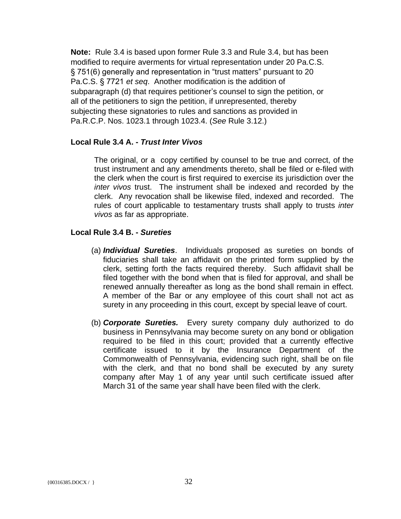**Note:** Rule 3.4 is based upon former Rule 3.3 and Rule 3.4, but has been modified to require averments for virtual representation under 20 Pa.C.S. § 751(6) generally and representation in "trust matters" pursuant to 20 Pa.C.S. § 7721 *et seq*. Another modification is the addition of subparagraph (d) that requires petitioner's counsel to sign the petition, or all of the petitioners to sign the petition, if unrepresented, thereby subjecting these signatories to rules and sanctions as provided in Pa.R.C.P. Nos. 1023.1 through 1023.4. (*See* Rule 3.12.)

#### **Local Rule 3.4 A. -** *Trust Inter Vivos*

The original, or a copy certified by counsel to be true and correct, of the trust instrument and any amendments thereto, shall be filed or e-filed with the clerk when the court is first required to exercise its jurisdiction over the *inter vivos* trust. The instrument shall be indexed and recorded by the clerk. Any revocation shall be likewise filed, indexed and recorded. The rules of court applicable to testamentary trusts shall apply to trusts *inter vivos* as far as appropriate.

#### **Local Rule 3.4 B. -** *Sureties*

- (a) *Individual Sureties*. Individuals proposed as sureties on bonds of fiduciaries shall take an affidavit on the printed form supplied by the clerk, setting forth the facts required thereby. Such affidavit shall be filed together with the bond when that is filed for approval, and shall be renewed annually thereafter as long as the bond shall remain in effect. A member of the Bar or any employee of this court shall not act as surety in any proceeding in this court, except by special leave of court.
- (b) *Corporate Sureties.* Every surety company duly authorized to do business in Pennsylvania may become surety on any bond or obligation required to be filed in this court; provided that a currently effective certificate issued to it by the Insurance Department of the Commonwealth of Pennsylvania, evidencing such right, shall be on file with the clerk, and that no bond shall be executed by any surety company after May 1 of any year until such certificate issued after March 31 of the same year shall have been filed with the clerk.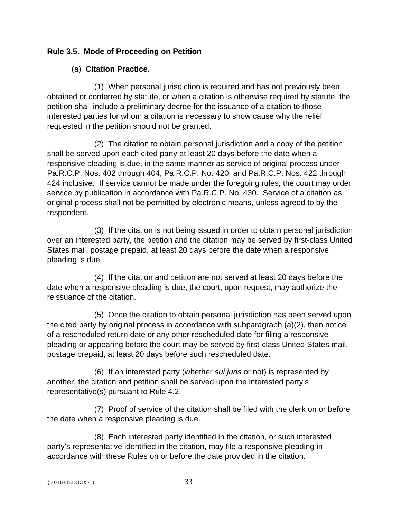## **Rule 3.5. Mode of Proceeding on Petition**

## (a) **Citation Practice.**

(1) When personal jurisdiction is required and has not previously been obtained or conferred by statute, or when a citation is otherwise required by statute, the petition shall include a preliminary decree for the issuance of a citation to those interested parties for whom a citation is necessary to show cause why the relief requested in the petition should not be granted.

(2) The citation to obtain personal jurisdiction and a copy of the petition shall be served upon each cited party at least 20 days before the date when a responsive pleading is due, in the same manner as service of original process under Pa.R.C.P. Nos. 402 through 404, Pa.R.C.P. No. 420, and Pa.R.C.P. Nos. 422 through 424 inclusive. If service cannot be made under the foregoing rules, the court may order service by publication in accordance with Pa.R.C.P. No. 430. Service of a citation as original process shall not be permitted by electronic means, unless agreed to by the respondent.

(3) If the citation is not being issued in order to obtain personal jurisdiction over an interested party, the petition and the citation may be served by first-class United States mail, postage prepaid, at least 20 days before the date when a responsive pleading is due.

(4) If the citation and petition are not served at least 20 days before the date when a responsive pleading is due, the court, upon request, may authorize the reissuance of the citation.

(5) Once the citation to obtain personal jurisdiction has been served upon the cited party by original process in accordance with subparagraph (a)(2), then notice of a rescheduled return date or any other rescheduled date for filing a responsive pleading or appearing before the court may be served by first-class United States mail, postage prepaid, at least 20 days before such rescheduled date.

(6) If an interested party (whether *sui juris* or not) is represented by another, the citation and petition shall be served upon the interested party's representative(s) pursuant to Rule 4.2.

(7) Proof of service of the citation shall be filed with the clerk on or before the date when a responsive pleading is due.

(8) Each interested party identified in the citation, or such interested party's representative identified in the citation, may file a responsive pleading in accordance with these Rules on or before the date provided in the citation.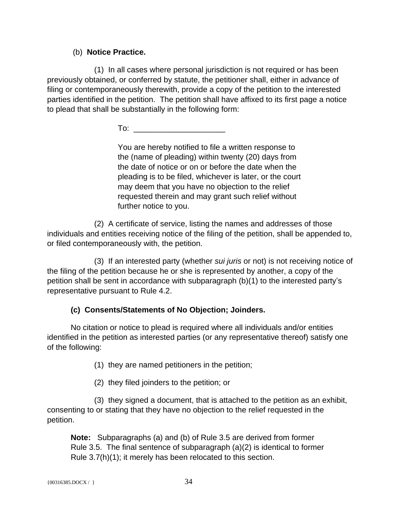## (b) **Notice Practice.**

(1) In all cases where personal jurisdiction is not required or has been previously obtained, or conferred by statute, the petitioner shall, either in advance of filing or contemporaneously therewith, provide a copy of the petition to the interested parties identified in the petition. The petition shall have affixed to its first page a notice to plead that shall be substantially in the following form:

 $To:$ 

You are hereby notified to file a written response to the (name of pleading) within twenty (20) days from the date of notice or on or before the date when the pleading is to be filed, whichever is later, or the court may deem that you have no objection to the relief requested therein and may grant such relief without further notice to you.

(2) A certificate of service, listing the names and addresses of those individuals and entities receiving notice of the filing of the petition, shall be appended to, or filed contemporaneously with, the petition.

(3) If an interested party (whether *sui juris* or not) is not receiving notice of the filing of the petition because he or she is represented by another, a copy of the petition shall be sent in accordance with subparagraph (b)(1) to the interested party's representative pursuant to Rule 4.2.

# **(c) Consents/Statements of No Objection; Joinders.**

No citation or notice to plead is required where all individuals and/or entities identified in the petition as interested parties (or any representative thereof) satisfy one of the following:

(1) they are named petitioners in the petition;

(2) they filed joinders to the petition; or

(3) they signed a document, that is attached to the petition as an exhibit, consenting to or stating that they have no objection to the relief requested in the petition.

**Note:** Subparagraphs (a) and (b) of Rule 3.5 are derived from former Rule 3.5. The final sentence of subparagraph (a)(2) is identical to former Rule 3.7(h)(1); it merely has been relocated to this section.

```
{00316385.DOCX / } 34
```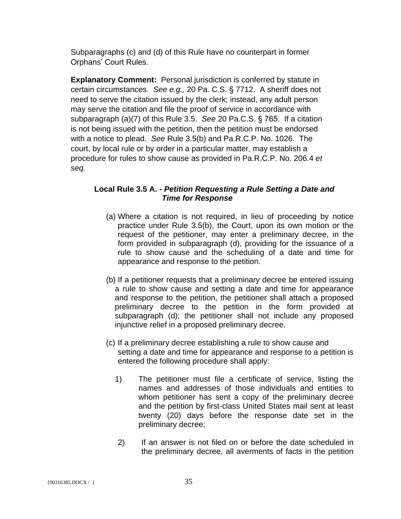Subparagraphs (c) and (d) of this Rule have no counterpart in former Orphans' Court Rules.

**Explanatory Comment:** Personal jurisdiction is conferred by statute in certain circumstances. *See e.g.,* 20 Pa. C.S. § 7712. A sheriff does not need to serve the citation issued by the clerk; instead, any adult person may serve the citation and file the proof of service in accordance with subparagraph (a)(7) of this Rule 3.5. *See* 20 Pa.C.S. § 765. If a citation is not being issued with the petition, then the petition must be endorsed with a notice to plead. *See* Rule 3.5(b) and Pa.R.C.P. No. 1026. The court, by local rule or by order in a particular matter, may establish a procedure for rules to show cause as provided in Pa.R.C.P. No. 206.4 *et seq.*

## **Local Rule 3.5 A. -** *Petition Requesting a Rule Setting a Date and* *Time for Response*

- (a) Where a citation is not required, in lieu of proceeding by notice practice under Rule 3.5(b), the Court, upon its own motion or the request of the petitioner, may enter a preliminary decree, in the form provided in subparagraph (d), providing for the issuance of a rule to show cause and the scheduling of a date and time for appearance and response to the petition.
- (b) If a petitioner requests that a preliminary decree be entered issuing a rule to show cause and setting a date and time for appearance and response to the petition, the petitioner shall attach a proposed preliminary decree to the petition in the form provided at subparagraph (d); the petitioner shall not include any proposed injunctive relief in a proposed preliminary decree.
- (c) If a preliminary decree establishing a rule to show cause and setting a date and time for appearance and response to a petition is entered the following procedure shall apply:
	- 1) The petitioner must file a certificate of service, listing the names and addresses of those individuals and entities to whom petitioner has sent a copy of the preliminary decree and the petition by first-class United States mail sent at least twenty (20) days before the response date set in the preliminary decree;
	- 2) If an answer is not filed on or before the date scheduled in the preliminary decree, all averments of facts in the petition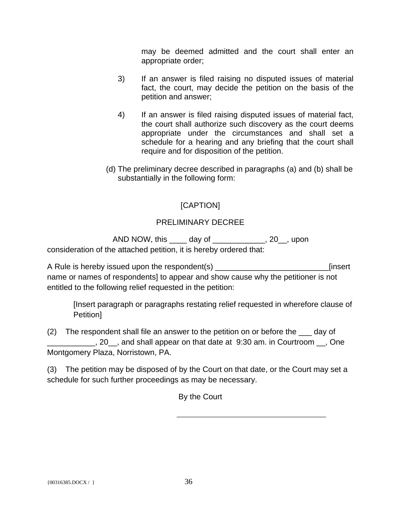may be deemed admitted and the court shall enter an appropriate order;

- 3) If an answer is filed raising no disputed issues of material fact, the court, may decide the petition on the basis of the petition and answer;
- 4) If an answer is filed raising disputed issues of material fact, the court shall authorize such discovery as the court deems appropriate under the circumstances and shall set a schedule for a hearing and any briefing that the court shall require and for disposition of the petition.
- (d) The preliminary decree described in paragraphs (a) and (b) shall be substantially in the following form:

# [CAPTION]

## PRELIMINARY DECREE

 AND NOW, this \_\_\_\_ day of \_\_\_\_\_\_\_\_\_\_\_\_, 20\_\_, upon consideration of the attached petition, it is hereby ordered that:

A Rule is hereby issued upon the respondent(s) \_\_\_\_\_\_\_\_\_\_\_\_\_\_\_\_\_\_\_\_\_\_\_\_\_\_\_\_\_\_\_\_\_[insert name or names of respondents] to appear and show cause why the petitioner is not entitled to the following relief requested in the petition:

[Insert paragraph or paragraphs restating relief requested in wherefore clause of Petition]

(2) The respondent shall file an answer to the petition on or before the \_\_\_ day of Letter 20 and shall appear on that date at 9:30 am. in Courtroom <sub>1,</sub> One Montgomery Plaza, Norristown, PA.

(3) The petition may be disposed of by the Court on that date, or the Court may set a schedule for such further proceedings as may be necessary.

By the Court

\_\_\_\_\_\_\_\_\_\_\_\_\_\_\_\_\_\_\_\_\_\_\_\_\_\_\_\_\_\_\_\_\_\_\_\_\_\_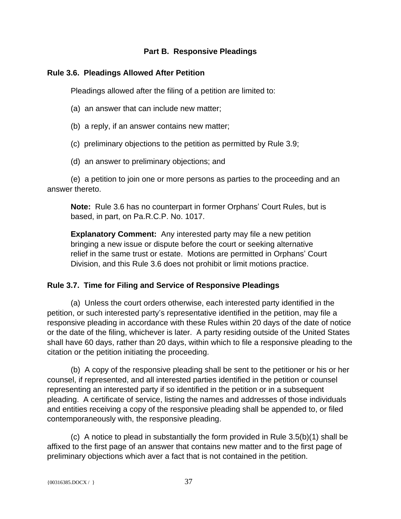### **Part B. Responsive Pleadings**

### **Rule 3.6. Pleadings Allowed After Petition**

Pleadings allowed after the filing of a petition are limited to:

- (a) an answer that can include new matter;
- (b) a reply, if an answer contains new matter;
- (c) preliminary objections to the petition as permitted by Rule 3.9;
- (d) an answer to preliminary objections; and

(e) a petition to join one or more persons as parties to the proceeding and an answer thereto.

**Note:** Rule 3.6 has no counterpart in former Orphans' Court Rules, but is based, in part, on Pa.R.C.P. No. 1017.

**Explanatory Comment:** Any interested party may file a new petition bringing a new issue or dispute before the court or seeking alternative relief in the same trust or estate. Motions are permitted in Orphans' Court Division, and this Rule 3.6 does not prohibit or limit motions practice.

## **Rule 3.7. Time for Filing and Service of Responsive Pleadings**

(a) Unless the court orders otherwise, each interested party identified in the petition, or such interested party's representative identified in the petition, may file a responsive pleading in accordance with these Rules within 20 days of the date of notice or the date of the filing, whichever is later. A party residing outside of the United States shall have 60 days, rather than 20 days, within which to file a responsive pleading to the citation or the petition initiating the proceeding.

(b) A copy of the responsive pleading shall be sent to the petitioner or his or her counsel, if represented, and all interested parties identified in the petition or counsel representing an interested party if so identified in the petition or in a subsequent pleading. A certificate of service, listing the names and addresses of those individuals and entities receiving a copy of the responsive pleading shall be appended to, or filed contemporaneously with, the responsive pleading.

(c) A notice to plead in substantially the form provided in Rule 3.5(b)(1) shall be affixed to the first page of an answer that contains new matter and to the first page of preliminary objections which aver a fact that is not contained in the petition.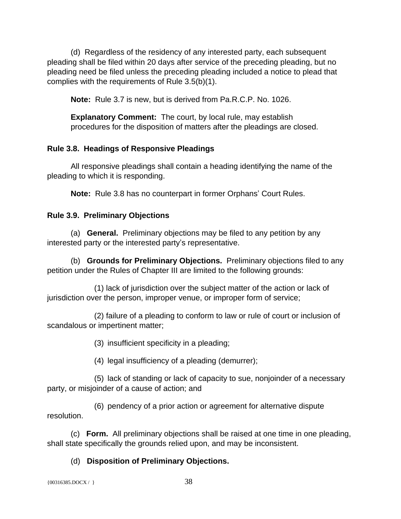(d) Regardless of the residency of any interested party, each subsequent pleading shall be filed within 20 days after service of the preceding pleading, but no pleading need be filed unless the preceding pleading included a notice to plead that complies with the requirements of Rule 3.5(b)(1).

**Note:** Rule 3.7 is new, but is derived from Pa.R.C.P. No. 1026.

**Explanatory Comment:** The court, by local rule, may establish procedures for the disposition of matters after the pleadings are closed.

### **Rule 3.8. Headings of Responsive Pleadings**

All responsive pleadings shall contain a heading identifying the name of the pleading to which it is responding.

**Note:** Rule 3.8 has no counterpart in former Orphans' Court Rules.

### **Rule 3.9. Preliminary Objections**

(a) **General.** Preliminary objections may be filed to any petition by any interested party or the interested party's representative.

(b) **Grounds for Preliminary Objections.** Preliminary objections filed to any petition under the Rules of Chapter III are limited to the following grounds:

(1) lack of jurisdiction over the subject matter of the action or lack of jurisdiction over the person, improper venue, or improper form of service;

(2) failure of a pleading to conform to law or rule of court or inclusion of scandalous or impertinent matter;

(3) insufficient specificity in a pleading;

(4) legal insufficiency of a pleading (demurrer);

(5) lack of standing or lack of capacity to sue, nonjoinder of a necessary party, or misjoinder of a cause of action; and

(6) pendency of a prior action or agreement for alternative dispute resolution.

(c) **Form.** All preliminary objections shall be raised at one time in one pleading, shall state specifically the grounds relied upon, and may be inconsistent.

## (d) **Disposition of Preliminary Objections.**

 ${00316385. \text{DOCX} / }$  38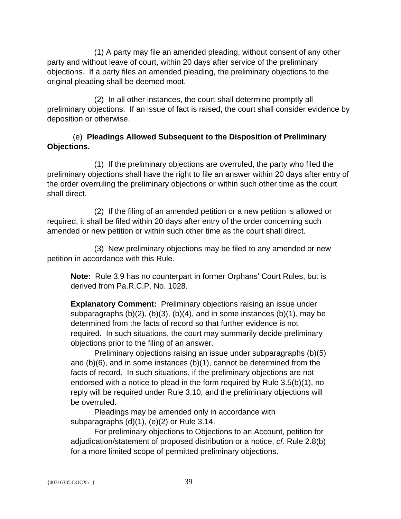(1) A party may file an amended pleading, without consent of any other party and without leave of court, within 20 days after service of the preliminary objections. If a party files an amended pleading, the preliminary objections to the original pleading shall be deemed moot.

(2) In all other instances, the court shall determine promptly all preliminary objections. If an issue of fact is raised, the court shall consider evidence by deposition or otherwise.

# (e) **Pleadings Allowed Subsequent to the Disposition of Preliminary Objections.**

(1) If the preliminary objections are overruled, the party who filed the preliminary objections shall have the right to file an answer within 20 days after entry of the order overruling the preliminary objections or within such other time as the court shall direct.

(2) If the filing of an amended petition or a new petition is allowed or required, it shall be filed within 20 days after entry of the order concerning such amended or new petition or within such other time as the court shall direct.

(3) New preliminary objections may be filed to any amended or new petition in accordance with this Rule.

**Note:** Rule 3.9 has no counterpart in former Orphans' Court Rules, but is derived from Pa.R.C.P. No. 1028.

**Explanatory Comment:** Preliminary objections raising an issue under subparagraphs  $(b)(2)$ ,  $(b)(3)$ ,  $(b)(4)$ , and in some instances  $(b)(1)$ , may be determined from the facts of record so that further evidence is not required. In such situations, the court may summarily decide preliminary objections prior to the filing of an answer.

Preliminary objections raising an issue under subparagraphs (b)(5) and (b)(6), and in some instances (b)(1), cannot be determined from the facts of record. In such situations, if the preliminary objections are not endorsed with a notice to plead in the form required by Rule 3.5(b)(1), no reply will be required under Rule 3.10, and the preliminary objections will be overruled.

Pleadings may be amended only in accordance with subparagraphs (d)(1), (e)(2) or Rule 3.14.

For preliminary objections to Objections to an Account, petition for adjudication/statement of proposed distribution or a notice, *cf.* Rule 2.8(b) for a more limited scope of permitted preliminary objections.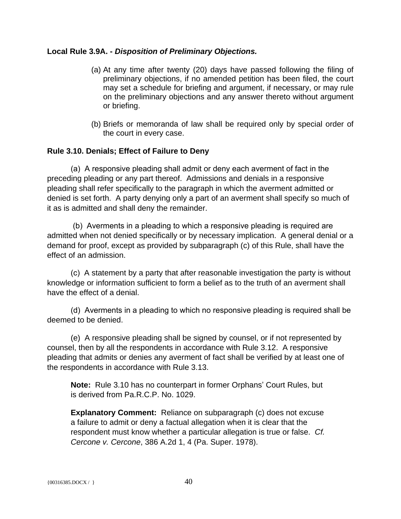### **Local Rule 3.9A. -** *Disposition of Preliminary Objections.*

- (a) At any time after twenty (20) days have passed following the filing of preliminary objections, if no amended petition has been filed, the court may set a schedule for briefing and argument, if necessary, or may rule on the preliminary objections and any answer thereto without argument or briefing.
- (b) Briefs or memoranda of law shall be required only by special order of the court in every case.

#### **Rule 3.10. Denials; Effect of Failure to Deny**

(a) A responsive pleading shall admit or deny each averment of fact in the preceding pleading or any part thereof. Admissions and denials in a responsive pleading shall refer specifically to the paragraph in which the averment admitted or denied is set forth. A party denying only a part of an averment shall specify so much of it as is admitted and shall deny the remainder.

 (b) Averments in a pleading to which a responsive pleading is required are admitted when not denied specifically or by necessary implication. A general denial or a demand for proof, except as provided by subparagraph (c) of this Rule, shall have the effect of an admission.

(c) A statement by a party that after reasonable investigation the party is without knowledge or information sufficient to form a belief as to the truth of an averment shall have the effect of a denial.

(d) Averments in a pleading to which no responsive pleading is required shall be deemed to be denied.

(e) A responsive pleading shall be signed by counsel, or if not represented by counsel, then by all the respondents in accordance with Rule 3.12. A responsive pleading that admits or denies any averment of fact shall be verified by at least one of the respondents in accordance with Rule 3.13.

**Note:** Rule 3.10 has no counterpart in former Orphans' Court Rules, but is derived from Pa.R.C.P. No. 1029.

**Explanatory Comment:** Reliance on subparagraph (c) does not excuse a failure to admit or deny a factual allegation when it is clear that the respondent must know whether a particular allegation is true or false. *Cf. Cercone v. Cercone*, 386 A.2d 1, 4 (Pa. Super. 1978).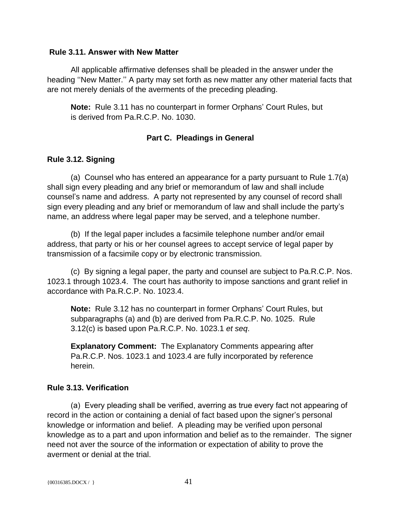#### **Rule 3.11. Answer with New Matter**

All applicable affirmative defenses shall be pleaded in the answer under the heading ''New Matter.'' A party may set forth as new matter any other material facts that are not merely denials of the averments of the preceding pleading.

**Note:** Rule 3.11 has no counterpart in former Orphans' Court Rules, but is derived from Pa.R.C.P. No. 1030.

### **Part C. Pleadings in General**

## **Rule 3.12. Signing**

(a) Counsel who has entered an appearance for a party pursuant to Rule 1.7(a) shall sign every pleading and any brief or memorandum of law and shall include counsel's name and address. A party not represented by any counsel of record shall sign every pleading and any brief or memorandum of law and shall include the party's name, an address where legal paper may be served, and a telephone number.

(b) If the legal paper includes a facsimile telephone number and/or email address, that party or his or her counsel agrees to accept service of legal paper by transmission of a facsimile copy or by electronic transmission.

(c) By signing a legal paper, the party and counsel are subject to Pa.R.C.P. Nos. 1023.1 through 1023.4. The court has authority to impose sanctions and grant relief in accordance with Pa.R.C.P. No. 1023.4.

**Note:** Rule 3.12 has no counterpart in former Orphans' Court Rules, but subparagraphs (a) and (b) are derived from Pa.R.C.P. No. 1025. Rule 3.12(c) is based upon Pa.R.C.P. No. 1023.1 *et seq*.

**Explanatory Comment:** The Explanatory Comments appearing after Pa.R.C.P. Nos. 1023.1 and 1023.4 are fully incorporated by reference herein.

## **Rule 3.13. Verification**

(a) Every pleading shall be verified, averring as true every fact not appearing of record in the action or containing a denial of fact based upon the signer's personal knowledge or information and belief. A pleading may be verified upon personal knowledge as to a part and upon information and belief as to the remainder. The signer need not aver the source of the information or expectation of ability to prove the averment or denial at the trial.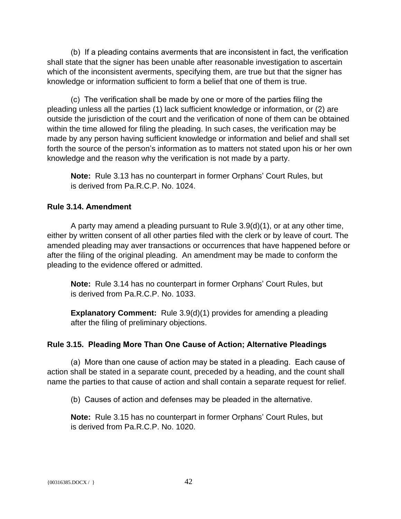(b) If a pleading contains averments that are inconsistent in fact, the verification shall state that the signer has been unable after reasonable investigation to ascertain which of the inconsistent averments, specifying them, are true but that the signer has knowledge or information sufficient to form a belief that one of them is true.

(c) The verification shall be made by one or more of the parties filing the pleading unless all the parties (1) lack sufficient knowledge or information, or (2) are outside the jurisdiction of the court and the verification of none of them can be obtained within the time allowed for filing the pleading. In such cases, the verification may be made by any person having sufficient knowledge or information and belief and shall set forth the source of the person's information as to matters not stated upon his or her own knowledge and the reason why the verification is not made by a party.

**Note:** Rule 3.13 has no counterpart in former Orphans' Court Rules, but is derived from Pa.R.C.P. No. 1024.

### **Rule 3.14. Amendment**

A party may amend a pleading pursuant to Rule 3.9(d)(1), or at any other time, either by written consent of all other parties filed with the clerk or by leave of court. The amended pleading may aver transactions or occurrences that have happened before or after the filing of the original pleading. An amendment may be made to conform the pleading to the evidence offered or admitted.

**Note:** Rule 3.14 has no counterpart in former Orphans' Court Rules, but is derived from Pa.R.C.P. No. 1033.

**Explanatory Comment:** Rule 3.9(d)(1) provides for amending a pleading after the filing of preliminary objections.

### **Rule 3.15. Pleading More Than One Cause of Action; Alternative Pleadings**

(a) More than one cause of action may be stated in a pleading. Each cause of action shall be stated in a separate count, preceded by a heading, and the count shall name the parties to that cause of action and shall contain a separate request for relief.

(b) Causes of action and defenses may be pleaded in the alternative.

**Note:** Rule 3.15 has no counterpart in former Orphans' Court Rules, but is derived from Pa.R.C.P. No. 1020.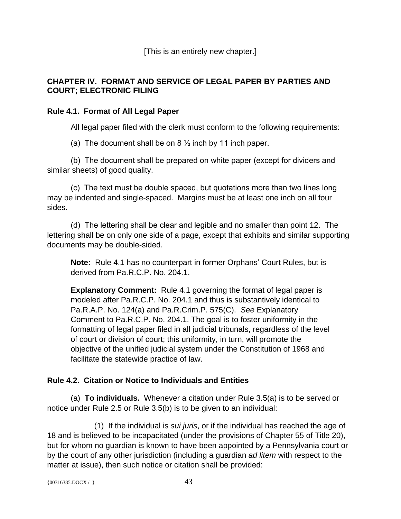[This is an entirely new chapter.]

## **CHAPTER IV. FORMAT AND SERVICE OF LEGAL PAPER BY PARTIES AND COURT; ELECTRONIC FILING**

### **Rule 4.1. Format of All Legal Paper**

All legal paper filed with the clerk must conform to the following requirements:

(a) The document shall be on  $8\frac{1}{2}$  inch by 11 inch paper.

(b) The document shall be prepared on white paper (except for dividers and similar sheets) of good quality.

(c) The text must be double spaced, but quotations more than two lines long may be indented and single-spaced. Margins must be at least one inch on all four sides.

(d) The lettering shall be clear and legible and no smaller than point 12. The lettering shall be on only one side of a page, except that exhibits and similar supporting documents may be double-sided.

**Note:** Rule 4.1 has no counterpart in former Orphans' Court Rules, but is derived from Pa.R.C.P. No. 204.1.

**Explanatory Comment:** Rule 4.1 governing the format of legal paper is modeled after Pa.R.C.P. No. 204.1 and thus is substantively identical to Pa.R.A.P. No. 124(a) and Pa.R.Crim.P. 575(C). *See* Explanatory Comment to Pa.R.C.P. No. 204.1. The goal is to foster uniformity in the formatting of legal paper filed in all judicial tribunals, regardless of the level of court or division of court; this uniformity, in turn, will promote the objective of the unified judicial system under the Constitution of 1968 and facilitate the statewide practice of law.

## **Rule 4.2. Citation or Notice to Individuals and Entities**

(a) **To individuals.** Whenever a citation under Rule 3.5(a) is to be served or notice under Rule 2.5 or Rule 3.5(b) is to be given to an individual:

(1) If the individual is *sui juris*, or if the individual has reached the age of 18 and is believed to be incapacitated (under the provisions of Chapter 55 of Title 20), but for whom no guardian is known to have been appointed by a Pennsylvania court or by the court of any other jurisdiction (including a guardian *ad litem* with respect to the matter at issue), then such notice or citation shall be provided:

```
{00316385. \text{DOCX} / } 43
```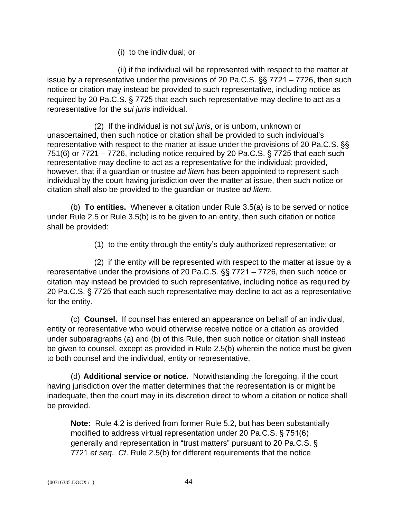(i) to the individual; or

(ii) if the individual will be represented with respect to the matter at issue by a representative under the provisions of 20 Pa.C.S. §§ 7721 – 7726, then such notice or citation may instead be provided to such representative, including notice as required by 20 Pa.C.S. § 7725 that each such representative may decline to act as a representative for the *sui juris* individual.

(2) If the individual is not *sui juris*, or is unborn, unknown or unascertained, then such notice or citation shall be provided to such individual's representative with respect to the matter at issue under the provisions of 20 Pa.C.S. §§ 751(6) or 7721 – 7726, including notice required by 20 Pa.C.S. § 7725 that each such representative may decline to act as a representative for the individual; provided, however, that if a guardian or trustee *ad litem* has been appointed to represent such individual by the court having jurisdiction over the matter at issue, then such notice or citation shall also be provided to the guardian or trustee *ad litem*.

(b) **To entities.** Whenever a citation under Rule 3.5(a) is to be served or notice under Rule 2.5 or Rule 3.5(b) is to be given to an entity, then such citation or notice shall be provided:

(1) to the entity through the entity's duly authorized representative; or

(2) if the entity will be represented with respect to the matter at issue by a representative under the provisions of 20 Pa.C.S. §§ 7721 – 7726, then such notice or citation may instead be provided to such representative, including notice as required by 20 Pa.C.S. § 7725 that each such representative may decline to act as a representative for the entity.

(c) **Counsel.** If counsel has entered an appearance on behalf of an individual, entity or representative who would otherwise receive notice or a citation as provided under subparagraphs (a) and (b) of this Rule, then such notice or citation shall instead be given to counsel, except as provided in Rule 2.5(b) wherein the notice must be given to both counsel and the individual, entity or representative.

(d) **Additional service or notice.** Notwithstanding the foregoing, if the court having jurisdiction over the matter determines that the representation is or might be inadequate, then the court may in its discretion direct to whom a citation or notice shall be provided.

**Note:** Rule 4.2 is derived from former Rule 5.2, but has been substantially modified to address virtual representation under 20 Pa.C.S. § 751(6) generally and representation in "trust matters" pursuant to 20 Pa.C.S. § 7721 *et seq*. *Cf*. Rule 2.5(b) for different requirements that the notice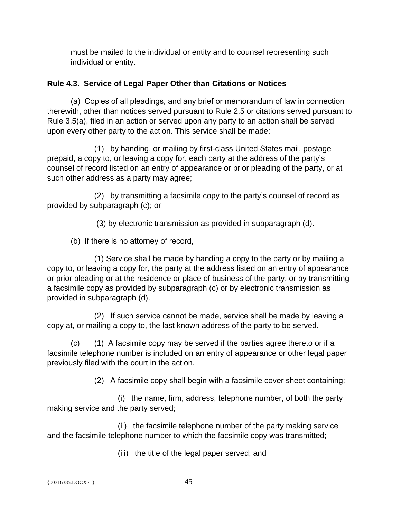must be mailed to the individual or entity and to counsel representing such individual or entity.

### **Rule 4.3. Service of Legal Paper Other than Citations or Notices**

(a) Copies of all pleadings, and any brief or memorandum of law in connection therewith, other than notices served pursuant to Rule 2.5 or citations served pursuant to Rule 3.5(a), filed in an action or served upon any party to an action shall be served upon every other party to the action. This service shall be made:

(1) by handing, or mailing by first-class United States mail, postage prepaid, a copy to, or leaving a copy for, each party at the address of the party's counsel of record listed on an entry of appearance or prior pleading of the party, or at such other address as a party may agree;

(2) by transmitting a facsimile copy to the party's counsel of record as provided by subparagraph (c); or

(3) by electronic transmission as provided in subparagraph (d).

(b) If there is no attorney of record,

(1) Service shall be made by handing a copy to the party or by mailing a copy to, or leaving a copy for, the party at the address listed on an entry of appearance or prior pleading or at the residence or place of business of the party, or by transmitting a facsimile copy as provided by subparagraph (c) or by electronic transmission as provided in subparagraph (d).

(2) If such service cannot be made, service shall be made by leaving a copy at, or mailing a copy to, the last known address of the party to be served.

(c) (1) A facsimile copy may be served if the parties agree thereto or if a facsimile telephone number is included on an entry of appearance or other legal paper previously filed with the court in the action.

(2) A facsimile copy shall begin with a facsimile cover sheet containing:

(i) the name, firm, address, telephone number, of both the party making service and the party served;

(ii) the facsimile telephone number of the party making service and the facsimile telephone number to which the facsimile copy was transmitted;

(iii) the title of the legal paper served; and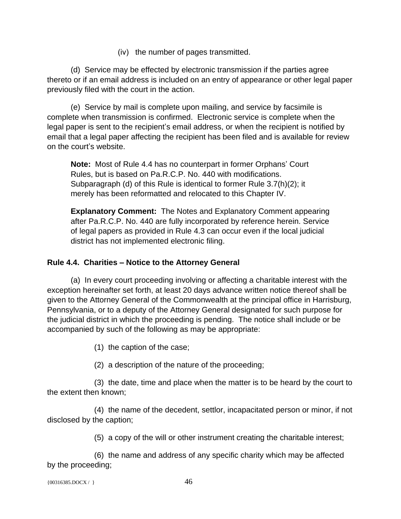(iv) the number of pages transmitted.

(d)Service may be effected by electronic transmission if the parties agree thereto or if an email address is included on an entry of appearance or other legal paper previously filed with the court in the action.

(e) Service by mail is complete upon mailing, and service by facsimile is complete when transmission is confirmed.Electronic service is complete when the legal paper is sent to the recipient's email address, or when the recipient is notified by email that a legal paper affecting the recipient has been filed and is available for review on the court's website.

**Note:** Most of Rule 4.4 has no counterpart in former Orphans' Court Rules, but is based on Pa.R.C.P. No. 440 with modifications. Subparagraph (d) of this Rule is identical to former Rule 3.7(h)(2); it merely has been reformatted and relocated to this Chapter IV.

**Explanatory Comment:** The Notes and Explanatory Comment appearing after Pa.R.C.P. No. 440 are fully incorporated by reference herein. Service of legal papers as provided in Rule 4.3 can occur even if the local judicial district has not implemented electronic filing.

### **Rule 4.4. Charities – Notice to the Attorney General**

(a) In every court proceeding involving or affecting a charitable interest with the exception hereinafter set forth, at least 20 days advance written notice thereof shall be given to the Attorney General of the Commonwealth at the principal office in Harrisburg, Pennsylvania, or to a deputy of the Attorney General designated for such purpose for the judicial district in which the proceeding is pending. The notice shall include or be accompanied by such of the following as may be appropriate:

(1) the caption of the case;

(2) a description of the nature of the proceeding;

(3) the date, time and place when the matter is to be heard by the court to the extent then known;

(4) the name of the decedent, settlor, incapacitated person or minor, if not disclosed by the caption;

(5) a copy of the will or other instrument creating the charitable interest;

(6) the name and address of any specific charity which may be affected by the proceeding;

```
\{00316385.DOCX / \} 46
```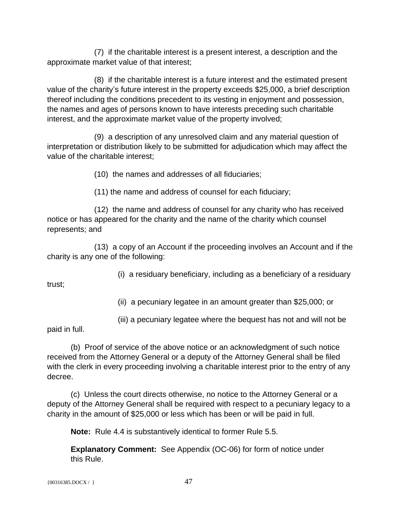(7) if the charitable interest is a present interest, a description and the approximate market value of that interest;

(8) if the charitable interest is a future interest and the estimated present value of the charity's future interest in the property exceeds \$25,000, a brief description thereof including the conditions precedent to its vesting in enjoyment and possession, the names and ages of persons known to have interests preceding such charitable interest, and the approximate market value of the property involved;

(9) a description of any unresolved claim and any material question of interpretation or distribution likely to be submitted for adjudication which may affect the value of the charitable interest;

(10) the names and addresses of all fiduciaries;

(11) the name and address of counsel for each fiduciary;

(12) the name and address of counsel for any charity who has received notice or has appeared for the charity and the name of the charity which counsel represents; and

(13) a copy of an Account if the proceeding involves an Account and if the charity is any one of the following:

(i) a residuary beneficiary, including as a beneficiary of a residuary

trust;

(ii) a pecuniary legatee in an amount greater than \$25,000; or

(iii) a pecuniary legatee where the bequest has not and will not be

paid in full.

(b) Proof of service of the above notice or an acknowledgment of such notice received from the Attorney General or a deputy of the Attorney General shall be filed with the clerk in every proceeding involving a charitable interest prior to the entry of any decree.

(c) Unless the court directs otherwise, no notice to the Attorney General or a deputy of the Attorney General shall be required with respect to a pecuniary legacy to a charity in the amount of \$25,000 or less which has been or will be paid in full.

**Note:** Rule 4.4 is substantively identical to former Rule 5.5.

**Explanatory Comment:** See Appendix (OC-06) for form of notice under this Rule.

 ${00316385.DOCX / }$  47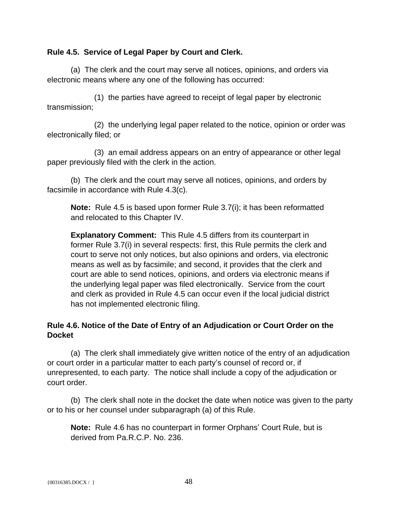### **Rule 4.5. Service of Legal Paper by Court and Clerk.**

(a) The clerk and the court may serve all notices, opinions, and orders via electronic means where any one of the following has occurred:

(1) the parties have agreed to receipt of legal paper by electronic transmission;

(2) the underlying legal paper related to the notice, opinion or order was electronically filed; or

(3) an email address appears on an entry of appearance or other legal paper previously filed with the clerk in the action.

(b) The clerk and the court may serve all notices, opinions, and orders by facsimile in accordance with Rule 4.3(c).

**Note:** Rule 4.5 is based upon former Rule 3.7(i); it has been reformatted and relocated to this Chapter IV.

**Explanatory Comment:** This Rule 4.5 differs from its counterpart in former Rule 3.7(i) in several respects: first, this Rule permits the clerk and court to serve not only notices, but also opinions and orders, via electronic means as well as by facsimile; and second, it provides that the clerk and court are able to send notices, opinions, and orders via electronic means if the underlying legal paper was filed electronically. Service from the court and clerk as provided in Rule 4.5 can occur even if the local judicial district has not implemented electronic filing.

## **Rule 4.6. Notice of the Date of Entry of an Adjudication or Court Order on the Docket**

(a) The clerk shall immediately give written notice of the entry of an adjudication or court order in a particular matter to each party's counsel of record or, if unrepresented, to each party. The notice shall include a copy of the adjudication or court order.

(b) The clerk shall note in the docket the date when notice was given to the party or to his or her counsel under subparagraph (a) of this Rule.

**Note:** Rule 4.6 has no counterpart in former Orphans' Court Rule, but is derived from Pa.R.C.P. No. 236.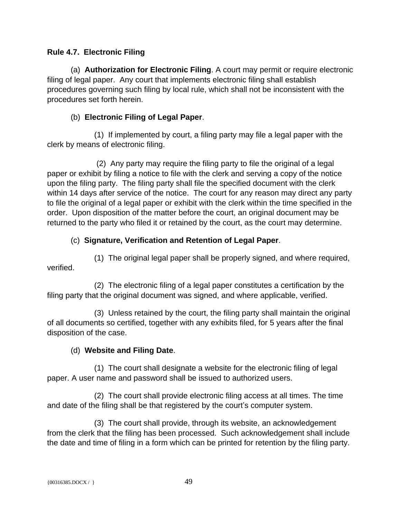## **Rule 4.7. Electronic Filing**

(a) **Authorization for Electronic Filing**. A court may permit or require electronic filing of legal paper. Any court that implements electronic filing shall establish procedures governing such filing by local rule, which shall not be inconsistent with the procedures set forth herein.

### (b) **Electronic Filing of Legal Paper**.

(1) If implemented by court, a filing party may file a legal paper with the clerk by means of electronic filing.

(2) Any party may require the filing party to file the original of a legal paper or exhibit by filing a notice to file with the clerk and serving a copy of the notice upon the filing party. The filing party shall file the specified document with the clerk within 14 days after service of the notice. The court for any reason may direct any party to file the original of a legal paper or exhibit with the clerk within the time specified in the order. Upon disposition of the matter before the court, an original document may be returned to the party who filed it or retained by the court, as the court may determine.

## (c) **Signature, Verification and Retention of Legal Paper**.

(1) The original legal paper shall be properly signed, and where required,

verified.

(2) The electronic filing of a legal paper constitutes a certification by the filing party that the original document was signed, and where applicable, verified.

(3) Unless retained by the court, the filing party shall maintain the original of all documents so certified, together with any exhibits filed, for 5 years after the final disposition of the case.

## (d) **Website and Filing Date**.

(1) The court shall designate a website for the electronic filing of legal paper. A user name and password shall be issued to authorized users.

(2) The court shall provide electronic filing access at all times. The time and date of the filing shall be that registered by the court's computer system.

(3) The court shall provide, through its website, an acknowledgement from the clerk that the filing has been processed. Such acknowledgement shall include the date and time of filing in a form which can be printed for retention by the filing party.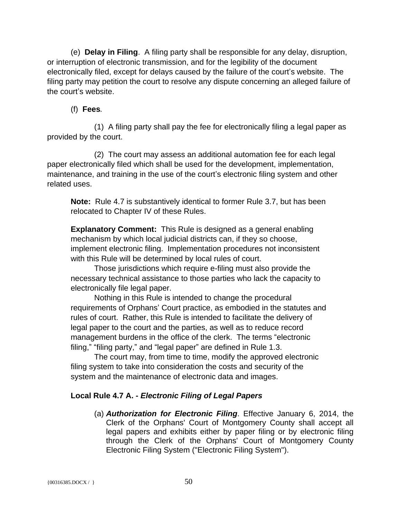(e) **Delay in Filing**. A filing party shall be responsible for any delay, disruption, or interruption of electronic transmission, and for the legibility of the document electronically filed, except for delays caused by the failure of the court's website. The filing party may petition the court to resolve any dispute concerning an alleged failure of the court's website.

# (f) **Fees***.*

(1) A filing party shall pay the fee for electronically filing a legal paper as provided by the court.

(2) The court may assess an additional automation fee for each legal paper electronically filed which shall be used for the development, implementation, maintenance, and training in the use of the court's electronic filing system and other related uses.

**Note:** Rule 4.7 is substantively identical to former Rule 3.7, but has been relocated to Chapter IV of these Rules.

**Explanatory Comment:** This Rule is designed as a general enabling mechanism by which local judicial districts can, if they so choose, implement electronic filing. Implementation procedures not inconsistent with this Rule will be determined by local rules of court.

Those jurisdictions which require e-filing must also provide the necessary technical assistance to those parties who lack the capacity to electronically file legal paper.

Nothing in this Rule is intended to change the procedural requirements of Orphans' Court practice, as embodied in the statutes and rules of court. Rather, this Rule is intended to facilitate the delivery of legal paper to the court and the parties, as well as to reduce record management burdens in the office of the clerk. The terms "electronic filing," "filing party," and "legal paper" are defined in Rule 1.3.

The court may, from time to time, modify the approved electronic filing system to take into consideration the costs and security of the system and the maintenance of electronic data and images.

# **Local Rule 4.7 A. -** *Electronic Filing of Legal Papers*

(a) *Authorization for Electronic Filing*. Effective January 6, 2014, the Clerk of the Orphans' Court of Montgomery County shall accept all legal papers and exhibits either by paper filing or by electronic filing through the Clerk of the Orphans' Court of Montgomery County Electronic Filing System ("Electronic Filing System").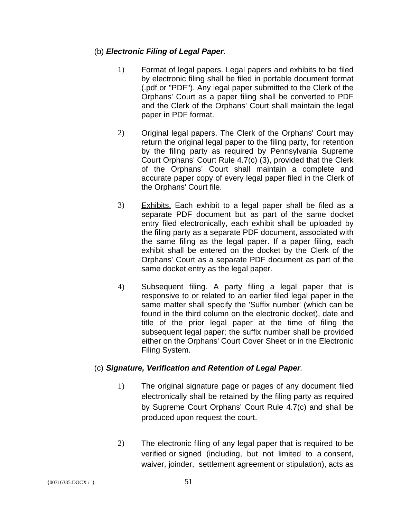### (b) *Electronic Filing of Legal Paper*.

- 1) Format of legal papers. Legal papers and exhibits to be filed by electronic filing shall be filed in portable document format (.pdf or "PDF"). Any legal paper submitted to the Clerk of the Orphans' Court as a paper filing shall be converted to PDF and the Clerk of the Orphans' Court shall maintain the legal paper in PDF format.
- 2) Original legal papers. The Clerk of the Orphans' Court may return the original legal paper to the filing party, for retention by the filing party as required by Pennsylvania Supreme Court Orphans' Court Rule 4.7(c) (3), provided that the Clerk of the Orphans' Court shall maintain a complete and accurate paper copy of every legal paper filed in the Clerk of the Orphans' Court file.
- 3) Exhibits. Each exhibit to a legal paper shall be filed as a separate PDF document but as part of the same docket entry filed electronically, each exhibit shall be uploaded by the filing party as a separate PDF document, associated with the same filing as the legal paper. If a paper filing, each exhibit shall be entered on the docket by the Clerk of the Orphans' Court as a separate PDF document as part of the same docket entry as the legal paper.
- 4) Subsequent filing. A party filing a legal paper that is responsive to or related to an earlier filed legal paper in the same matter shall specify the 'Suffix number' (which can be found in the third column on the electronic docket), date and title of the prior legal paper at the time of filing the subsequent legal paper; the suffix number shall be provided either on the Orphans' Court Cover Sheet or in the Electronic Filing System.

### (c) *Signature, Verification and Retention of Legal Paper.*

- 1) The original signature page or pages of any document filed electronically shall be retained by the filing party as required by Supreme Court Orphans' Court Rule 4.7(c) and shall be produced upon request the court.
- 2) The electronic filing of any legal paper that is required to be verified or signed (including, but not limited to a consent, waiver, joinder, settlement agreement or stipulation), acts as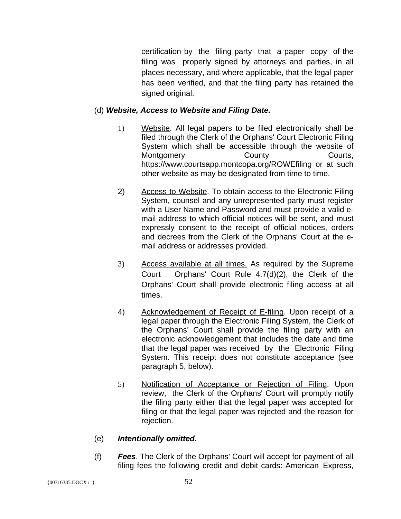certification by the filing party that a paper copy of the filing was properly signed by attorneys and parties, in all places necessary, and where applicable, that the legal paper has been verified, and that the filing party has retained the signed original.

### (d) *Website, Access to Website and Filing Date.*

- 1) Website. All legal papers to be filed electronically shall be filed through the Clerk of the Orphans' Court Electronic Filing System which shall be accessible through the website of Montgomery County County Courts, https://www.courtsapp.montcopa.org/ROWEfiling or at such other website as may be designated from time to time.
- 2) Access to Website. To obtain access to the Electronic Filing System, counsel and any unrepresented party must register with a User Name and Password and must provide a valid email address to which official notices will be sent, and must expressly consent to the receipt of official notices, orders and decrees from the Clerk of the Orphans' Court at the email address or addresses provided.
- 3) Access available at all times. As required by the Supreme Court Orphans' Court Rule 4.7(d)(2), the Clerk of the Orphans' Court shall provide electronic filing access at all times.
- 4) Acknowledgement of Receipt of E-filing. Upon receipt of a legal paper through the Electronic Filing System, the Clerk of the Orphans' Court shall provide the filing party with an electronic acknowledgement that includes the date and time that the legal paper was received by the Electronic Filing System. This receipt does not constitute acceptance (see paragraph 5, below).
- 5) Notification of Acceptance or Rejection of Filing. Upon review, the Clerk of the Orphans' Court will promptly notify the filing party either that the legal paper was accepted for filing or that the legal paper was rejected and the reason for rejection.

### (e) *Intentionally omitted.*

(f) *Fees*. The Clerk of the Orphans' Court will accept for payment of all filing fees the following credit and debit cards: American Express,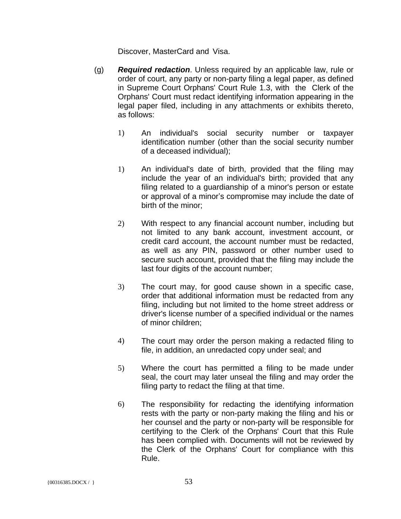Discover, MasterCard and Visa.

- (g) *Required redaction*. Unless required by an applicable law, rule or order of court, any party or non-party filing a legal paper, as defined in Supreme Court Orphans' Court Rule 1.3, with the Clerk of the Orphans' Court must redact identifying information appearing in the legal paper filed, including in any attachments or exhibits thereto, as follows:
	- 1) An individual's social security number or taxpayer identification number (other than the social security number of a deceased individual);
	- 1) An individual's date of birth, provided that the filing may include the year of an individual's birth; provided that any filing related to a guardianship of a minor's person or estate or approval of a minor's compromise may include the date of birth of the minor;
	- 2) With respect to any financial account number, including but not limited to any bank account, investment account, or credit card account, the account number must be redacted, as well as any PIN, password or other number used to secure such account, provided that the filing may include the last four digits of the account number;
	- 3) The court may, for good cause shown in a specific case, order that additional information must be redacted from any filing, including but not limited to the home street address or driver's license number of a specified individual or the names of minor children;
	- 4) The court may order the person making a redacted filing to file, in addition, an unredacted copy under seal; and
	- 5) Where the court has permitted a filing to be made under seal, the court may later unseal the filing and may order the filing party to redact the filing at that time.
	- 6) The responsibility for redacting the identifying information rests with the party or non-party making the filing and his or her counsel and the party or non-party will be responsible for certifying to the Clerk of the Orphans' Court that this Rule has been complied with. Documents will not be reviewed by the Clerk of the Orphans' Court for compliance with this Rule.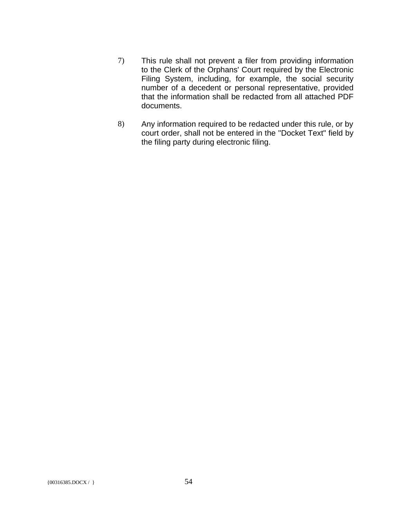- 7) This rule shall not prevent a filer from providing information to the Clerk of the Orphans' Court required by the Electronic Filing System, including, for example, the social security number of a decedent or personal representative, provided that the information shall be redacted from all attached PDF documents.
- 8) Any information required to be redacted under this rule, or by court order, shall not be entered in the ''Docket Text" field by the filing party during electronic filing.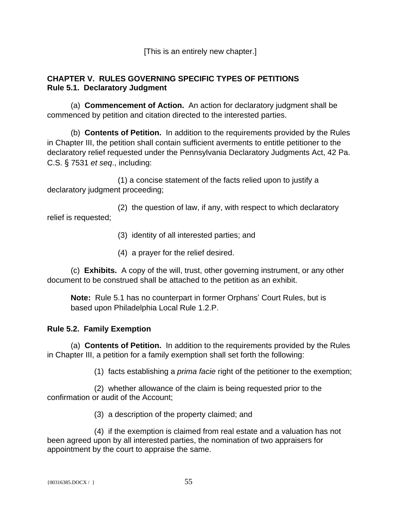[This is an entirely new chapter.]

### **CHAPTER V. RULES GOVERNING SPECIFIC TYPES OF PETITIONS Rule 5.1. Declaratory Judgment**

(a) **Commencement of Action.** An action for declaratory judgment shall be commenced by petition and citation directed to the interested parties.

(b) **Contents of Petition.** In addition to the requirements provided by the Rules in Chapter III, the petition shall contain sufficient averments to entitle petitioner to the declaratory relief requested under the Pennsylvania Declaratory Judgments Act, 42 Pa. C.S. § 7531 *et seq*., including:

(1) a concise statement of the facts relied upon to justify a declaratory judgment proceeding;

(2) the question of law, if any, with respect to which declaratory relief is requested;

- (3) identity of all interested parties; and
- (4) a prayer for the relief desired.

(c) **Exhibits.** A copy of the will, trust, other governing instrument, or any other document to be construed shall be attached to the petition as an exhibit.

**Note:** Rule 5.1 has no counterpart in former Orphans' Court Rules, but is based upon Philadelphia Local Rule 1.2.P.

## **Rule 5.2. Family Exemption**

(a) **Contents of Petition.** In addition to the requirements provided by the Rules in Chapter III, a petition for a family exemption shall set forth the following:

(1) facts establishing a *prima facie* right of the petitioner to the exemption;

(2) whether allowance of the claim is being requested prior to the confirmation or audit of the Account;

(3) a description of the property claimed; and

(4) if the exemption is claimed from real estate and a valuation has not been agreed upon by all interested parties, the nomination of two appraisers for appointment by the court to appraise the same.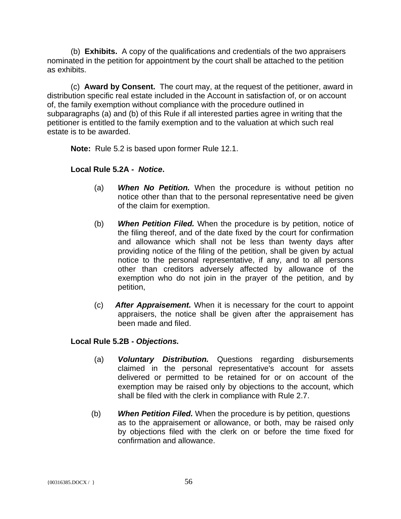(b) **Exhibits.** A copy of the qualifications and credentials of the two appraisers nominated in the petition for appointment by the court shall be attached to the petition as exhibits.

(c) **Award by Consent.** The court may, at the request of the petitioner, award in distribution specific real estate included in the Account in satisfaction of, or on account of, the family exemption without compliance with the procedure outlined in subparagraphs (a) and (b) of this Rule if all interested parties agree in writing that the petitioner is entitled to the family exemption and to the valuation at which such real estate is to be awarded.

**Note:** Rule 5.2 is based upon former Rule 12.1.

### **Local Rule 5.2A -** *Notice***.**

- (a) *When No Petition.* When the procedure is without petition no notice other than that to the personal representative need be given of the claim for exemption.
- (b) *When Petition Filed.* When the procedure is by petition, notice of the filing thereof, and of the date fixed by the court for confirmation and allowance which shall not be less than twenty days after providing notice of the filing of the petition, shall be given by actual notice to the personal representative, if any, and to all persons other than creditors adversely affected by allowance of the exemption who do not join in the prayer of the petition, and by petition,
- (c) *After Appraisement.* When it is necessary for the court to appoint appraisers, the notice shall be given after the appraisement has been made and filed.

### **Local Rule 5.2B -** *Objections.*

- (a) *Voluntary Distribution.* Questions regarding disbursements claimed in the personal representative's account for assets delivered or permitted to be retained for or on account of the exemption may be raised only by objections to the account, which shall be filed with the clerk in compliance with Rule 2.7.
- (b) *When Petition Filed.* When the procedure is by petition, questions as to the appraisement or allowance, or both, may be raised only by objections filed with the clerk on or before the time fixed for confirmation and allowance.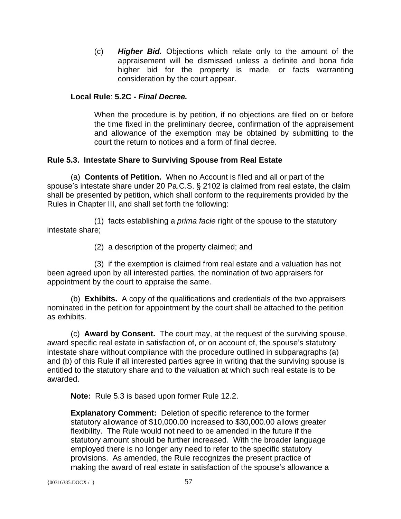(c) *Higher Bid.* Objections which relate only to the amount of the appraisement will be dismissed unless a definite and bona fide higher bid for the property is made, or facts warranting consideration by the court appear.

### **Local Rule**: **5.2C -** *Final Decree.*

When the procedure is by petition, if no objections are filed on or before the time fixed in the preliminary decree, confirmation of the appraisement and allowance of the exemption may be obtained by submitting to the court the return to notices and a form of final decree.

### **Rule 5.3. Intestate Share to Surviving Spouse from Real Estate**

(a) **Contents of Petition.** When no Account is filed and all or part of the spouse's intestate share under 20 Pa.C.S. § 2102 is claimed from real estate, the claim shall be presented by petition, which shall conform to the requirements provided by the Rules in Chapter III, and shall set forth the following:

(1) facts establishing a *prima facie* right of the spouse to the statutory intestate share;

(2) a description of the property claimed; and

(3) if the exemption is claimed from real estate and a valuation has not been agreed upon by all interested parties, the nomination of two appraisers for appointment by the court to appraise the same.

(b) **Exhibits.** A copy of the qualifications and credentials of the two appraisers nominated in the petition for appointment by the court shall be attached to the petition as exhibits.

(c) **Award by Consent.** The court may, at the request of the surviving spouse, award specific real estate in satisfaction of, or on account of, the spouse's statutory intestate share without compliance with the procedure outlined in subparagraphs (a) and (b) of this Rule if all interested parties agree in writing that the surviving spouse is entitled to the statutory share and to the valuation at which such real estate is to be awarded.

**Note:** Rule 5.3 is based upon former Rule 12.2.

**Explanatory Comment:** Deletion of specific reference to the former statutory allowance of \$10,000.00 increased to \$30,000.00 allows greater flexibility. The Rule would not need to be amended in the future if the statutory amount should be further increased. With the broader language employed there is no longer any need to refer to the specific statutory provisions. As amended, the Rule recognizes the present practice of making the award of real estate in satisfaction of the spouse's allowance a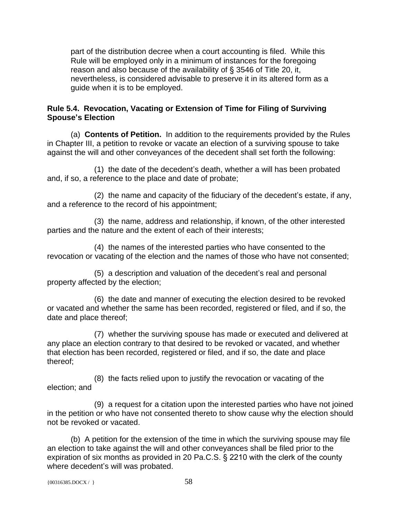part of the distribution decree when a court accounting is filed. While this Rule will be employed only in a minimum of instances for the foregoing reason and also because of the availability of § 3546 of Title 20, it, nevertheless, is considered advisable to preserve it in its altered form as a guide when it is to be employed.

### **Rule 5.4. Revocation, Vacating or Extension of Time for Filing of Surviving Spouse's Election**

(a) **Contents of Petition.** In addition to the requirements provided by the Rules in Chapter III, a petition to revoke or vacate an election of a surviving spouse to take against the will and other conveyances of the decedent shall set forth the following:

(1) the date of the decedent's death, whether a will has been probated and, if so, a reference to the place and date of probate;

(2) the name and capacity of the fiduciary of the decedent's estate, if any, and a reference to the record of his appointment;

(3) the name, address and relationship, if known, of the other interested parties and the nature and the extent of each of their interests;

(4) the names of the interested parties who have consented to the revocation or vacating of the election and the names of those who have not consented;

(5) a description and valuation of the decedent's real and personal property affected by the election;

(6) the date and manner of executing the election desired to be revoked or vacated and whether the same has been recorded, registered or filed, and if so, the date and place thereof;

(7) whether the surviving spouse has made or executed and delivered at any place an election contrary to that desired to be revoked or vacated, and whether that election has been recorded, registered or filed, and if so, the date and place thereof;

(8) the facts relied upon to justify the revocation or vacating of the election; and

(9) a request for a citation upon the interested parties who have not joined in the petition or who have not consented thereto to show cause why the election should not be revoked or vacated.

(b) A petition for the extension of the time in which the surviving spouse may file an election to take against the will and other conveyances shall be filed prior to the expiration of six months as provided in 20 Pa.C.S. § 2210 with the clerk of the county where decedent's will was probated.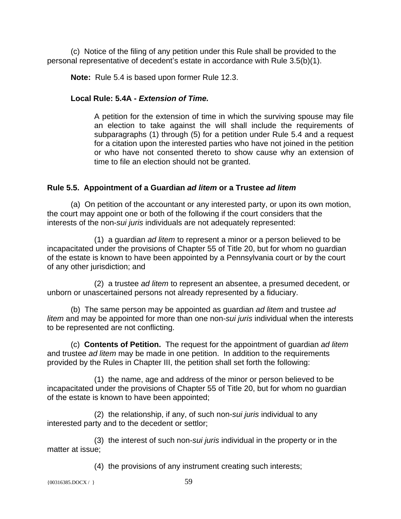(c) Notice of the filing of any petition under this Rule shall be provided to the personal representative of decedent's estate in accordance with Rule 3.5(b)(1).

**Note:** Rule 5.4 is based upon former Rule 12.3.

## **Local Rule: 5.4A -** *Extension of Time.*

A petition for the extension of time in which the surviving spouse may file an election to take against the will shall include the requirements of subparagraphs (1) through (5) for a petition under Rule 5.4 and a request for a citation upon the interested parties who have not joined in the petition or who have not consented thereto to show cause why an extension of time to file an election should not be granted.

## **Rule 5.5. Appointment of a Guardian** *ad litem* **or a Trustee** *ad litem*

(a) On petition of the accountant or any interested party, or upon its own motion, the court may appoint one or both of the following if the court considers that the interests of the non-*sui juris* individuals are not adequately represented:

(1) a guardian *ad litem* to represent a minor or a person believed to be incapacitated under the provisions of Chapter 55 of Title 20, but for whom no guardian of the estate is known to have been appointed by a Pennsylvania court or by the court of any other jurisdiction; and

(2) a trustee *ad litem* to represent an absentee, a presumed decedent, or unborn or unascertained persons not already represented by a fiduciary.

(b) The same person may be appointed as guardian *ad litem* and trustee *ad litem* and may be appointed for more than one non-*sui juris* individual when the interests to be represented are not conflicting.

(c) **Contents of Petition.** The request for the appointment of guardian *ad litem* and trustee *ad litem* may be made in one petition. In addition to the requirements provided by the Rules in Chapter III, the petition shall set forth the following:

(1) the name, age and address of the minor or person believed to be incapacitated under the provisions of Chapter 55 of Title 20, but for whom no guardian of the estate is known to have been appointed;

(2) the relationship, if any, of such non-*sui juris* individual to any interested party and to the decedent or settlor;

(3) the interest of such non-*sui juris* individual in the property or in the matter at issue;

(4) the provisions of any instrument creating such interests;

 ${00316385. \text{DOCX} / }$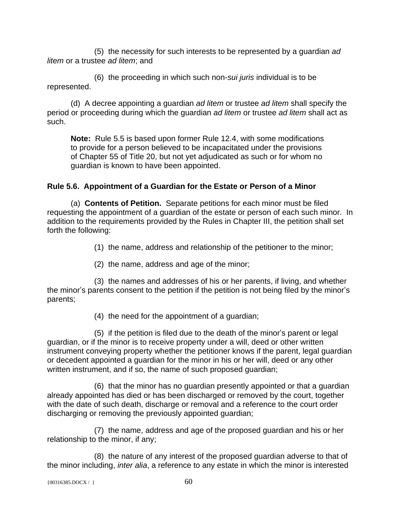(5) the necessity for such interests to be represented by a guardian *ad litem* or a trustee *ad litem*; and

(6) the proceeding in which such non-*sui juris* individual is to be represented.

(d) A decree appointing a guardian *ad litem* or trustee *ad litem* shall specify the period or proceeding during which the guardian *ad litem* or trustee *ad litem* shall act as such.

**Note:** Rule 5.5 is based upon former Rule 12.4, with some modifications to provide for a person believed to be incapacitated under the provisions of Chapter 55 of Title 20, but not yet adjudicated as such or for whom no guardian is known to have been appointed.

# **Rule 5.6. Appointment of a Guardian for the Estate or Person of a Minor**

(a) **Contents of Petition.** Separate petitions for each minor must be filed requesting the appointment of a guardian of the estate or person of each such minor. In addition to the requirements provided by the Rules in Chapter III, the petition shall set forth the following:

(1) the name, address and relationship of the petitioner to the minor;

(2) the name, address and age of the minor;

(3) the names and addresses of his or her parents, if living, and whether the minor's parents consent to the petition if the petition is not being filed by the minor's parents;

(4) the need for the appointment of a guardian;

(5) if the petition is filed due to the death of the minor's parent or legal guardian, or if the minor is to receive property under a will, deed or other written instrument conveying property whether the petitioner knows if the parent, legal guardian or decedent appointed a guardian for the minor in his or her will, deed or any other written instrument, and if so, the name of such proposed guardian;

(6) that the minor has no guardian presently appointed or that a guardian already appointed has died or has been discharged or removed by the court, together with the date of such death, discharge or removal and a reference to the court order discharging or removing the previously appointed guardian;

(7) the name, address and age of the proposed guardian and his or her relationship to the minor, if any;

(8) the nature of any interest of the proposed guardian adverse to that of the minor including, *inter alia*, a reference to any estate in which the minor is interested

```
\{00316385.DOCX / \} 60
```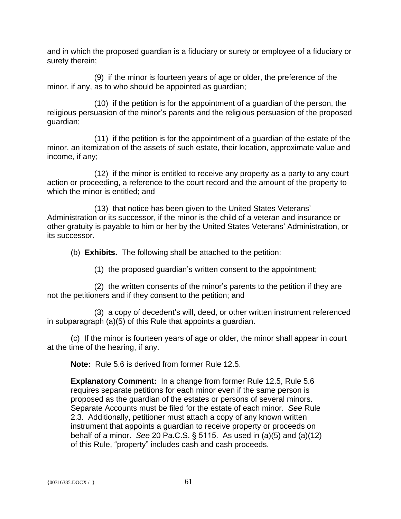and in which the proposed guardian is a fiduciary or surety or employee of a fiduciary or surety therein;

(9) if the minor is fourteen years of age or older, the preference of the minor, if any, as to who should be appointed as guardian;

(10) if the petition is for the appointment of a guardian of the person, the religious persuasion of the minor's parents and the religious persuasion of the proposed guardian;

(11) if the petition is for the appointment of a guardian of the estate of the minor, an itemization of the assets of such estate, their location, approximate value and income, if any;

(12) if the minor is entitled to receive any property as a party to any court action or proceeding, a reference to the court record and the amount of the property to which the minor is entitled; and

(13) that notice has been given to the United States Veterans' Administration or its successor, if the minor is the child of a veteran and insurance or other gratuity is payable to him or her by the United States Veterans' Administration, or its successor.

(b) **Exhibits.** The following shall be attached to the petition:

(1) the proposed guardian's written consent to the appointment;

(2) the written consents of the minor's parents to the petition if they are not the petitioners and if they consent to the petition; and

(3) a copy of decedent's will, deed, or other written instrument referenced in subparagraph (a)(5) of this Rule that appoints a guardian.

(c) If the minor is fourteen years of age or older, the minor shall appear in court at the time of the hearing, if any.

**Note:** Rule 5.6 is derived from former Rule 12.5.

**Explanatory Comment:** In a change from former Rule 12.5, Rule 5.6 requires separate petitions for each minor even if the same person is proposed as the guardian of the estates or persons of several minors. Separate Accounts must be filed for the estate of each minor. *See* Rule 2.3. Additionally, petitioner must attach a copy of any known written instrument that appoints a guardian to receive property or proceeds on behalf of a minor. *See* 20 Pa.C.S. § 5115. As used in (a)(5) and (a)(12) of this Rule, "property" includes cash and cash proceeds.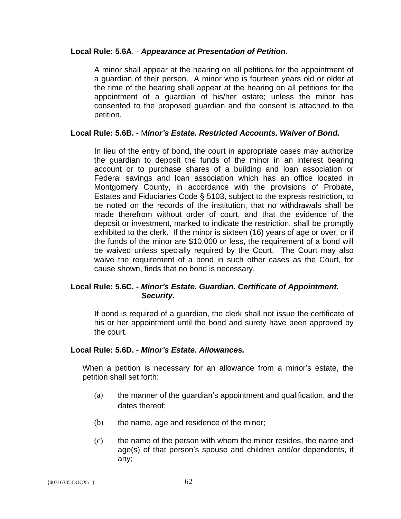#### **Local Rule: 5.6A**. - *Appearance at Presentation of Petition.*

A minor shall appear at the hearing on all petitions for the appointment of a guardian of their person. A minor who is fourteen years old or older at the time of the hearing shall appear at the hearing on all petitions for the appointment of a guardian of his/her estate; unless the minor has consented to the proposed guardian and the consent is attached to the petition.

#### **Local Rule: 5.6B.** - M*inor's Estate. Restricted Accounts. Waiver of Bond.*

In lieu of the entry of bond, the court in appropriate cases may authorize the guardian to deposit the funds of the minor in an interest bearing account or to purchase shares of a building and loan association or Federal savings and loan association which has an office located in Montgomery County, in accordance with the provisions of Probate, Estates and Fiduciaries Code § 5103, subject to the express restriction, to be noted on the records of the institution, that no withdrawals shall be made therefrom without order of court, and that the evidence of the deposit or investment, marked to indicate the restriction, shall be promptly exhibited to the clerk. If the minor is sixteen (16) years of age or over, or if the funds of the minor are \$10,000 or less, the requirement of a bond will be waived unless specially required by the Court. The Court may also waive the requirement of a bond in such other cases as the Court, for cause shown, finds that no bond is necessary.

#### **Local Rule: 5.6C. -** *Minor's Estate. Guardian. Certificate of Appointment. Security.*

If bond is required of a guardian, the clerk shall not issue the certificate of his or her appointment until the bond and surety have been approved by the court.

#### **Local Rule: 5.6D. -** *Minor's Estate. Allowances.*

When a petition is necessary for an allowance from a minor's estate, the petition shall set forth:

- (a) the manner of the guardian's appointment and qualification, and the dates thereof;
- (b) the name, age and residence of the minor;
- (c) the name of the person with whom the minor resides, the name and age(s) of that person's spouse and children and/or dependents, if any;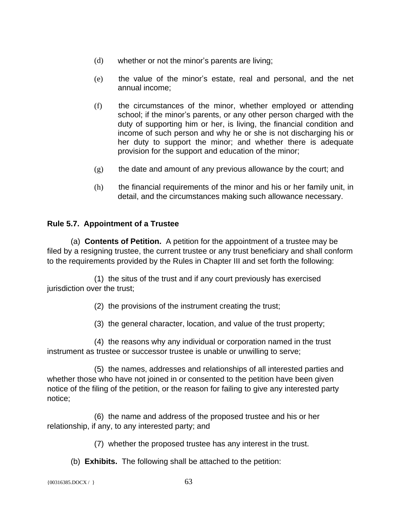- (d) whether or not the minor's parents are living;
- (e) the value of the minor's estate, real and personal, and the net annual income;
- (f) the circumstances of the minor, whether employed or attending school; if the minor's parents, or any other person charged with the duty of supporting him or her, is living, the financial condition and income of such person and why he or she is not discharging his or her duty to support the minor; and whether there is adequate provision for the support and education of the minor;
- $(g)$  the date and amount of any previous allowance by the court; and
- (h) the financial requirements of the minor and his or her family unit, in detail, and the circumstances making such allowance necessary.

### **Rule 5.7. Appointment of a Trustee**

(a) **Contents of Petition.** A petition for the appointment of a trustee may be filed by a resigning trustee, the current trustee or any trust beneficiary and shall conform to the requirements provided by the Rules in Chapter III and set forth the following:

(1) the situs of the trust and if any court previously has exercised jurisdiction over the trust;

(2) the provisions of the instrument creating the trust;

(3) the general character, location, and value of the trust property;

(4) the reasons why any individual or corporation named in the trust instrument as trustee or successor trustee is unable or unwilling to serve;

(5) the names, addresses and relationships of all interested parties and whether those who have not joined in or consented to the petition have been given notice of the filing of the petition, or the reason for failing to give any interested party notice;

(6) the name and address of the proposed trustee and his or her relationship, if any, to any interested party; and

(7) whether the proposed trustee has any interest in the trust.

(b) **Exhibits.** The following shall be attached to the petition:

 ${00316385. \text{DOCX} / }$  63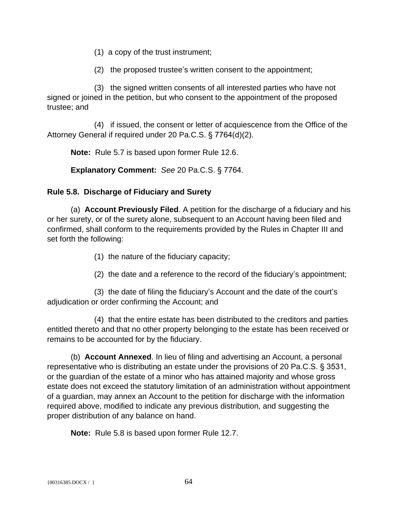- (1) a copy of the trust instrument;
- (2) the proposed trustee's written consent to the appointment;

(3) the signed written consents of all interested parties who have not signed or joined in the petition, but who consent to the appointment of the proposed trustee; and

(4) if issued, the consent or letter of acquiescence from the Office of the Attorney General if required under 20 Pa.C.S. § 7764(d)(2).

**Note:** Rule 5.7 is based upon former Rule 12.6.

**Explanatory Comment:** *See* 20 Pa.C.S. § 7764.

### **Rule 5.8. Discharge of Fiduciary and Surety**

(a) **Account Previously Filed**. A petition for the discharge of a fiduciary and his or her surety, or of the surety alone, subsequent to an Account having been filed and confirmed, shall conform to the requirements provided by the Rules in Chapter III and set forth the following:

- (1) the nature of the fiduciary capacity;
- (2) the date and a reference to the record of the fiduciary's appointment;

(3) the date of filing the fiduciary's Account and the date of the court's adjudication or order confirming the Account; and

(4) that the entire estate has been distributed to the creditors and parties entitled thereto and that no other property belonging to the estate has been received or remains to be accounted for by the fiduciary.

(b) **Account Annexed**. In lieu of filing and advertising an Account, a personal representative who is distributing an estate under the provisions of 20 Pa.C.S. § 3531, or the guardian of the estate of a minor who has attained majority and whose gross estate does not exceed the statutory limitation of an administration without appointment of a guardian, may annex an Account to the petition for discharge with the information required above, modified to indicate any previous distribution, and suggesting the proper distribution of any balance on hand.

**Note:** Rule 5.8 is based upon former Rule 12.7.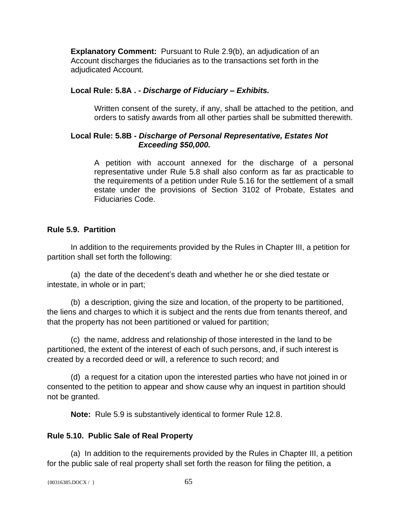**Explanatory Comment:** Pursuant to Rule 2.9(b), an adjudication of an Account discharges the fiduciaries as to the transactions set forth in the adjudicated Account.

### **Local Rule: 5.8A . -** *Discharge of Fiduciary – Exhibits.*

Written consent of the surety, if any, shall be attached to the petition, and orders to satisfy awards from all other parties shall be submitted therewith.

### **Local Rule: 5.8B -** *Discharge of Personal Representative, Estates Not Exceeding \$50,000.*

A petition with account annexed for the discharge of a personal representative under Rule 5.8 shall also conform as far as practicable to the requirements of a petition under Rule 5.16 for the settlement of a small estate under the provisions of Section 3102 of Probate, Estates and Fiduciaries Code.

### **Rule 5.9. Partition**

In addition to the requirements provided by the Rules in Chapter III, a petition for partition shall set forth the following:

(a) the date of the decedent's death and whether he or she died testate or intestate, in whole or in part;

(b) a description, giving the size and location, of the property to be partitioned, the liens and charges to which it is subject and the rents due from tenants thereof, and that the property has not been partitioned or valued for partition;

(c) the name, address and relationship of those interested in the land to be partitioned, the extent of the interest of each of such persons, and, if such interest is created by a recorded deed or will, a reference to such record; and

(d) a request for a citation upon the interested parties who have not joined in or consented to the petition to appear and show cause why an inquest in partition should not be granted.

**Note:** Rule 5.9 is substantively identical to former Rule 12.8.

### **Rule 5.10. Public Sale of Real Property**

(a) In addition to the requirements provided by the Rules in Chapter III, a petition for the public sale of real property shall set forth the reason for filing the petition, a

```
\{00316385.DOCX / \} 65
```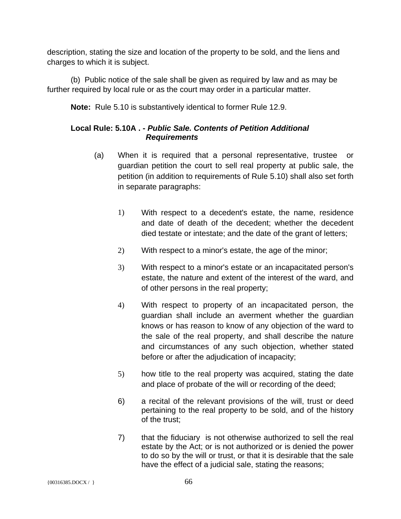description, stating the size and location of the property to be sold, and the liens and charges to which it is subject.

(b) Public notice of the sale shall be given as required by law and as may be further required by local rule or as the court may order in a particular matter.

**Note:** Rule 5.10 is substantively identical to former Rule 12.9.

## **Local Rule: 5.10A . -** *Public Sale. Contents of Petition Additional Requirements*

- (a) When it is required that a personal representative, trustee or guardian petition the court to sell real property at public sale, the petition (in addition to requirements of Rule 5.10) shall also set forth in separate paragraphs:
	- 1) With respect to a decedent's estate, the name, residence and date of death of the decedent; whether the decedent died testate or intestate; and the date of the grant of letters;
	- 2) With respect to a minor's estate, the age of the minor;
	- 3) With respect to a minor's estate or an incapacitated person's estate, the nature and extent of the interest of the ward, and of other persons in the real property;
	- 4) With respect to property of an incapacitated person, the guardian shall include an averment whether the guardian knows or has reason to know of any objection of the ward to the sale of the real property, and shall describe the nature and circumstances of any such objection, whether stated before or after the adjudication of incapacity;
	- 5) how title to the real property was acquired, stating the date and place of probate of the will or recording of the deed;
	- 6) a recital of the relevant provisions of the will, trust or deed pertaining to the real property to be sold, and of the history of the trust;
	- 7) that the fiduciary is not otherwise authorized to sell the real estate by the Act; or is not authorized or is denied the power to do so by the will or trust, or that it is desirable that the sale have the effect of a judicial sale, stating the reasons;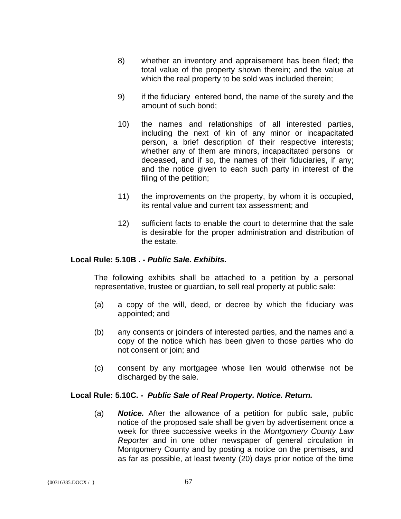- 8) whether an inventory and appraisement has been filed; the total value of the property shown therein; and the value at which the real property to be sold was included therein;
- 9) if the fiduciary entered bond, the name of the surety and the amount of such bond;
- 10) the names and relationships of all interested parties, including the next of kin of any minor or incapacitated person, a brief description of their respective interests; whether any of them are minors, incapacitated persons or deceased, and if so, the names of their fiduciaries, if any; and the notice given to each such party in interest of the filing of the petition;
- 11) the improvements on the property, by whom it is occupied, its rental value and current tax assessment; and
- 12) sufficient facts to enable the court to determine that the sale is desirable for the proper administration and distribution of the estate.

#### **Local Rule: 5.10B . -** *Public Sale. Exhibits.*

The following exhibits shall be attached to a petition by a personal representative, trustee or guardian, to sell real property at public sale:

- (a) a copy of the will, deed, or decree by which the fiduciary was appointed; and
- (b) any consents or joinders of interested parties, and the names and a copy of the notice which has been given to those parties who do not consent or join; and
- (c) consent by any mortgagee whose lien would otherwise not be discharged by the sale.

#### **Local Rule: 5.10C. -** *Public Sale of Real Property. Notice. Return.*

(a) *Notice.* After the allowance of a petition for public sale, public notice of the proposed sale shall be given by advertisement once a week for three successive weeks in the *Montgomery County Law Reporter* and in one other newspaper of general circulation in Montgomery County and by posting a notice on the premises, and as far as possible, at least twenty (20) days prior notice of the time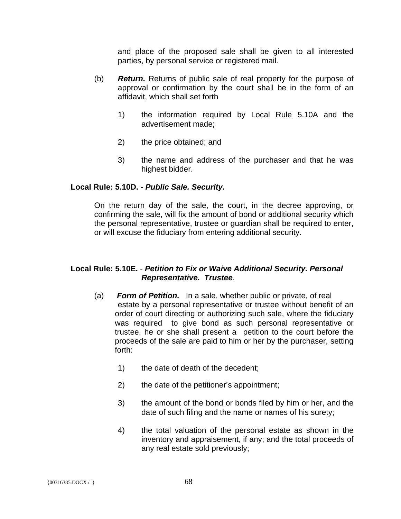and place of the proposed sale shall be given to all interested parties, by personal service or registered mail.

- (b) *Return.* Returns of public sale of real property for the purpose of approval or confirmation by the court shall be in the form of an affidavit, which shall set forth
	- 1) the information required by Local Rule 5.10A and the advertisement made;
	- 2) the price obtained; and
	- 3) the name and address of the purchaser and that he was highest bidder.

#### **Local Rule: 5.10D.** - *Public Sale. Security.*

On the return day of the sale, the court, in the decree approving, or confirming the sale, will fix the amount of bond or additional security which the personal representative, trustee or guardian shall be required to enter, or will excuse the fiduciary from entering additional security.

#### **Local Rule: 5.10E.** - *Petition to Fix or Waive Additional Security. Personal Representative. Trustee.*

- (a) *Form of Petition.* In a sale, whether public or private, of real estate by a personal representative or trustee without benefit of an order of court directing or authorizing such sale, where the fiduciary was required to give bond as such personal representative or trustee, he or she shall present a petition to the court before the proceeds of the sale are paid to him or her by the purchaser, setting forth:
	- 1) the date of death of the decedent;
	- 2) the date of the petitioner's appointment;
	- 3) the amount of the bond or bonds filed by him or her, and the date of such filing and the name or names of his surety;
	- 4) the total valuation of the personal estate as shown in the inventory and appraisement, if any; and the total proceeds of any real estate sold previously;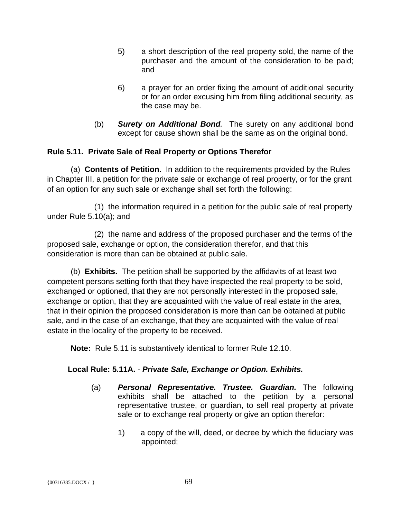- 5) a short description of the real property sold, the name of the purchaser and the amount of the consideration to be paid; and
- 6) a prayer for an order fixing the amount of additional security or for an order excusing him from filing additional security, as the case may be.
- (b) *Surety on Additional Bond.* The surety on any additional bond except for cause shown shall be the same as on the original bond.

## **Rule 5.11. Private Sale of Real Property or Options Therefor**

(a) **Contents of Petition**. In addition to the requirements provided by the Rules in Chapter III, a petition for the private sale or exchange of real property, or for the grant of an option for any such sale or exchange shall set forth the following:

(1) the information required in a petition for the public sale of real property under Rule 5.10(a); and

(2) the name and address of the proposed purchaser and the terms of the proposed sale, exchange or option, the consideration therefor, and that this consideration is more than can be obtained at public sale.

(b) **Exhibits.** The petition shall be supported by the affidavits of at least two competent persons setting forth that they have inspected the real property to be sold, exchanged or optioned, that they are not personally interested in the proposed sale, exchange or option, that they are acquainted with the value of real estate in the area, that in their opinion the proposed consideration is more than can be obtained at public sale, and in the case of an exchange, that they are acquainted with the value of real estate in the locality of the property to be received.

**Note:** Rule 5.11 is substantively identical to former Rule 12.10.

### **Local Rule: 5.11A.** - *Private Sale, Exchange or Option. Exhibits.*

- (a) *Personal Representative. Trustee. Guardian.* The following exhibits shall be attached to the petition by a personal representative trustee, or guardian, to sell real property at private sale or to exchange real property or give an option therefor:
	- 1) a copy of the will, deed, or decree by which the fiduciary was appointed;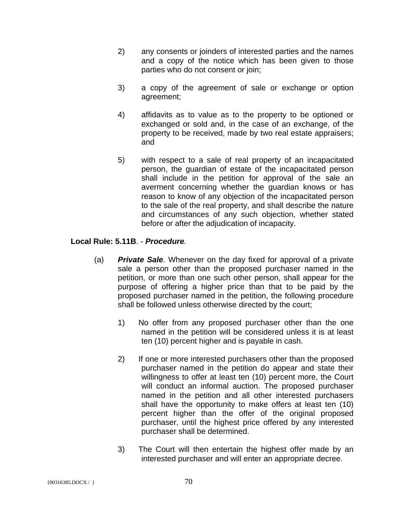- 2) any consents or joinders of interested parties and the names and a copy of the notice which has been given to those parties who do not consent or join;
- 3) a copy of the agreement of sale or exchange or option agreement;
- 4) affidavits as to value as to the property to be optioned or exchanged or sold and, in the case of an exchange, of the property to be received, made by two real estate appraisers; and
- 5) with respect to a sale of real property of an incapacitated person, the guardian of estate of the incapacitated person shall include in the petition for approval of the sale an averment concerning whether the guardian knows or has reason to know of any objection of the incapacitated person to the sale of the real property, and shall describe the nature and circumstances of any such objection, whether stated before or after the adjudication of incapacity.

### **Local Rule: 5.11B**. - *Procedure.*

- (a) *Private Sale.* Whenever on the day fixed for approval of a private sale a person other than the proposed purchaser named in the petition, or more than one such other person, shall appear for the purpose of offering a higher price than that to be paid by the proposed purchaser named in the petition, the following procedure shall be followed unless otherwise directed by the court;
	- 1) No offer from any proposed purchaser other than the one named in the petition will be considered unless it is at least ten (10) percent higher and is payable in cash.
	- 2) If one or more interested purchasers other than the proposed purchaser named in the petition do appear and state their willingness to offer at least ten (10) percent more, the Court will conduct an informal auction. The proposed purchaser named in the petition and all other interested purchasers shall have the opportunity to make offers at least ten (10) percent higher than the offer of the original proposed purchaser, until the highest price offered by any interested purchaser shall be determined.
	- 3) The Court will then entertain the highest offer made by an interested purchaser and will enter an appropriate decree.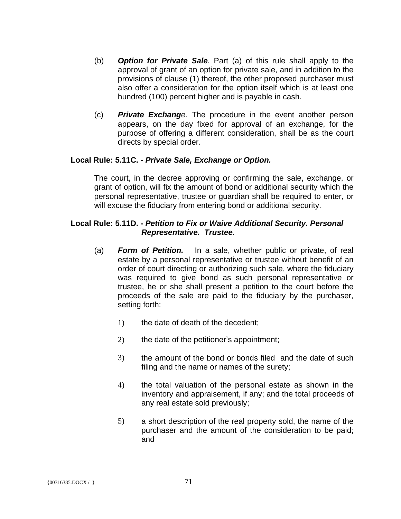- (b) *Option for Private Sale.* Part (a) of this rule shall apply to the approval of grant of an option for private sale, and in addition to the provisions of clause (1) thereof, the other proposed purchaser must also offer a consideration for the option itself which is at least one hundred (100) percent higher and is payable in cash.
- (c) *Private Exchange.* The procedure in the event another person appears, on the day fixed for approval of an exchange, for the purpose of offering a different consideration, shall be as the court directs by special order.

#### **Local Rule: 5.11C.** - *Private Sale, Exchange or Option.*

The court, in the decree approving or confirming the sale, exchange, or grant of option, will fix the amount of bond or additional security which the personal representative, trustee or guardian shall be required to enter, or will excuse the fiduciary from entering bond or additional security.

#### **Local Rule: 5.11D. -** *Petition to Fix or Waive Additional Security. Personal Representative. Trustee.*

- (a) *Form of Petition.* In a sale, whether public or private, of real estate by a personal representative or trustee without benefit of an order of court directing or authorizing such sale, where the fiduciary was required to give bond as such personal representative or trustee, he or she shall present a petition to the court before the proceeds of the sale are paid to the fiduciary by the purchaser, setting forth:
	- 1) the date of death of the decedent;
	- 2) the date of the petitioner's appointment;
	- 3) the amount of the bond or bonds filed and the date of such filing and the name or names of the surety;
	- 4) the total valuation of the personal estate as shown in the inventory and appraisement, if any; and the total proceeds of any real estate sold previously;
	- 5) a short description of the real property sold, the name of the purchaser and the amount of the consideration to be paid; and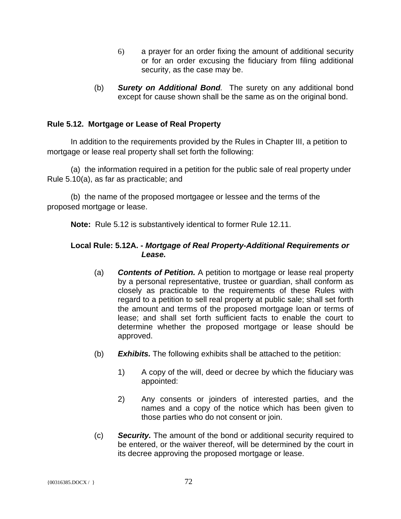- 6) a prayer for an order fixing the amount of additional security or for an order excusing the fiduciary from filing additional security, as the case may be.
- (b) *Surety on Additional Bond.* The surety on any additional bond except for cause shown shall be the same as on the original bond.

### **Rule 5.12. Mortgage or Lease of Real Property**

In addition to the requirements provided by the Rules in Chapter III, a petition to mortgage or lease real property shall set forth the following:

(a) the information required in a petition for the public sale of real property under Rule 5.10(a), as far as practicable; and

(b) the name of the proposed mortgagee or lessee and the terms of the proposed mortgage or lease.

**Note:** Rule 5.12 is substantively identical to former Rule 12.11.

#### **Local Rule: 5.12A. -** *Mortgage of Real Property-Additional Requirements or Lease.*

- (a) *Contents of Petition.* A petition to mortgage or lease real property by a personal representative, trustee or guardian, shall conform as closely as practicable to the requirements of these Rules with regard to a petition to sell real property at public sale; shall set forth the amount and terms of the proposed mortgage loan or terms of lease; and shall set forth sufficient facts to enable the court to determine whether the proposed mortgage or lease should be approved.
- (b) *Exhibits.* The following exhibits shall be attached to the petition:
	- 1) A copy of the will, deed or decree by which the fiduciary was appointed:
	- 2) Any consents or joinders of interested parties, and the names and a copy of the notice which has been given to those parties who do not consent or join.
- (c) *Security.* The amount of the bond or additional security required to be entered, or the waiver thereof, will be determined by the court in its decree approving the proposed mortgage or lease.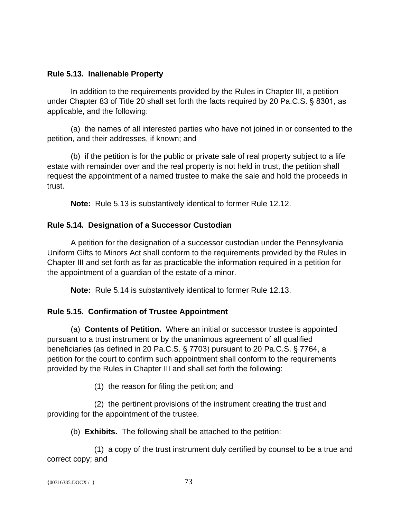#### **Rule 5.13. Inalienable Property**

In addition to the requirements provided by the Rules in Chapter III, a petition under Chapter 83 of Title 20 shall set forth the facts required by 20 Pa.C.S. § 8301, as applicable, and the following:

(a) the names of all interested parties who have not joined in or consented to the petition, and their addresses, if known; and

(b) if the petition is for the public or private sale of real property subject to a life estate with remainder over and the real property is not held in trust, the petition shall request the appointment of a named trustee to make the sale and hold the proceeds in trust.

**Note:** Rule 5.13 is substantively identical to former Rule 12.12.

# **Rule 5.14. Designation of a Successor Custodian**

A petition for the designation of a successor custodian under the Pennsylvania Uniform Gifts to Minors Act shall conform to the requirements provided by the Rules in Chapter III and set forth as far as practicable the information required in a petition for the appointment of a guardian of the estate of a minor.

**Note:** Rule 5.14 is substantively identical to former Rule 12.13.

# **Rule 5.15. Confirmation of Trustee Appointment**

(a) **Contents of Petition.** Where an initial or successor trustee is appointed pursuant to a trust instrument or by the unanimous agreement of all qualified beneficiaries (as defined in 20 Pa.C.S. § 7703) pursuant to 20 Pa.C.S. § 7764, a petition for the court to confirm such appointment shall conform to the requirements provided by the Rules in Chapter III and shall set forth the following:

(1) the reason for filing the petition; and

(2) the pertinent provisions of the instrument creating the trust and providing for the appointment of the trustee.

(b) **Exhibits.** The following shall be attached to the petition:

(1) a copy of the trust instrument duly certified by counsel to be a true and correct copy; and

```
{00316385.DOCX / } 73
```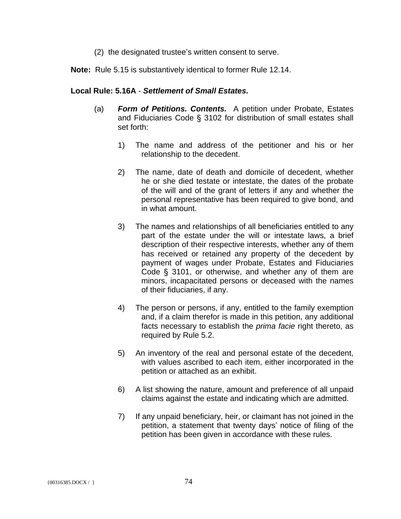(2) the designated trustee's written consent to serve.

**Note:** Rule 5.15 is substantively identical to former Rule 12.14.

#### **Local Rule: 5.16A** - *Settlement of Small Estates.*

- (a) *Form of Petitions. Contents.* A petition under Probate, Estates and Fiduciaries Code § 3102 for distribution of small estates shall set forth:
	- 1) The name and address of the petitioner and his or her relationship to the decedent.
	- 2) The name, date of death and domicile of decedent, whether he or she died testate or intestate, the dates of the probate of the will and of the grant of letters if any and whether the personal representative has been required to give bond, and in what amount.
	- 3) The names and relationships of all beneficiaries entitled to any part of the estate under the will or intestate laws, a brief description of their respective interests, whether any of them has received or retained any property of the decedent by payment of wages under Probate, Estates and Fiduciaries Code § 3101, or otherwise, and whether any of them are minors, incapacitated persons or deceased with the names of their fiduciaries, if any.
	- 4) The person or persons, if any, entitled to the family exemption and, if a claim therefor is made in this petition, any additional facts necessary to establish the *prima facie* right thereto, as required by Rule 5.2.
	- 5) An inventory of the real and personal estate of the decedent, with values ascribed to each item, either incorporated in the petition or attached as an exhibit.
	- 6) A list showing the nature, amount and preference of all unpaid claims against the estate and indicating which are admitted.
	- 7) If any unpaid beneficiary, heir, or claimant has not joined in the petition, a statement that twenty days' notice of filing of the petition has been given in accordance with these rules.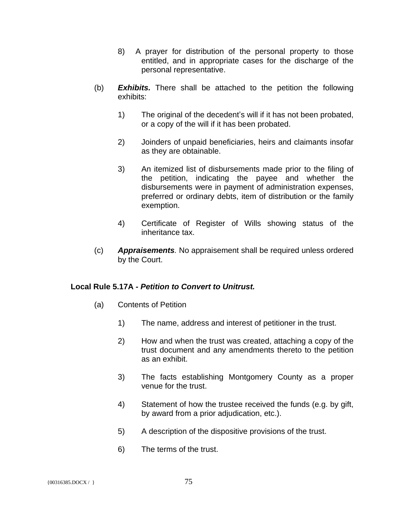- 8) A prayer for distribution of the personal property to those entitled, and in appropriate cases for the discharge of the personal representative.
- (b) *Exhibits.* There shall be attached to the petition the following exhibits:
	- 1) The original of the decedent's will if it has not been probated, or a copy of the will if it has been probated.
	- 2) Joinders of unpaid beneficiaries, heirs and claimants insofar as they are obtainable.
	- 3) An itemized list of disbursements made prior to the filing of the petition, indicating the payee and whether the disbursements were in payment of administration expenses, preferred or ordinary debts, item of distribution or the family exemption.
	- 4) Certificate of Register of Wills showing status of the inheritance tax.
- (c) *Appraisements.* No appraisement shall be required unless ordered by the Court.

#### **Local Rule 5.17A -** *Petition to Convert to Unitrust.*

- (a) Contents of Petition
	- 1) The name, address and interest of petitioner in the trust.
	- 2) How and when the trust was created, attaching a copy of the trust document and any amendments thereto to the petition as an exhibit.
	- 3) The facts establishing Montgomery County as a proper venue for the trust.
	- 4) Statement of how the trustee received the funds (e.g. by gift, by award from a prior adjudication, etc.).
	- 5) A description of the dispositive provisions of the trust.
	- 6) The terms of the trust.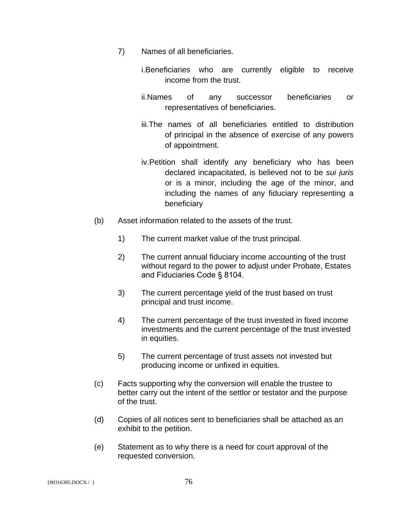- 7) Names of all beneficiaries.
	- i.Beneficiaries who are currently eligible to receive income from the trust.
	- ii.Names of any successor beneficiaries or representatives of beneficiaries.
	- iii.The names of all beneficiaries entitled to distribution of principal in the absence of exercise of any powers of appointment.
	- iv.Petition shall identify any beneficiary who has been declared incapacitated, is believed not to be *sui juris* or is a minor, including the age of the minor, and including the names of any fiduciary representing a beneficiary
- (b) Asset information related to the assets of the trust.
	- 1) The current market value of the trust principal.
	- 2) The current annual fiduciary income accounting of the trust without regard to the power to adjust under Probate, Estates and Fiduciaries Code § 8104.
	- 3) The current percentage yield of the trust based on trust principal and trust income.
	- 4) The current percentage of the trust invested in fixed income investments and the current percentage of the trust invested in equities.
	- 5) The current percentage of trust assets not invested but producing income or unfixed in equities.
- (c) Facts supporting why the conversion will enable the trustee to better carry out the intent of the settlor or testator and the purpose of the trust.
- (d) Copies of all notices sent to beneficiaries shall be attached as an exhibit to the petition.
- (e) Statement as to why there is a need for court approval of the requested conversion.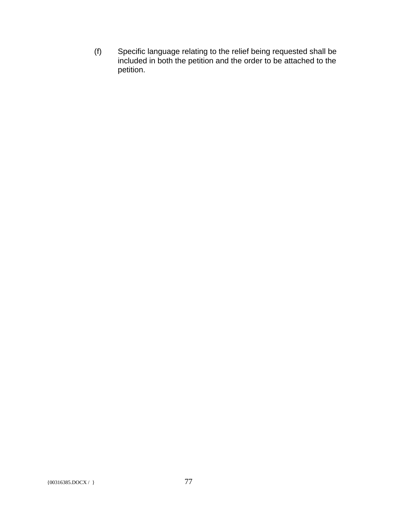(f) Specific language relating to the relief being requested shall be included in both the petition and the order to be attached to the petition.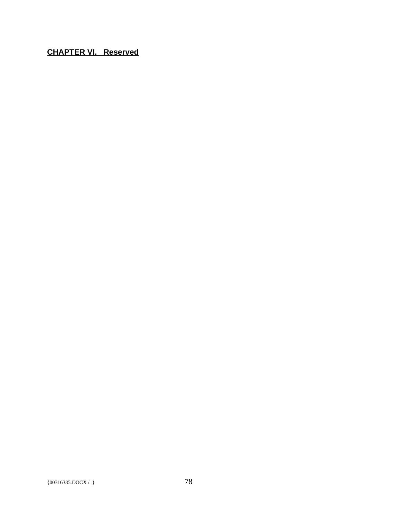**CHAPTER VI. Reserved**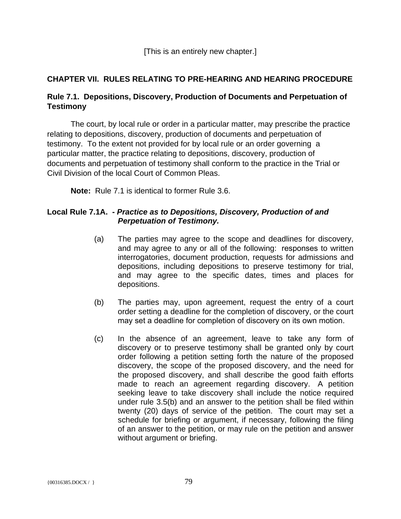# **CHAPTER VII. RULES RELATING TO PRE-HEARING AND HEARING PROCEDURE**

# **Rule 7.1. Depositions, Discovery, Production of Documents and Perpetuation of Testimony**

The court, by local rule or order in a particular matter, may prescribe the practice relating to depositions, discovery, production of documents and perpetuation of testimony. To the extent not provided for by local rule or an order governing a particular matter, the practice relating to depositions, discovery, production of documents and perpetuation of testimony shall conform to the practice in the Trial or Civil Division of the local Court of Common Pleas.

**Note:** Rule 7.1 is identical to former Rule 3.6.

#### **Local Rule 7.1A. -** *Practice as to Depositions, Discovery, Production of and Perpetuation of Testimony.*

- (a) The parties may agree to the scope and deadlines for discovery, and may agree to any or all of the following: responses to written interrogatories, document production, requests for admissions and depositions, including depositions to preserve testimony for trial, and may agree to the specific dates, times and places for depositions.
- (b) The parties may, upon agreement, request the entry of a court order setting a deadline for the completion of discovery, or the court may set a deadline for completion of discovery on its own motion.
- (c) In the absence of an agreement, leave to take any form of discovery or to preserve testimony shall be granted only by court order following a petition setting forth the nature of the proposed discovery, the scope of the proposed discovery, and the need for the proposed discovery, and shall describe the good faith efforts made to reach an agreement regarding discovery. A petition seeking leave to take discovery shall include the notice required under rule 3.5(b) and an answer to the petition shall be filed within twenty (20) days of service of the petition. The court may set a schedule for briefing or argument, if necessary, following the filing of an answer to the petition, or may rule on the petition and answer without argument or briefing.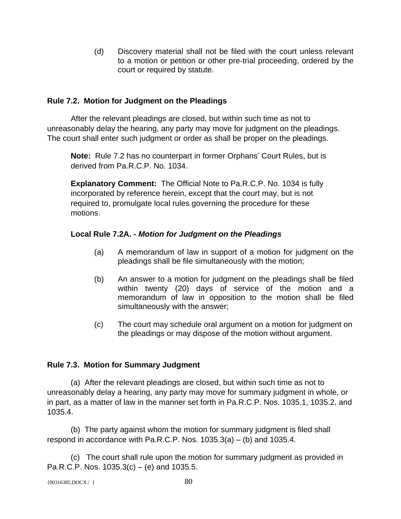(d) Discovery material shall not be filed with the court unless relevant to a motion or petition or other pre-trial proceeding, ordered by the court or required by statute.

# **Rule 7.2. Motion for Judgment on the Pleadings**

After the relevant pleadings are closed, but within such time as not to unreasonably delay the hearing, any party may move for judgment on the pleadings. The court shall enter such judgment or order as shall be proper on the pleadings.

**Note:** Rule 7.2 has no counterpart in former Orphans' Court Rules, but is derived from Pa.R.C.P. No. 1034.

**Explanatory Comment:** The Official Note to Pa.R.C.P. No. 1034 is fully incorporated by reference herein, except that the court may, but is not required to, promulgate local rules governing the procedure for these motions.

# **Local Rule 7.2A. -** *Motion for Judgment on the Pleadings*

- (a) A memorandum of law in support of a motion for judgment on the pleadings shall be file simultaneously with the motion;
- (b) An answer to a motion for judgment on the pleadings shall be filed within twenty (20) days of service of the motion and a memorandum of law in opposition to the motion shall be filed simultaneously with the answer;
- (c) The court may schedule oral argument on a motion for judgment on the pleadings or may dispose of the motion without argument.

# **Rule 7.3. Motion for Summary Judgment**

(a) After the relevant pleadings are closed, but within such time as not to unreasonably delay a hearing, any party may move for summary judgment in whole, or in part, as a matter of law in the manner set forth in Pa.R.C.P. Nos. 1035.1, 1035.2, and 1035.4.

(b) The party against whom the motion for summary judgment is filed shall respond in accordance with Pa.R.C.P. Nos.  $1035.3(a) - (b)$  and  $1035.4$ .

(c) The court shall rule upon the motion for summary judgment as provided in Pa.R.C.P. Nos.  $1035.3(c) - (e)$  and  $1035.5$ .

```
\{00316385.DOCX / \} 80
```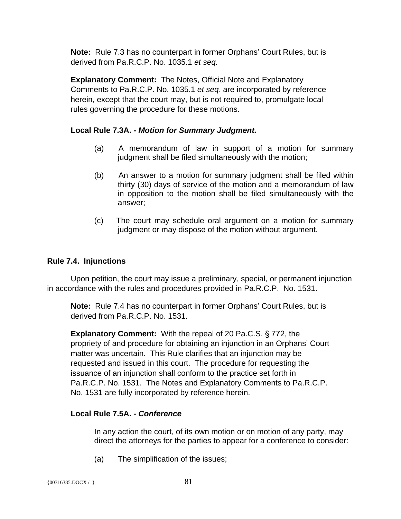**Note:** Rule 7.3 has no counterpart in former Orphans' Court Rules, but is derived from Pa.R.C.P. No. 1035.1 *et seq.*

**Explanatory Comment:** The Notes, Official Note and Explanatory Comments to Pa.R.C.P. No. 1035.1 *et seq*. are incorporated by reference herein, except that the court may, but is not required to, promulgate local rules governing the procedure for these motions.

# **Local Rule 7.3A. -** *Motion for Summary Judgment.*

- (a) A memorandum of law in support of a motion for summary judgment shall be filed simultaneously with the motion;
- (b) An answer to a motion for summary judgment shall be filed within thirty (30) days of service of the motion and a memorandum of law in opposition to the motion shall be filed simultaneously with the answer;
- (c) The court may schedule oral argument on a motion for summary judgment or may dispose of the motion without argument.

# **Rule 7.4. Injunctions**

Upon petition, the court may issue a preliminary, special, or permanent injunction in accordance with the rules and procedures provided in Pa.R.C.P. No. 1531.

**Note:** Rule 7.4 has no counterpart in former Orphans' Court Rules, but is derived from Pa.R.C.P. No. 1531.

**Explanatory Comment:** With the repeal of 20 Pa.C.S. § 772, the propriety of and procedure for obtaining an injunction in an Orphans' Court matter was uncertain. This Rule clarifies that an injunction may be requested and issued in this court. The procedure for requesting the issuance of an injunction shall conform to the practice set forth in Pa.R.C.P. No. 1531. The Notes and Explanatory Comments to Pa.R.C.P. No. 1531 are fully incorporated by reference herein.

#### **Local Rule 7.5A. -** *Conference*

In any action the court, of its own motion or on motion of any party, may direct the attorneys for the parties to appear for a conference to consider:

(a) The simplification of the issues;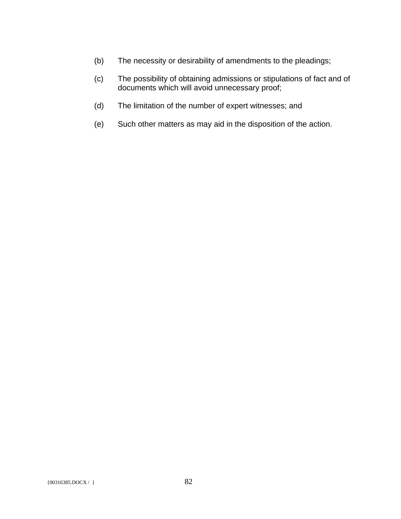- (b) The necessity or desirability of amendments to the pleadings;
- (c) The possibility of obtaining admissions or stipulations of fact and of documents which will avoid unnecessary proof;
- (d) The limitation of the number of expert witnesses; and
- (e) Such other matters as may aid in the disposition of the action.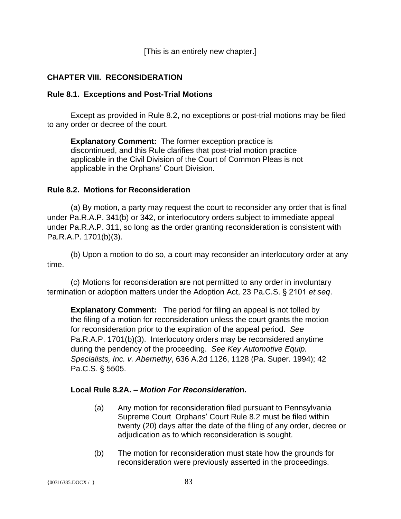[This is an entirely new chapter.]

# **CHAPTER VIII. RECONSIDERATION**

#### **Rule 8.1. Exceptions and Post-Trial Motions**

Except as provided in Rule 8.2, no exceptions or post-trial motions may be filed to any order or decree of the court.

**Explanatory Comment:** The former exception practice is discontinued, and this Rule clarifies that post-trial motion practice applicable in the Civil Division of the Court of Common Pleas is not applicable in the Orphans' Court Division.

#### **Rule 8.2. Motions for Reconsideration**

(a) By motion, a party may request the court to reconsider any order that is final under Pa.R.A.P. 341(b) or 342, or interlocutory orders subject to immediate appeal under Pa.R.A.P. 311, so long as the order granting reconsideration is consistent with Pa.R.A.P. 1701(b)(3).

(b) Upon a motion to do so, a court may reconsider an interlocutory order at any time.

(c) Motions for reconsideration are not permitted to any order in involuntary termination or adoption matters under the Adoption Act, 23 Pa.C.S. § 2101 *et seq*.

**Explanatory Comment:** The period for filing an appeal is not tolled by the filing of a motion for reconsideration unless the court grants the motion for reconsideration prior to the expiration of the appeal period. *See*  Pa.R.A.P. 1701(b)(3). Interlocutory orders may be reconsidered anytime during the pendency of the proceeding. *See Key Automotive Equip. Specialists, Inc. v. Abernethy*, 636 A.2d 1126, 1128 (Pa. Super. 1994); 42 Pa.C.S. § 5505.

#### **Local Rule 8.2A. –** *Motion For Reconsideratio***n.**

- (a) Any motion for reconsideration filed pursuant to Pennsylvania Supreme Court Orphans' Court Rule 8.2 must be filed within twenty (20) days after the date of the filing of any order, decree or adjudication as to which reconsideration is sought.
- (b) The motion for reconsideration must state how the grounds for reconsideration were previously asserted in the proceedings.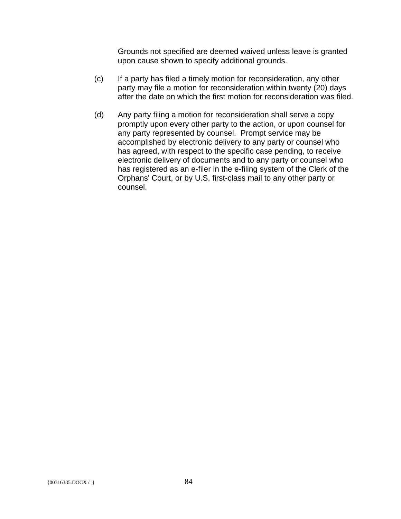Grounds not specified are deemed waived unless leave is granted upon cause shown to specify additional grounds.

- (c) If a party has filed a timely motion for reconsideration, any other party may file a motion for reconsideration within twenty (20) days after the date on which the first motion for reconsideration was filed.
- (d) Any party filing a motion for reconsideration shall serve a copy promptly upon every other party to the action, or upon counsel for any party represented by counsel. Prompt service may be accomplished by electronic delivery to any party or counsel who has agreed, with respect to the specific case pending, to receive electronic delivery of documents and to any party or counsel who has registered as an e-filer in the e-filing system of the Clerk of the Orphans' Court, or by U.S. first-class mail to any other party or counsel.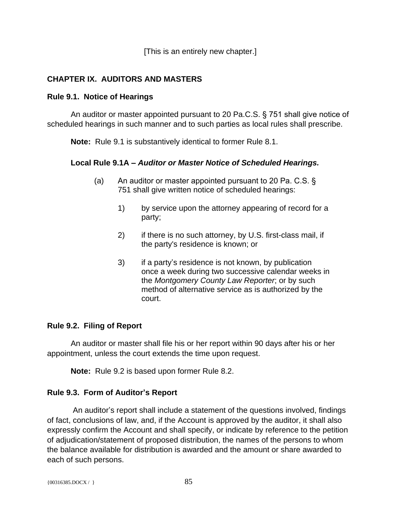[This is an entirely new chapter.]

# **CHAPTER IX. AUDITORS AND MASTERS**

#### **Rule 9.1. Notice of Hearings**

An auditor or master appointed pursuant to 20 Pa.C.S. § 751 shall give notice of scheduled hearings in such manner and to such parties as local rules shall prescribe.

**Note:** Rule 9.1 is substantively identical to former Rule 8.1.

#### **Local Rule 9.1A –** *Auditor or Master Notice of Scheduled Hearings.*

- (a) An auditor or master appointed pursuant to 20 Pa. C.S. § 751 shall give written notice of scheduled hearings:
	- 1) by service upon the attorney appearing of record for a party;
	- 2) if there is no such attorney, by U.S. first-class mail, if the party's residence is known; or
	- 3) if a party's residence is not known, by publication once a week during two successive calendar weeks in the *Montgomery County Law Reporter*; or by such method of alternative service as is authorized by the court.

#### **Rule 9.2. Filing of Report**

An auditor or master shall file his or her report within 90 days after his or her appointment, unless the court extends the time upon request.

**Note:** Rule 9.2 is based upon former Rule 8.2.

#### **Rule 9.3. Form of Auditor's Report**

 An auditor's report shall include a statement of the questions involved, findings of fact, conclusions of law, and, if the Account is approved by the auditor, it shall also expressly confirm the Account and shall specify, or indicate by reference to the petition of adjudication/statement of proposed distribution, the names of the persons to whom the balance available for distribution is awarded and the amount or share awarded to each of such persons.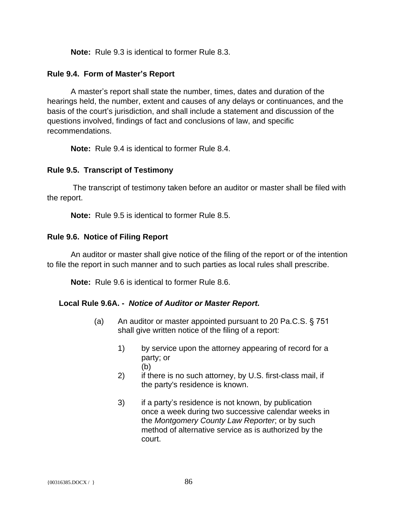**Note:** Rule 9.3 is identical to former Rule 8.3.

#### **Rule 9.4. Form of Master's Report**

A master's report shall state the number, times, dates and duration of the hearings held, the number, extent and causes of any delays or continuances, and the basis of the court's jurisdiction, and shall include a statement and discussion of the questions involved, findings of fact and conclusions of law, and specific recommendations.

**Note:** Rule 9.4 is identical to former Rule 8.4.

#### **Rule 9.5. Transcript of Testimony**

 The transcript of testimony taken before an auditor or master shall be filed with the report.

**Note:** Rule 9.5 is identical to former Rule 8.5.

#### **Rule 9.6. Notice of Filing Report**

An auditor or master shall give notice of the filing of the report or of the intention to file the report in such manner and to such parties as local rules shall prescribe.

**Note:** Rule 9.6 is identical to former Rule 8.6.

#### **Local Rule 9.6A. -** *Notice of Auditor or Master Report.*

- (a) An auditor or master appointed pursuant to 20 Pa.C.S. § 751 shall give written notice of the filing of a report:
	- 1) by service upon the attorney appearing of record for a party; or (b)
	- 2) if there is no such attorney, by U.S. first-class mail, if the party's residence is known.
	- 3) if a party's residence is not known, by publication once a week during two successive calendar weeks in the *Montgomery County Law Reporter*; or by such method of alternative service as is authorized by the court.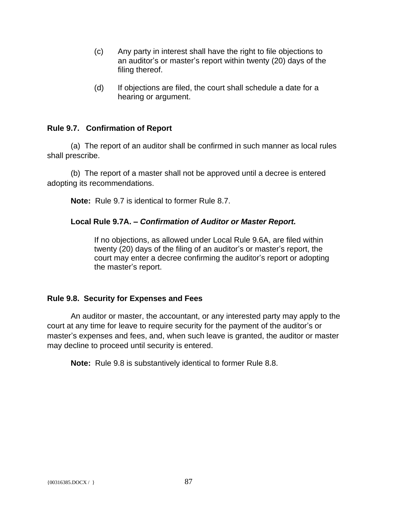- (c) Any party in interest shall have the right to file objections to an auditor's or master's report within twenty (20) days of the filing thereof.
- (d) If objections are filed, the court shall schedule a date for a hearing or argument.

#### **Rule 9.7. Confirmation of Report**

(a) The report of an auditor shall be confirmed in such manner as local rules shall prescribe.

(b) The report of a master shall not be approved until a decree is entered adopting its recommendations.

**Note:** Rule 9.7 is identical to former Rule 8.7.

# **Local Rule 9.7A. –** *Confirmation of Auditor or Master Report.*

If no objections, as allowed under Local Rule 9.6A, are filed within twenty (20) days of the filing of an auditor's or master's report, the court may enter a decree confirming the auditor's report or adopting the master's report.

#### **Rule 9.8. Security for Expenses and Fees**

An auditor or master, the accountant, or any interested party may apply to the court at any time for leave to require security for the payment of the auditor's or master's expenses and fees, and, when such leave is granted, the auditor or master may decline to proceed until security is entered.

**Note:** Rule 9.8 is substantively identical to former Rule 8.8.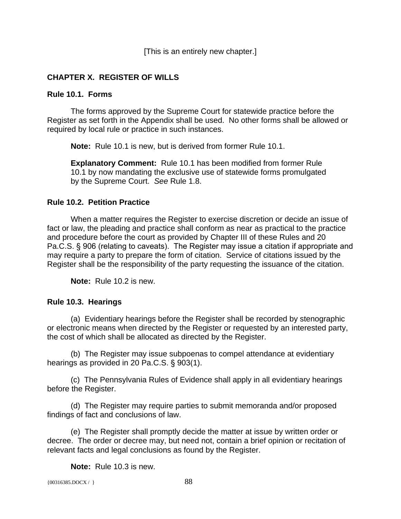[This is an entirely new chapter.]

# **CHAPTER X. REGISTER OF WILLS**

#### **Rule 10.1. Forms**

The forms approved by the Supreme Court for statewide practice before the Register as set forth in the Appendix shall be used. No other forms shall be allowed or required by local rule or practice in such instances.

**Note:** Rule 10.1 is new, but is derived from former Rule 10.1.

**Explanatory Comment:** Rule 10.1 has been modified from former Rule 10.1 by now mandating the exclusive use of statewide forms promulgated by the Supreme Court. *See* Rule 1.8.

#### **Rule 10.2. Petition Practice**

When a matter requires the Register to exercise discretion or decide an issue of fact or law, the pleading and practice shall conform as near as practical to the practice and procedure before the court as provided by Chapter III of these Rules and 20 Pa.C.S. § 906 (relating to caveats). The Register may issue a citation if appropriate and may require a party to prepare the form of citation. Service of citations issued by the Register shall be the responsibility of the party requesting the issuance of the citation.

**Note:** Rule 10.2 is new.

#### **Rule 10.3. Hearings**

(a) Evidentiary hearings before the Register shall be recorded by stenographic or electronic means when directed by the Register or requested by an interested party, the cost of which shall be allocated as directed by the Register.

(b) The Register may issue subpoenas to compel attendance at evidentiary hearings as provided in 20 Pa.C.S. § 903(1).

(c) The Pennsylvania Rules of Evidence shall apply in all evidentiary hearings before the Register.

(d) The Register may require parties to submit memoranda and/or proposed findings of fact and conclusions of law.

(e) The Register shall promptly decide the matter at issue by written order or decree. The order or decree may, but need not, contain a brief opinion or recitation of relevant facts and legal conclusions as found by the Register.

**Note:** Rule 10.3 is new.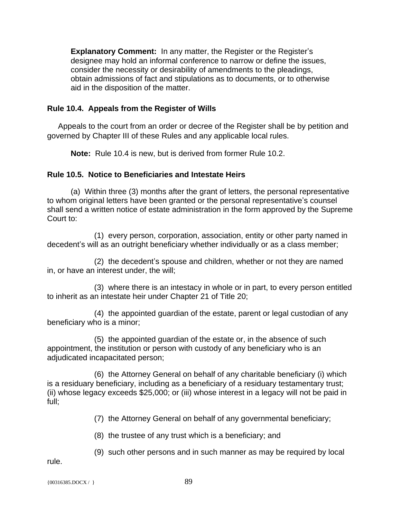**Explanatory Comment:** In any matter, the Register or the Register's designee may hold an informal conference to narrow or define the issues, consider the necessity or desirability of amendments to the pleadings, obtain admissions of fact and stipulations as to documents, or to otherwise aid in the disposition of the matter.

# **Rule 10.4. Appeals from the Register of Wills**

 Appeals to the court from an order or decree of the Register shall be by petition and governed by Chapter III of these Rules and any applicable local rules.

**Note:** Rule 10.4 is new, but is derived from former Rule 10.2.

# **Rule 10.5. Notice to Beneficiaries and Intestate Heirs**

(a) Within three (3) months after the grant of letters, the personal representative to whom original letters have been granted or the personal representative's counsel shall send a written notice of estate administration in the form approved by the Supreme Court to:

(1) every person, corporation, association, entity or other party named in decedent's will as an outright beneficiary whether individually or as a class member;

(2) the decedent's spouse and children, whether or not they are named in, or have an interest under, the will;

(3) where there is an intestacy in whole or in part, to every person entitled to inherit as an intestate heir under Chapter 21 of Title 20;

(4) the appointed guardian of the estate, parent or legal custodian of any beneficiary who is a minor;

(5) the appointed guardian of the estate or, in the absence of such appointment, the institution or person with custody of any beneficiary who is an adjudicated incapacitated person;

(6) the Attorney General on behalf of any charitable beneficiary (i) which is a residuary beneficiary, including as a beneficiary of a residuary testamentary trust; (ii) whose legacy exceeds \$25,000; or (iii) whose interest in a legacy will not be paid in full;

(7) the Attorney General on behalf of any governmental beneficiary;

(8) the trustee of any trust which is a beneficiary; and

(9) such other persons and in such manner as may be required by local

rule.

```
{00316385. \text{DOCX} / }
```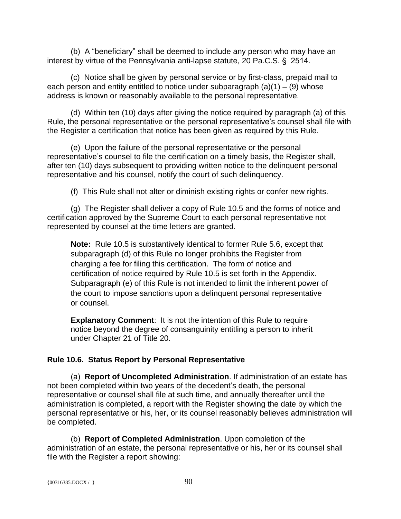(b) A "beneficiary" shall be deemed to include any person who may have an interest by virtue of the Pennsylvania anti-lapse statute, 20 Pa.C.S. § 2514.

(c) Notice shall be given by personal service or by first-class, prepaid mail to each person and entity entitled to notice under subparagraph  $(a)(1) - (9)$  whose address is known or reasonably available to the personal representative.

(d) Within ten (10) days after giving the notice required by paragraph (a) of this Rule, the personal representative or the personal representative's counsel shall file with the Register a certification that notice has been given as required by this Rule.

(e) Upon the failure of the personal representative or the personal representative's counsel to file the certification on a timely basis, the Register shall, after ten (10) days subsequent to providing written notice to the delinquent personal representative and his counsel, notify the court of such delinquency.

(f) This Rule shall not alter or diminish existing rights or confer new rights.

(g) The Register shall deliver a copy of Rule 10.5 and the forms of notice and certification approved by the Supreme Court to each personal representative not represented by counsel at the time letters are granted.

**Note:** Rule 10.5 is substantively identical to former Rule 5.6, except that subparagraph (d) of this Rule no longer prohibits the Register from charging a fee for filing this certification. The form of notice and certification of notice required by Rule 10.5 is set forth in the Appendix. Subparagraph (e) of this Rule is not intended to limit the inherent power of the court to impose sanctions upon a delinquent personal representative or counsel.

**Explanatory Comment:** It is not the intention of this Rule to require notice beyond the degree of consanguinity entitling a person to inherit under Chapter 21 of Title 20.

# **Rule 10.6. Status Report by Personal Representative**

(a) **Report of Uncompleted Administration**. If administration of an estate has not been completed within two years of the decedent's death, the personal representative or counsel shall file at such time, and annually thereafter until the administration is completed, a report with the Register showing the date by which the personal representative or his, her, or its counsel reasonably believes administration will be completed.

(b) **Report of Completed Administration**. Upon completion of the administration of an estate, the personal representative or his, her or its counsel shall file with the Register a report showing: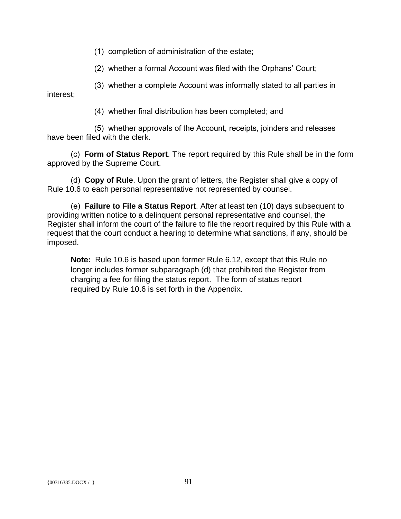(1) completion of administration of the estate;

(2) whether a formal Account was filed with the Orphans' Court;

(3) whether a complete Account was informally stated to all parties in interest;

(4) whether final distribution has been completed; and

(5) whether approvals of the Account, receipts, joinders and releases have been filed with the clerk.

(c) **Form of Status Report**. The report required by this Rule shall be in the form approved by the Supreme Court.

(d) **Copy of Rule**. Upon the grant of letters, the Register shall give a copy of Rule 10.6 to each personal representative not represented by counsel.

(e) **Failure to File a Status Report**. After at least ten (10) days subsequent to providing written notice to a delinquent personal representative and counsel, the Register shall inform the court of the failure to file the report required by this Rule with a request that the court conduct a hearing to determine what sanctions, if any, should be imposed.

**Note:** Rule 10.6 is based upon former Rule 6.12, except that this Rule no longer includes former subparagraph (d) that prohibited the Register from charging a fee for filing the status report. The form of status report required by Rule 10.6 is set forth in the Appendix.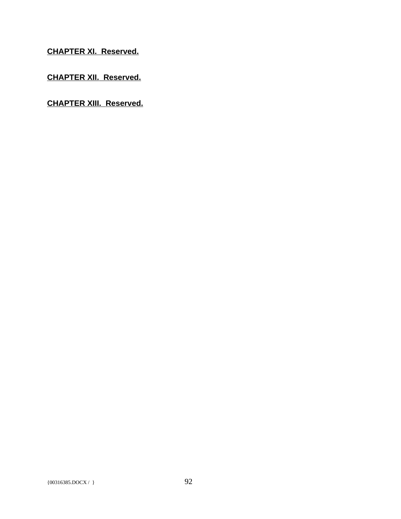**CHAPTER XI. Reserved.**

**CHAPTER XII. Reserved.**

**CHAPTER XIII. Reserved.**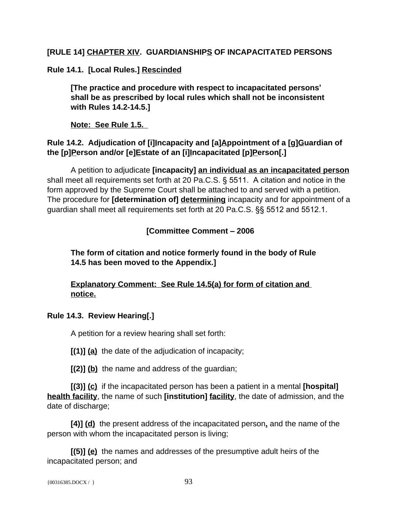# **[RULE 14] CHAPTER XIV. GUARDIANSHIPS OF INCAPACITATED PERSONS**

**Rule 14.1. [Local Rules.] Rescinded**

**[The practice and procedure with respect to incapacitated persons' shall be as prescribed by local rules which shall not be inconsistent with Rules 14.2-14.5.]**

**Note: See Rule 1.5.** 

# Rule 14.2. Adjudication of [i]Incapacity and [a]Appointment of a [g]Guardian of the [p]Person and/or [e]Estate of an [i]Incapacitated [p]Person[.]

A petition to adjudicate **[incapacity] an individual as an incapacitated person** shall meet all requirements set forth at 20 Pa.C.S. § 5511. A citation and notice in the form approved by the Supreme Court shall be attached to and served with a petition. The procedure for **[determination of] determining** incapacity and for appointment of a guardian shall meet all requirements set forth at 20 Pa.C.S. §§ 5512 and 5512.1.

# **[Committee Comment – 2006**

# **The form of citation and notice formerly found in the body of Rule 14.5 has been moved to the Appendix.]**

# **Explanatory Comment: See Rule 14.5(a) for form of citation and notice.**

# **Rule 14.3. Review Hearing[.]**

A petition for a review hearing shall set forth:

**[(1)] (a)** the date of the adjudication of incapacity;

**[(2)] (b)** the name and address of the guardian;

**[(3)] (c)** if the incapacitated person has been a patient in a mental **[hospital] health facility**, the name of such **[institution] facility**, the date of admission, and the date of discharge;

**[4)] (d)** the present address of the incapacitated person**,** and the name of the person with whom the incapacitated person is living;

**[(5)] (e)** the names and addresses of the presumptive adult heirs of the incapacitated person; and

```
{00316385. \text{DOCX} / } 93
```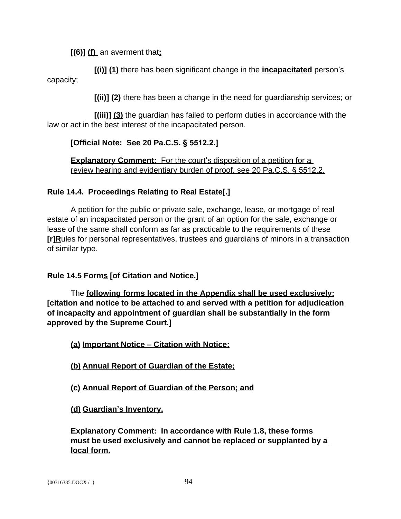**[(6)] (f)** an averment that**:**

**[(i)] (1)** there has been significant change in the **incapacitated** person's capacity;

**[(ii)] (2)** there has been a change in the need for guardianship services; or

**[(iii)] (3)** the guardian has failed to perform duties in accordance with the law or act in the best interest of the incapacitated person.

# **[Official Note: See 20 Pa.C.S. § 5512.2.]**

**Explanatory Comment:** For the court's disposition of a petition for a review hearing and evidentiary burden of proof, see 20 Pa.C.S. § 5512.2.

# **Rule 14.4. Proceedings Relating to Real Estate[.]**

A petition for the public or private sale, exchange, lease, or mortgage of real estate of an incapacitated person or the grant of an option for the sale, exchange or lease of the same shall conform as far as practicable to the requirements of these **[r]R**ules for personal representatives, trustees and guardians of minors in a transaction of similar type.

#### **Rule 14.5 Forms [of Citation and Notice.]**

The **following forms located in the Appendix shall be used exclusively: [citation and notice to be attached to and served with a petition for adjudication of incapacity and appointment of guardian shall be substantially in the form approved by the Supreme Court.]**

**(a) Important Notice – Citation with Notice;**

**(b) Annual Report of Guardian of the Estate;**

**(c) Annual Report of Guardian of the Person; and**

**(d) Guardian's Inventory.**

**Explanatory Comment: In accordance with Rule 1.8, these forms must be used exclusively and cannot be replaced or supplanted by a local form.**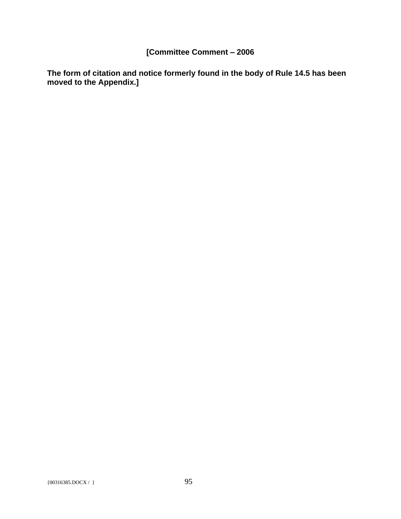# **[Committee Comment – 2006**

**The form of citation and notice formerly found in the body of Rule 14.5 has been moved to the Appendix.]**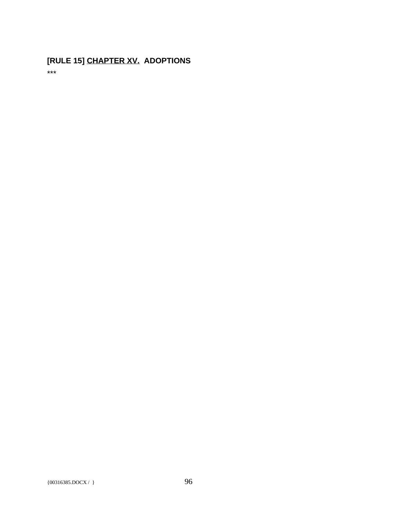# **[RULE 15] CHAPTER XV. ADOPTIONS**

\*\*\*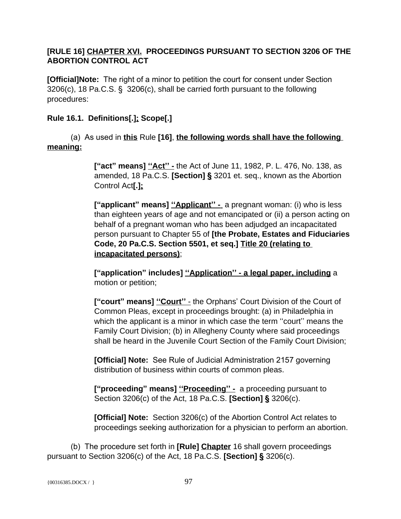# **[RULE 16] CHAPTER XVI. PROCEEDINGS PURSUANT TO SECTION 3206 OF THE ABORTION CONTROL ACT**

**[Official]Note:** The right of a minor to petition the court for consent under Section 3206(c), 18 Pa.C.S. § 3206(c), shall be carried forth pursuant to the following procedures:

# **Rule 16.1. Definitions[.]; Scope[.]**

(a) As used in **this** Rule **[16]**, **the following words shall have the following meaning:**

> **["act" means] ''Act'' -** the Act of June 11, 1982, P. L. 476, No. 138, as amended, 18 Pa.C.S. **[Section] §** 3201 et. seq., known as the Abortion Control Act**[.];**

**["applicant" means] ''Applicant'' -** a pregnant woman: (i) who is less than eighteen years of age and not emancipated or (ii) a person acting on behalf of a pregnant woman who has been adjudged an incapacitated person pursuant to Chapter 55 of **[the Probate, Estates and Fiduciaries Code, 20 Pa.C.S. Section 5501, et seq.] Title 20 (relating to incapacitated persons)**;

**["application" includes] ''Application'' - a legal paper, including** a motion or petition;

**["court" means] ''Court''** - the Orphans' Court Division of the Court of Common Pleas, except in proceedings brought: (a) in Philadelphia in which the applicant is a minor in which case the term "court" means the Family Court Division; (b) in Allegheny County where said proceedings shall be heard in the Juvenile Court Section of the Family Court Division;

**[Official] Note:** See Rule of Judicial Administration 2157 governing distribution of business within courts of common pleas.

**["proceeding" means] ''Proceeding'' -** a proceeding pursuant to Section 3206(c) of the Act, 18 Pa.C.S. **[Section] §** 3206(c).

**[Official] Note:** Section 3206(c) of the Abortion Control Act relates to proceedings seeking authorization for a physician to perform an abortion.

(b) The procedure set forth in **[Rule] Chapter** 16 shall govern proceedings pursuant to Section 3206(c) of the Act, 18 Pa.C.S. **[Section] §** 3206(c).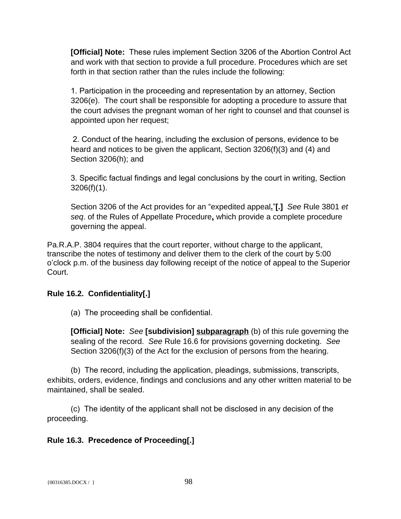**[Official] Note:** These rules implement Section 3206 of the Abortion Control Act and work with that section to provide a full procedure. Procedures which are set forth in that section rather than the rules include the following:

1. Participation in the proceeding and representation by an attorney, Section 3206(e). The court shall be responsible for adopting a procedure to assure that the court advises the pregnant woman of her right to counsel and that counsel is appointed upon her request;

2. Conduct of the hearing, including the exclusion of persons, evidence to be heard and notices to be given the applicant, Section 3206(f)(3) and (4) and Section 3206(h); and

3. Specific factual findings and legal conclusions by the court in writing, Section 3206(f)(1).

Section 3206 of the Act provides for an "expedited appeal**.**"**[.]** *See* Rule 3801 *et seq*. of the Rules of Appellate Procedure**,** which provide a complete procedure governing the appeal.

Pa.R.A.P. 3804 requires that the court reporter, without charge to the applicant, transcribe the notes of testimony and deliver them to the clerk of the court by 5:00 o'clock p.m. of the business day following receipt of the notice of appeal to the Superior Court.

# **Rule 16.2. Confidentiality[.]**

(a) The proceeding shall be confidential.

**[Official] Note:** *See* **[subdivision] subparagraph** (b) of this rule governing the sealing of the record. *See* Rule 16.6 for provisions governing docketing. *See* Section 3206(f)(3) of the Act for the exclusion of persons from the hearing.

(b) The record, including the application, pleadings, submissions, transcripts, exhibits, orders, evidence, findings and conclusions and any other written material to be maintained, shall be sealed.

(c) The identity of the applicant shall not be disclosed in any decision of the proceeding.

# **Rule 16.3. Precedence of Proceeding[.]**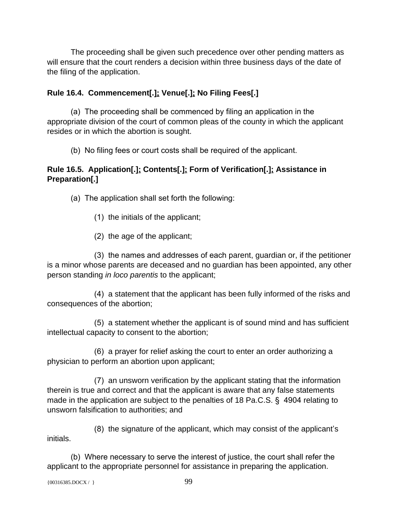The proceeding shall be given such precedence over other pending matters as will ensure that the court renders a decision within three business days of the date of the filing of the application.

# **Rule 16.4. Commencement[.]; Venue[.]; No Filing Fees[.]**

(a) The proceeding shall be commenced by filing an application in the appropriate division of the court of common pleas of the county in which the applicant resides or in which the abortion is sought.

(b) No filing fees or court costs shall be required of the applicant.

# **Rule 16.5. Application[.]; Contents[.]; Form of Verification[.]; Assistance in Preparation[.]**

(a) The application shall set forth the following:

- (1) the initials of the applicant;
- (2) the age of the applicant;

(3) the names and addresses of each parent, guardian or, if the petitioner is a minor whose parents are deceased and no guardian has been appointed, any other person standing *in loco parentis* to the applicant;

(4) a statement that the applicant has been fully informed of the risks and consequences of the abortion;

(5) a statement whether the applicant is of sound mind and has sufficient intellectual capacity to consent to the abortion;

(6) a prayer for relief asking the court to enter an order authorizing a physician to perform an abortion upon applicant;

(7) an unsworn verification by the applicant stating that the information therein is true and correct and that the applicant is aware that any false statements made in the application are subject to the penalties of 18 Pa.C.S. § 4904 relating to unsworn falsification to authorities; and

(8) the signature of the applicant, which may consist of the applicant's initials.

(b) Where necessary to serve the interest of justice, the court shall refer the applicant to the appropriate personnel for assistance in preparing the application.

```
{00316385. \text{DOCX} / }
```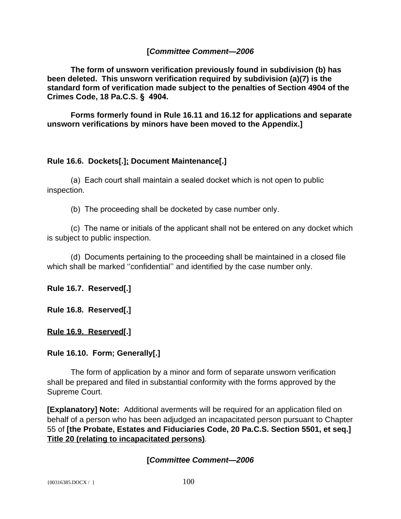#### **[***Committee Comment—2006*

 **The form of unsworn verification previously found in subdivision (b) has been deleted. This unsworn verification required by subdivision (a)(7) is the standard form of verification made subject to the penalties of Section 4904 of the Crimes Code, 18 Pa.C.S. § 4904.**

 **Forms formerly found in Rule 16.11 and 16.12 for applications and separate unsworn verifications by minors have been moved to the Appendix.]**

# **Rule 16.6. Dockets[.]; Document Maintenance[.]**

(a) Each court shall maintain a sealed docket which is not open to public inspection.

(b) The proceeding shall be docketed by case number only.

(c) The name or initials of the applicant shall not be entered on any docket which is subject to public inspection.

(d) Documents pertaining to the proceeding shall be maintained in a closed file which shall be marked ''confidential'' and identified by the case number only.

**Rule 16.7. Reserved[.]**

**Rule 16.8. Reserved[.]**

**Rule 16.9. Reserved[.]**

#### **Rule 16.10. Form; Generally[.]**

The form of application by a minor and form of separate unsworn verification shall be prepared and filed in substantial conformity with the forms approved by the Supreme Court.

**[Explanatory] Note:** Additional averments will be required for an application filed on behalf of a person who has been adjudged an incapacitated person pursuant to Chapter 55 of **[the Probate, Estates and Fiduciaries Code, 20 Pa.C.S. Section 5501, et seq.] Title 20 (relating to incapacitated persons)***.*

#### **[***Committee Comment—2006*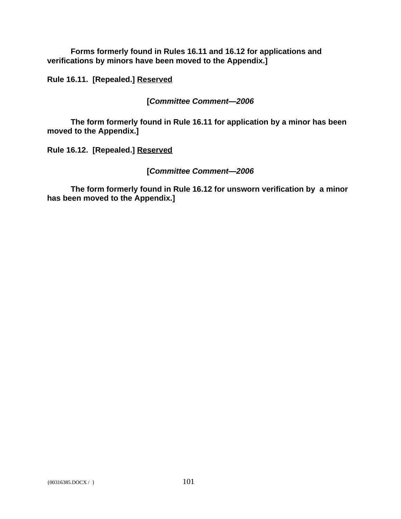**Forms formerly found in Rules 16.11 and 16.12 for applications and verifications by minors have been moved to the Appendix.]**

**Rule 16.11. [Repealed.] Reserved**

**[***Committee Comment—2006*

**The form formerly found in Rule 16.11 for application by a minor has been moved to the Appendix.]**

**Rule 16.12. [Repealed.] Reserved**

# **[***Committee Comment—2006*

**The form formerly found in Rule 16.12 for unsworn verification by a minor has been moved to the Appendix.]**